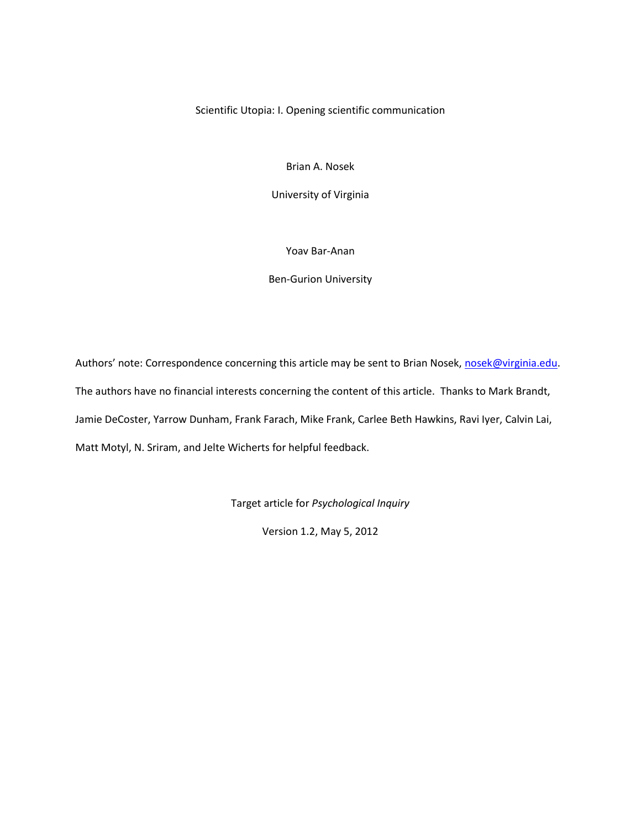Scientific Utopia: I. Opening scientific communication

Brian A. Nosek

University of Virginia

Yoav Bar-Anan

Ben-Gurion University

Authors' note: Correspondence concerning this article may be sent to Brian Nosek, [nosek@virginia.edu.](mailto:nosek@virginia.edu) The authors have no financial interests concerning the content of this article. Thanks to Mark Brandt, Jamie DeCoster, Yarrow Dunham, Frank Farach, Mike Frank, Carlee Beth Hawkins, Ravi Iyer, Calvin Lai, Matt Motyl, N. Sriram, and Jelte Wicherts for helpful feedback.

Target article for *Psychological Inquiry*

Version 1.2, May 5, 2012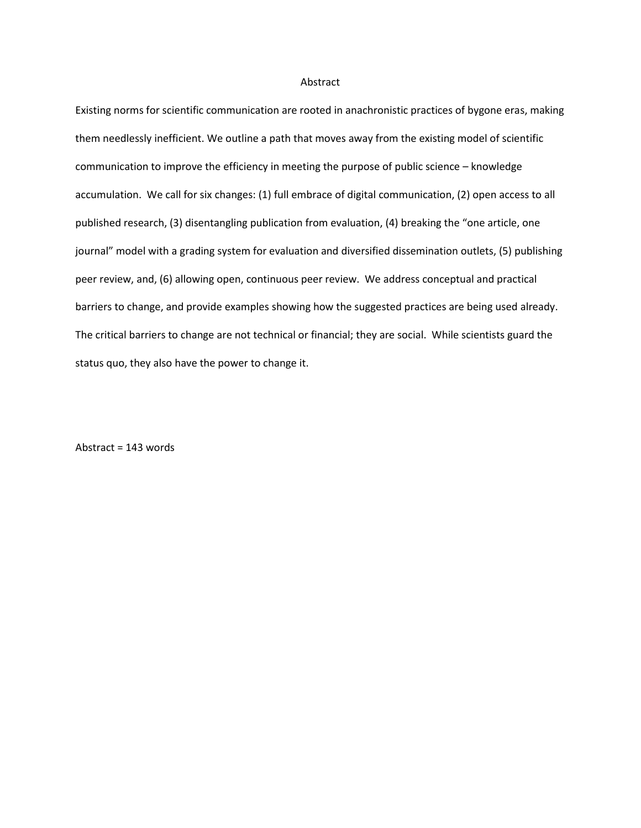#### Abstract

Existing norms for scientific communication are rooted in anachronistic practices of bygone eras, making them needlessly inefficient. We outline a path that moves away from the existing model of scientific communication to improve the efficiency in meeting the purpose of public science – knowledge accumulation. We call for six changes: (1) full embrace of digital communication, (2) open access to all published research, (3) disentangling publication from evaluation, (4) breaking the "one article, one journal" model with a grading system for evaluation and diversified dissemination outlets, (5) publishing peer review, and, (6) allowing open, continuous peer review. We address conceptual and practical barriers to change, and provide examples showing how the suggested practices are being used already. The critical barriers to change are not technical or financial; they are social. While scientists guard the status quo, they also have the power to change it.

Abstract = 143 words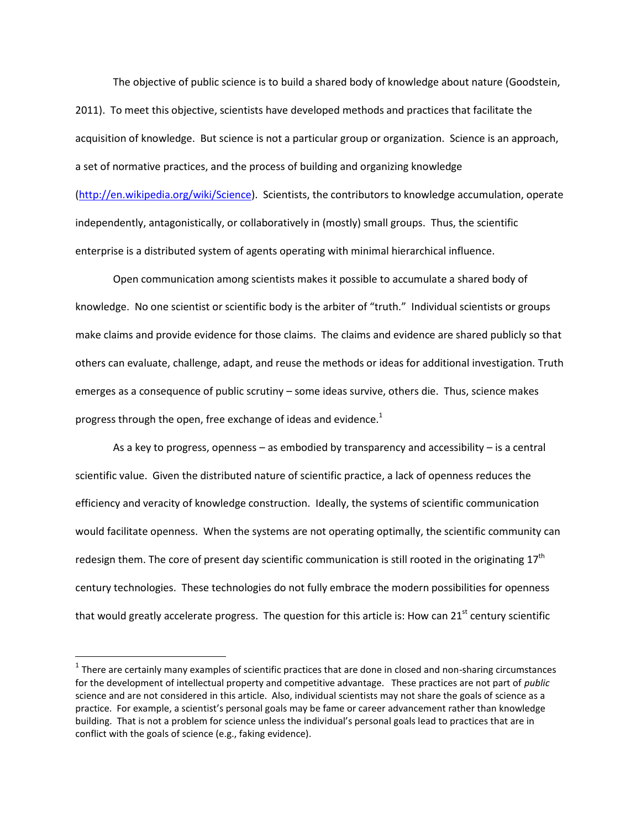The objective of public science is to build a shared body of knowledge about nature (Goodstein, 2011). To meet this objective, scientists have developed methods and practices that facilitate the acquisition of knowledge. But science is not a particular group or organization. Science is an approach, a set of normative practices, and the process of building and organizing knowledge [\(http://en.wikipedia.org/wiki/Science\)](http://en.wikipedia.org/wiki/Science). Scientists, the contributors to knowledge accumulation, operate independently, antagonistically, or collaboratively in (mostly) small groups. Thus, the scientific enterprise is a distributed system of agents operating with minimal hierarchical influence.

Open communication among scientists makes it possible to accumulate a shared body of knowledge. No one scientist or scientific body is the arbiter of "truth." Individual scientists or groups make claims and provide evidence for those claims. The claims and evidence are shared publicly so that others can evaluate, challenge, adapt, and reuse the methods or ideas for additional investigation. Truth emerges as a consequence of public scrutiny – some ideas survive, others die. Thus, science makes progress through the open, free exchange of ideas and evidence.<sup>1</sup>

As a key to progress, openness – as embodied by transparency and accessibility – is a central scientific value. Given the distributed nature of scientific practice, a lack of openness reduces the efficiency and veracity of knowledge construction. Ideally, the systems of scientific communication would facilitate openness. When the systems are not operating optimally, the scientific community can redesign them. The core of present day scientific communication is still rooted in the originating  $17<sup>th</sup>$ century technologies. These technologies do not fully embrace the modern possibilities for openness that would greatly accelerate progress. The question for this article is: How can 21<sup>st</sup> century scientific

l

 $<sup>1</sup>$  There are certainly many examples of scientific practices that are done in closed and non-sharing circumstances</sup> for the development of intellectual property and competitive advantage. These practices are not part of *public* science and are not considered in this article. Also, individual scientists may not share the goals of science as a practice. For example, a scientist's personal goals may be fame or career advancement rather than knowledge building. That is not a problem for science unless the individual's personal goals lead to practices that are in conflict with the goals of science (e.g., faking evidence).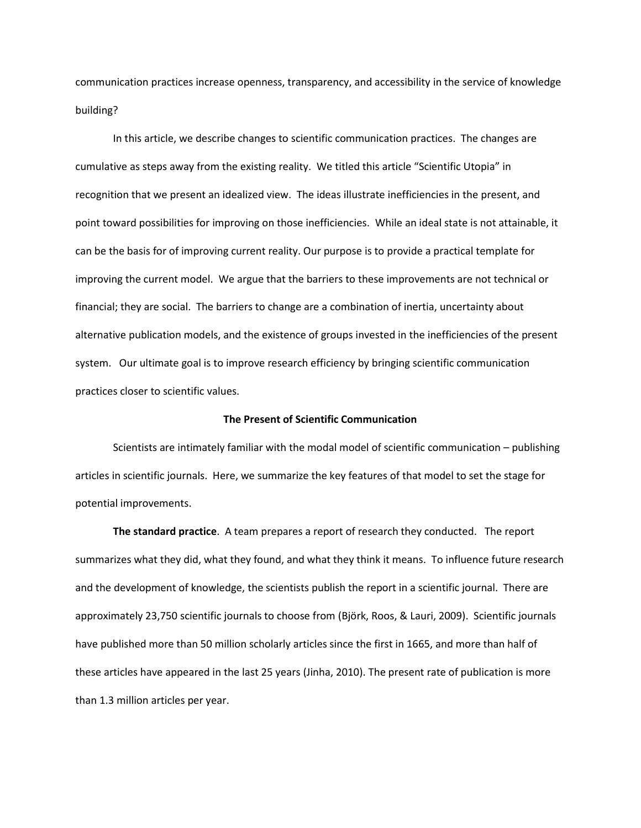communication practices increase openness, transparency, and accessibility in the service of knowledge building?

In this article, we describe changes to scientific communication practices. The changes are cumulative as steps away from the existing reality. We titled this article "Scientific Utopia" in recognition that we present an idealized view. The ideas illustrate inefficiencies in the present, and point toward possibilities for improving on those inefficiencies. While an ideal state is not attainable, it can be the basis for of improving current reality. Our purpose is to provide a practical template for improving the current model. We argue that the barriers to these improvements are not technical or financial; they are social. The barriers to change are a combination of inertia, uncertainty about alternative publication models, and the existence of groups invested in the inefficiencies of the present system. Our ultimate goal is to improve research efficiency by bringing scientific communication practices closer to scientific values.

#### **The Present of Scientific Communication**

Scientists are intimately familiar with the modal model of scientific communication – publishing articles in scientific journals. Here, we summarize the key features of that model to set the stage for potential improvements.

**The standard practice**. A team prepares a report of research they conducted. The report summarizes what they did, what they found, and what they think it means. To influence future research and the development of knowledge, the scientists publish the report in a scientific journal. There are approximately 23,750 scientific journals to choose from (Björk, Roos, & Lauri, 2009). Scientific journals have published more than 50 million scholarly articles since the first in 1665, and more than half of these articles have appeared in the last 25 years (Jinha, 2010). The present rate of publication is more than 1.3 million articles per year.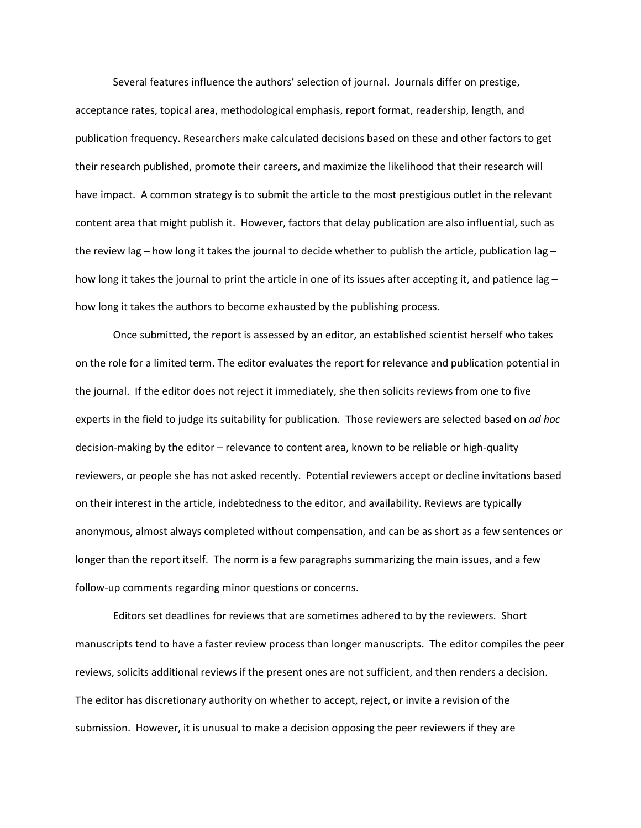Several features influence the authors' selection of journal. Journals differ on prestige, acceptance rates, topical area, methodological emphasis, report format, readership, length, and publication frequency. Researchers make calculated decisions based on these and other factors to get their research published, promote their careers, and maximize the likelihood that their research will have impact. A common strategy is to submit the article to the most prestigious outlet in the relevant content area that might publish it. However, factors that delay publication are also influential, such as the review lag – how long it takes the journal to decide whether to publish the article, publication lag – how long it takes the journal to print the article in one of its issues after accepting it, and patience lag – how long it takes the authors to become exhausted by the publishing process.

Once submitted, the report is assessed by an editor, an established scientist herself who takes on the role for a limited term. The editor evaluates the report for relevance and publication potential in the journal. If the editor does not reject it immediately, she then solicits reviews from one to five experts in the field to judge its suitability for publication. Those reviewers are selected based on *ad hoc* decision-making by the editor – relevance to content area, known to be reliable or high-quality reviewers, or people she has not asked recently. Potential reviewers accept or decline invitations based on their interest in the article, indebtedness to the editor, and availability. Reviews are typically anonymous, almost always completed without compensation, and can be as short as a few sentences or longer than the report itself. The norm is a few paragraphs summarizing the main issues, and a few follow-up comments regarding minor questions or concerns.

Editors set deadlines for reviews that are sometimes adhered to by the reviewers. Short manuscripts tend to have a faster review process than longer manuscripts. The editor compiles the peer reviews, solicits additional reviews if the present ones are not sufficient, and then renders a decision. The editor has discretionary authority on whether to accept, reject, or invite a revision of the submission. However, it is unusual to make a decision opposing the peer reviewers if they are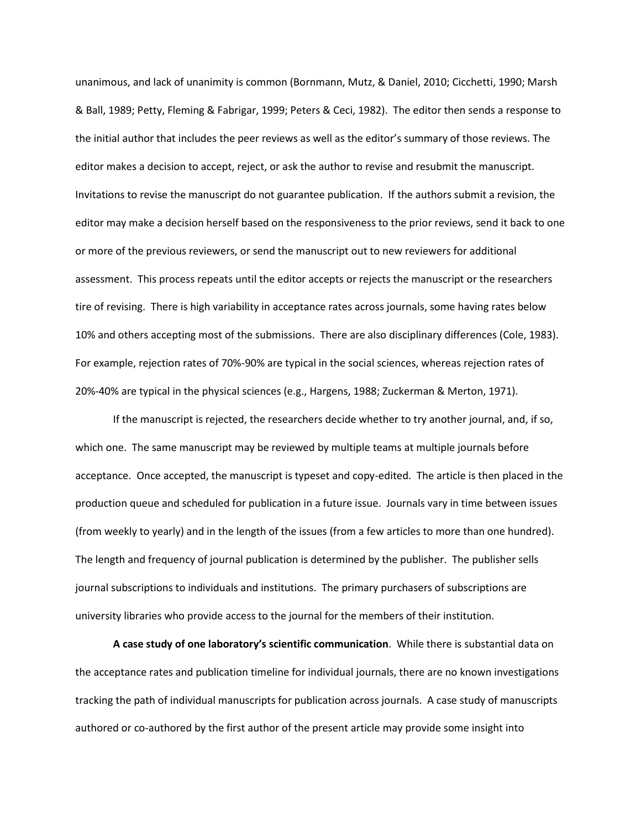unanimous, and lack of unanimity is common (Bornmann, Mutz, & Daniel, 2010; Cicchetti, 1990; Marsh & Ball, 1989; Petty, Fleming & Fabrigar, 1999; Peters & Ceci, 1982). The editor then sends a response to the initial author that includes the peer reviews as well as the editor's summary of those reviews. The editor makes a decision to accept, reject, or ask the author to revise and resubmit the manuscript. Invitations to revise the manuscript do not guarantee publication. If the authors submit a revision, the editor may make a decision herself based on the responsiveness to the prior reviews, send it back to one or more of the previous reviewers, or send the manuscript out to new reviewers for additional assessment. This process repeats until the editor accepts or rejects the manuscript or the researchers tire of revising. There is high variability in acceptance rates across journals, some having rates below 10% and others accepting most of the submissions. There are also disciplinary differences (Cole, 1983). For example, rejection rates of 70%-90% are typical in the social sciences, whereas rejection rates of 20%-40% are typical in the physical sciences (e.g., Hargens, 1988; Zuckerman & Merton, 1971).

If the manuscript is rejected, the researchers decide whether to try another journal, and, if so, which one. The same manuscript may be reviewed by multiple teams at multiple journals before acceptance. Once accepted, the manuscript is typeset and copy-edited. The article is then placed in the production queue and scheduled for publication in a future issue. Journals vary in time between issues (from weekly to yearly) and in the length of the issues (from a few articles to more than one hundred). The length and frequency of journal publication is determined by the publisher. The publisher sells journal subscriptions to individuals and institutions. The primary purchasers of subscriptions are university libraries who provide access to the journal for the members of their institution.

**A case study of one laboratory's scientific communication**. While there is substantial data on the acceptance rates and publication timeline for individual journals, there are no known investigations tracking the path of individual manuscripts for publication across journals. A case study of manuscripts authored or co-authored by the first author of the present article may provide some insight into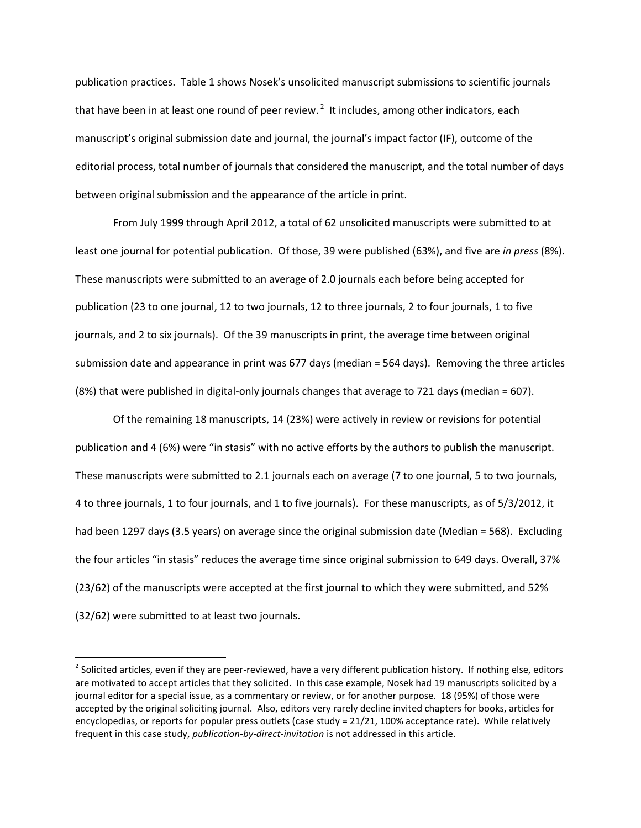publication practices. Table 1 shows Nosek's unsolicited manuscript submissions to scientific journals that have been in at least one round of peer review.<sup>2</sup> It includes, among other indicators, each manuscript's original submission date and journal, the journal's impact factor (IF), outcome of the editorial process, total number of journals that considered the manuscript, and the total number of days between original submission and the appearance of the article in print.

From July 1999 through April 2012, a total of 62 unsolicited manuscripts were submitted to at least one journal for potential publication. Of those, 39 were published (63%), and five are *in press* (8%). These manuscripts were submitted to an average of 2.0 journals each before being accepted for publication (23 to one journal, 12 to two journals, 12 to three journals, 2 to four journals, 1 to five journals, and 2 to six journals). Of the 39 manuscripts in print, the average time between original submission date and appearance in print was 677 days (median = 564 days). Removing the three articles (8%) that were published in digital-only journals changes that average to 721 days (median = 607).

Of the remaining 18 manuscripts, 14 (23%) were actively in review or revisions for potential publication and 4 (6%) were "in stasis" with no active efforts by the authors to publish the manuscript. These manuscripts were submitted to 2.1 journals each on average (7 to one journal, 5 to two journals, 4 to three journals, 1 to four journals, and 1 to five journals). For these manuscripts, as of 5/3/2012, it had been 1297 days (3.5 years) on average since the original submission date (Median = 568). Excluding the four articles "in stasis" reduces the average time since original submission to 649 days. Overall, 37% (23/62) of the manuscripts were accepted at the first journal to which they were submitted, and 52% (32/62) were submitted to at least two journals.

 $\overline{\phantom{a}}$ 

 $^2$  Solicited articles, even if they are peer-reviewed, have a very different publication history. If nothing else, editors are motivated to accept articles that they solicited. In this case example, Nosek had 19 manuscripts solicited by a journal editor for a special issue, as a commentary or review, or for another purpose. 18 (95%) of those were accepted by the original soliciting journal. Also, editors very rarely decline invited chapters for books, articles for encyclopedias, or reports for popular press outlets (case study = 21/21, 100% acceptance rate). While relatively frequent in this case study, *publication-by-direct-invitation* is not addressed in this article.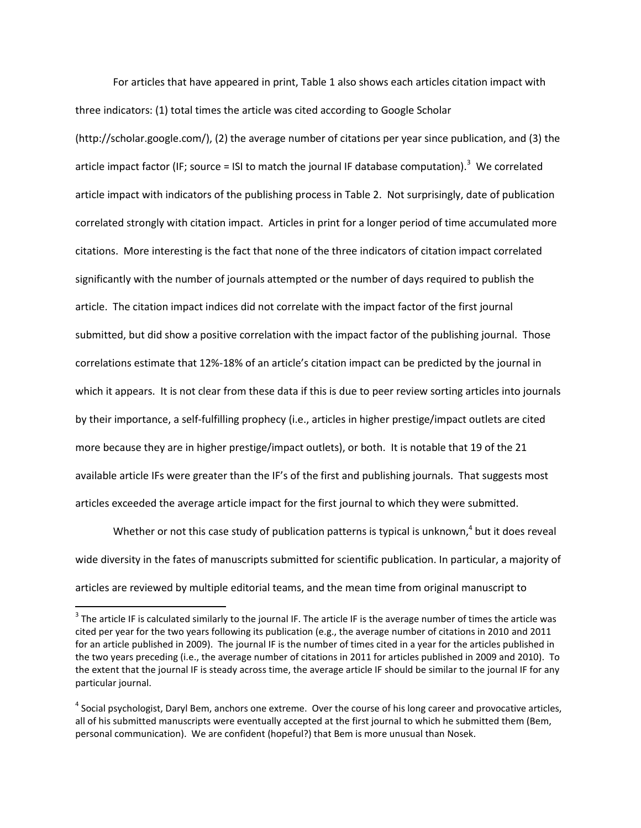For articles that have appeared in print, Table 1 also shows each articles citation impact with three indicators: (1) total times the article was cited according to Google Scholar (http://scholar.google.com/), (2) the average number of citations per year since publication, and (3) the article impact factor (IF; source = ISI to match the journal IF database computation).<sup>3</sup> We correlated article impact with indicators of the publishing process in Table 2. Not surprisingly, date of publication correlated strongly with citation impact. Articles in print for a longer period of time accumulated more citations. More interesting is the fact that none of the three indicators of citation impact correlated significantly with the number of journals attempted or the number of days required to publish the article. The citation impact indices did not correlate with the impact factor of the first journal submitted, but did show a positive correlation with the impact factor of the publishing journal. Those correlations estimate that 12%-18% of an article's citation impact can be predicted by the journal in which it appears. It is not clear from these data if this is due to peer review sorting articles into journals by their importance, a self-fulfilling prophecy (i.e., articles in higher prestige/impact outlets are cited more because they are in higher prestige/impact outlets), or both. It is notable that 19 of the 21 available article IFs were greater than the IF's of the first and publishing journals. That suggests most articles exceeded the average article impact for the first journal to which they were submitted.

Whether or not this case study of publication patterns is typical is unknown,<sup>4</sup> but it does reveal wide diversity in the fates of manuscripts submitted for scientific publication. In particular, a majority of articles are reviewed by multiple editorial teams, and the mean time from original manuscript to

 $\overline{a}$ 

 $3$  The article IF is calculated similarly to the journal IF. The article IF is the average number of times the article was cited per year for the two years following its publication (e.g., the average number of citations in 2010 and 2011 for an article published in 2009). The journal IF is the number of times cited in a year for the articles published in the two years preceding (i.e., the average number of citations in 2011 for articles published in 2009 and 2010). To the extent that the journal IF is steady across time, the average article IF should be similar to the journal IF for any particular journal.

<sup>&</sup>lt;sup>4</sup> Social psychologist, Daryl Bem, anchors one extreme. Over the course of his long career and provocative articles, all of his submitted manuscripts were eventually accepted at the first journal to which he submitted them (Bem, personal communication). We are confident (hopeful?) that Bem is more unusual than Nosek.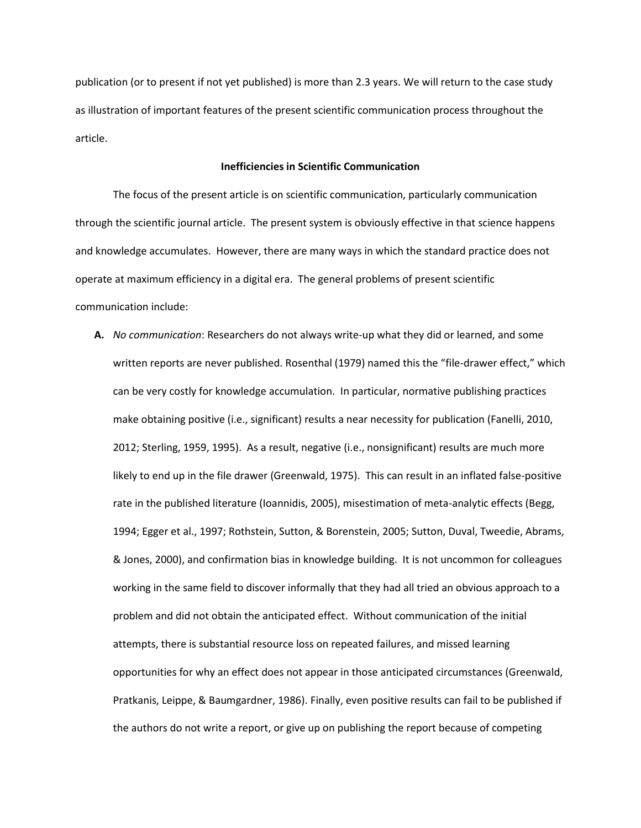publication (or to present if not yet published) is more than 2.3 years. We will return to the case study as illustration of important features of the present scientific communication process throughout the article.

# **Inefficiencies in Scientific Communication**

The focus of the present article is on scientific communication, particularly communication through the scientific journal article. The present system is obviously effective in that science happens and knowledge accumulates. However, there are many ways in which the standard practice does not operate at maximum efficiency in a digital era. The general problems of present scientific communication include:

**A.** *No communication*: Researchers do not always write-up what they did or learned, and some written reports are never published. Rosenthal (1979) named this the "file-drawer effect," which can be very costly for knowledge accumulation. In particular, normative publishing practices make obtaining positive (i.e., significant) results a near necessity for publication (Fanelli, 2010, 2012; Sterling, 1959, 1995). As a result, negative (i.e., nonsignificant) results are much more likely to end up in the file drawer (Greenwald, 1975). This can result in an inflated false-positive rate in the published literature (Ioannidis, 2005), misestimation of meta-analytic effects (Begg, 1994; Egger et al., 1997; Rothstein, Sutton, & Borenstein, 2005; Sutton, Duval, Tweedie, Abrams, & Jones, 2000), and confirmation bias in knowledge building. It is not uncommon for colleagues working in the same field to discover informally that they had all tried an obvious approach to a problem and did not obtain the anticipated effect. Without communication of the initial attempts, there is substantial resource loss on repeated failures, and missed learning opportunities for why an effect does not appear in those anticipated circumstances (Greenwald, Pratkanis, Leippe, & Baumgardner, 1986). Finally, even positive results can fail to be published if the authors do not write a report, or give up on publishing the report because of competing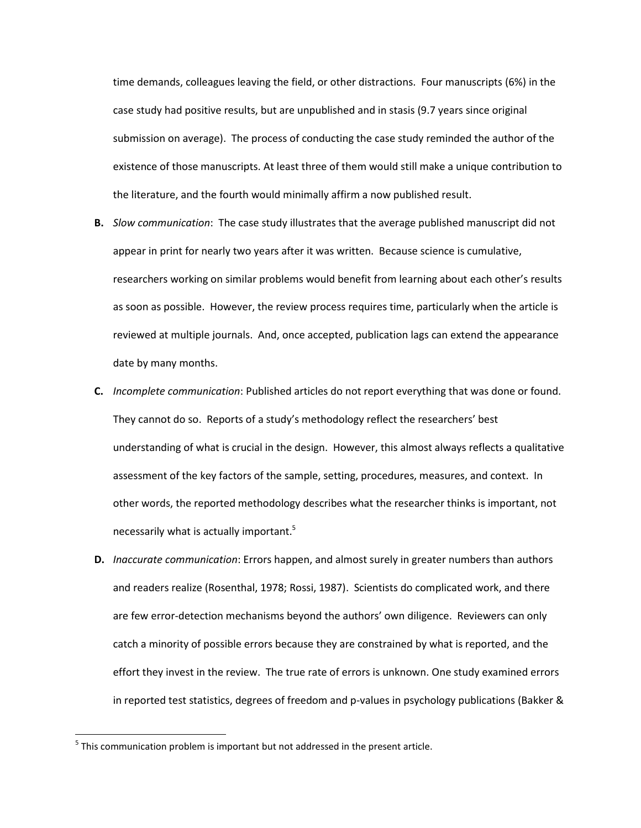time demands, colleagues leaving the field, or other distractions. Four manuscripts (6%) in the case study had positive results, but are unpublished and in stasis (9.7 years since original submission on average). The process of conducting the case study reminded the author of the existence of those manuscripts. At least three of them would still make a unique contribution to the literature, and the fourth would minimally affirm a now published result.

- **B.** *Slow communication*: The case study illustrates that the average published manuscript did not appear in print for nearly two years after it was written. Because science is cumulative, researchers working on similar problems would benefit from learning about each other's results as soon as possible. However, the review process requires time, particularly when the article is reviewed at multiple journals. And, once accepted, publication lags can extend the appearance date by many months.
- **C.** *Incomplete communication*: Published articles do not report everything that was done or found. They cannot do so. Reports of a study's methodology reflect the researchers' best understanding of what is crucial in the design. However, this almost always reflects a qualitative assessment of the key factors of the sample, setting, procedures, measures, and context. In other words, the reported methodology describes what the researcher thinks is important, not necessarily what is actually important.<sup>5</sup>
- **D.** *Inaccurate communication*: Errors happen, and almost surely in greater numbers than authors and readers realize (Rosenthal, 1978; Rossi, 1987). Scientists do complicated work, and there are few error-detection mechanisms beyond the authors' own diligence. Reviewers can only catch a minority of possible errors because they are constrained by what is reported, and the effort they invest in the review. The true rate of errors is unknown. One study examined errors in reported test statistics, degrees of freedom and p-values in psychology publications (Bakker &

 $\overline{\phantom{a}}$ 

 $<sup>5</sup>$  This communication problem is important but not addressed in the present article.</sup>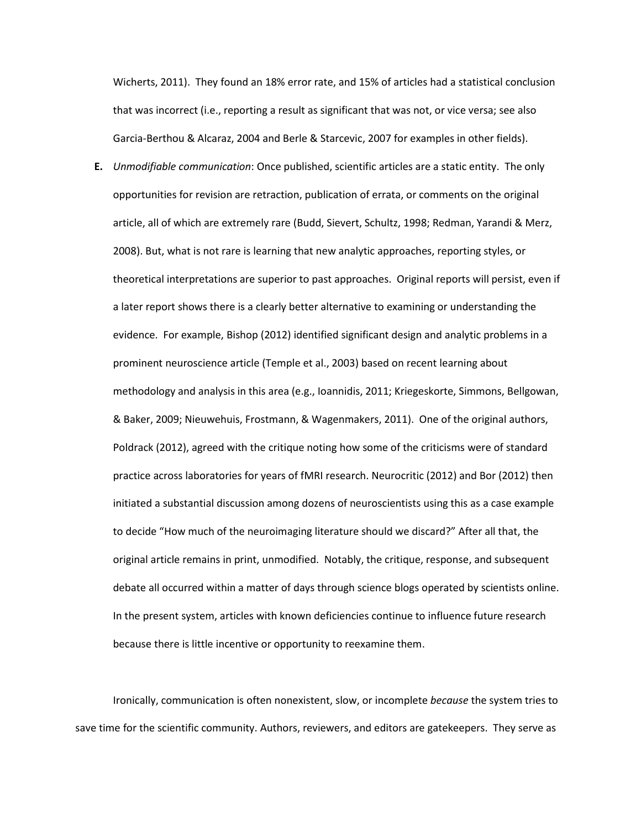Wicherts, 2011). They found an 18% error rate, and 15% of articles had a statistical conclusion that was incorrect (i.e., reporting a result as significant that was not, or vice versa; see also Garcia-Berthou & Alcaraz, 2004 and Berle & Starcevic, 2007 for examples in other fields).

**E.** *Unmodifiable communication*: Once published, scientific articles are a static entity. The only opportunities for revision are retraction, publication of errata, or comments on the original article, all of which are extremely rare (Budd, Sievert, Schultz, 1998; Redman, Yarandi & Merz, 2008). But, what is not rare is learning that new analytic approaches, reporting styles, or theoretical interpretations are superior to past approaches. Original reports will persist, even if a later report shows there is a clearly better alternative to examining or understanding the evidence. For example, Bishop (2012) identified significant design and analytic problems in a prominent neuroscience article (Temple et al., 2003) based on recent learning about methodology and analysis in this area (e.g., Ioannidis, 2011; Kriegeskorte, Simmons, Bellgowan, & Baker, 2009; Nieuwehuis, Frostmann, & Wagenmakers, 2011). One of the original authors, Poldrack (2012), agreed with the critique noting how some of the criticisms were of standard practice across laboratories for years of fMRI research. Neurocritic (2012) and Bor (2012) then initiated a substantial discussion among dozens of neuroscientists using this as a case example to decide "How much of the neuroimaging literature should we discard?" After all that, the original article remains in print, unmodified. Notably, the critique, response, and subsequent debate all occurred within a matter of days through science blogs operated by scientists online. In the present system, articles with known deficiencies continue to influence future research because there is little incentive or opportunity to reexamine them.

Ironically, communication is often nonexistent, slow, or incomplete *because* the system tries to save time for the scientific community. Authors, reviewers, and editors are gatekeepers. They serve as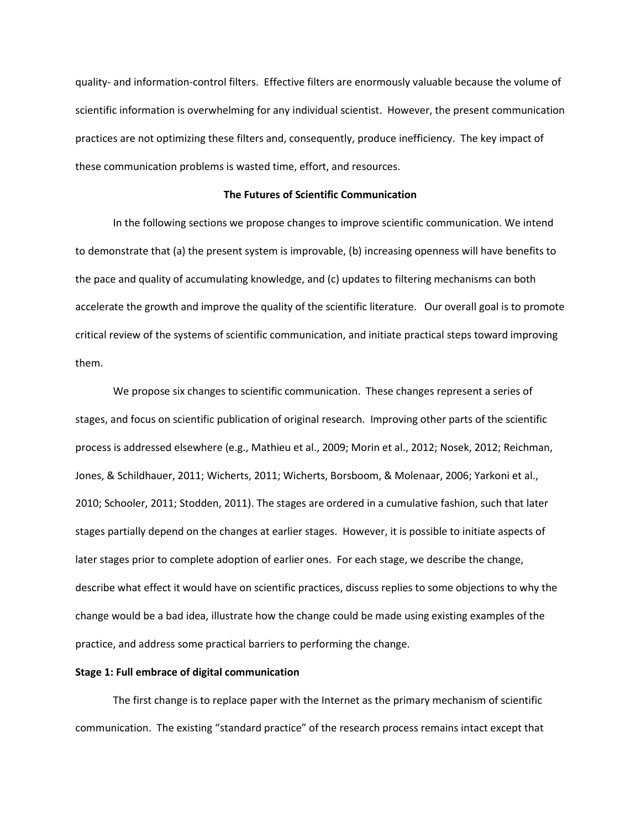quality- and information-control filters. Effective filters are enormously valuable because the volume of scientific information is overwhelming for any individual scientist. However, the present communication practices are not optimizing these filters and, consequently, produce inefficiency. The key impact of these communication problems is wasted time, effort, and resources.

# **The Futures of Scientific Communication**

In the following sections we propose changes to improve scientific communication. We intend to demonstrate that (a) the present system is improvable, (b) increasing openness will have benefits to the pace and quality of accumulating knowledge, and (c) updates to filtering mechanisms can both accelerate the growth and improve the quality of the scientific literature. Our overall goal is to promote critical review of the systems of scientific communication, and initiate practical steps toward improving them.

We propose six changes to scientific communication. These changes represent a series of stages, and focus on scientific publication of original research. Improving other parts of the scientific process is addressed elsewhere (e.g., Mathieu et al., 2009; Morin et al., 2012; Nosek, 2012; Reichman, Jones, & Schildhauer, 2011; Wicherts, 2011; Wicherts, Borsboom, & Molenaar, 2006; Yarkoni et al., 2010; Schooler, 2011; Stodden, 2011). The stages are ordered in a cumulative fashion, such that later stages partially depend on the changes at earlier stages. However, it is possible to initiate aspects of later stages prior to complete adoption of earlier ones. For each stage, we describe the change, describe what effect it would have on scientific practices, discuss replies to some objections to why the change would be a bad idea, illustrate how the change could be made using existing examples of the practice, and address some practical barriers to performing the change.

### **Stage 1: Full embrace of digital communication**

The first change is to replace paper with the Internet as the primary mechanism of scientific communication. The existing "standard practice" of the research process remains intact except that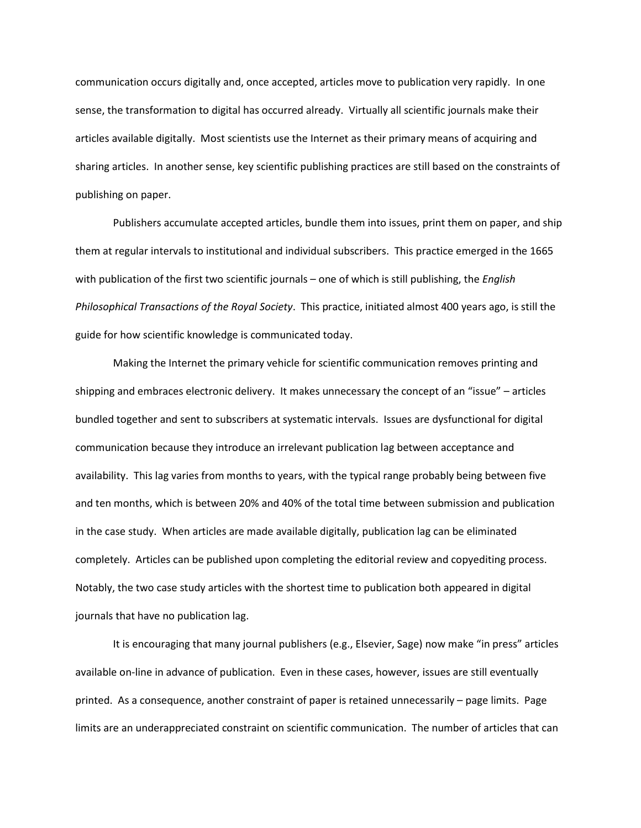communication occurs digitally and, once accepted, articles move to publication very rapidly. In one sense, the transformation to digital has occurred already. Virtually all scientific journals make their articles available digitally. Most scientists use the Internet as their primary means of acquiring and sharing articles. In another sense, key scientific publishing practices are still based on the constraints of publishing on paper.

Publishers accumulate accepted articles, bundle them into issues, print them on paper, and ship them at regular intervals to institutional and individual subscribers. This practice emerged in the 1665 with publication of the first two scientific journals – one of which is still publishing, the *English Philosophical Transactions of the Royal Society*. This practice, initiated almost 400 years ago, is still the guide for how scientific knowledge is communicated today.

Making the Internet the primary vehicle for scientific communication removes printing and shipping and embraces electronic delivery. It makes unnecessary the concept of an "issue" – articles bundled together and sent to subscribers at systematic intervals. Issues are dysfunctional for digital communication because they introduce an irrelevant publication lag between acceptance and availability. This lag varies from months to years, with the typical range probably being between five and ten months, which is between 20% and 40% of the total time between submission and publication in the case study. When articles are made available digitally, publication lag can be eliminated completely. Articles can be published upon completing the editorial review and copyediting process. Notably, the two case study articles with the shortest time to publication both appeared in digital journals that have no publication lag.

It is encouraging that many journal publishers (e.g., Elsevier, Sage) now make "in press" articles available on-line in advance of publication. Even in these cases, however, issues are still eventually printed. As a consequence, another constraint of paper is retained unnecessarily – page limits. Page limits are an underappreciated constraint on scientific communication. The number of articles that can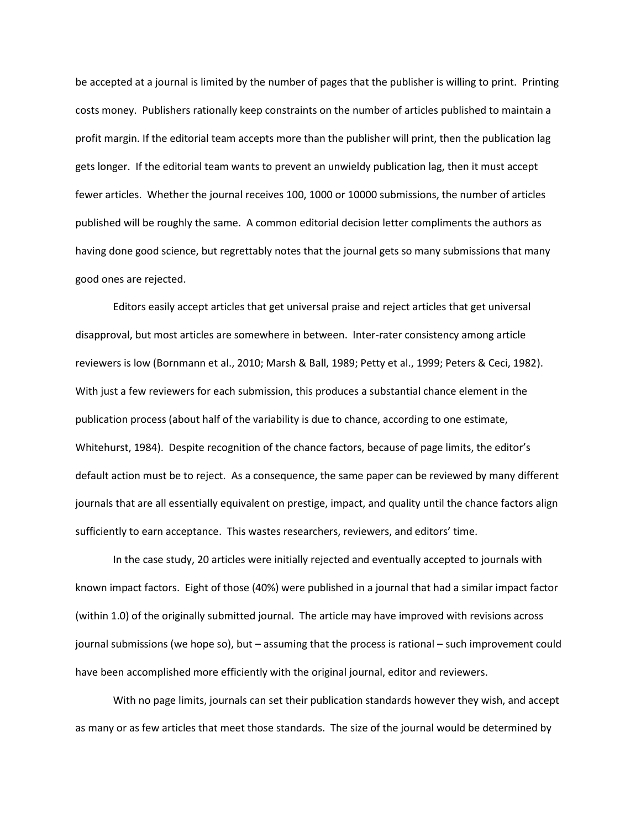be accepted at a journal is limited by the number of pages that the publisher is willing to print. Printing costs money. Publishers rationally keep constraints on the number of articles published to maintain a profit margin. If the editorial team accepts more than the publisher will print, then the publication lag gets longer. If the editorial team wants to prevent an unwieldy publication lag, then it must accept fewer articles. Whether the journal receives 100, 1000 or 10000 submissions, the number of articles published will be roughly the same. A common editorial decision letter compliments the authors as having done good science, but regrettably notes that the journal gets so many submissions that many good ones are rejected.

Editors easily accept articles that get universal praise and reject articles that get universal disapproval, but most articles are somewhere in between. Inter-rater consistency among article reviewers is low (Bornmann et al., 2010; Marsh & Ball, 1989; Petty et al., 1999; Peters & Ceci, 1982). With just a few reviewers for each submission, this produces a substantial chance element in the publication process (about half of the variability is due to chance, according to one estimate, Whitehurst, 1984). Despite recognition of the chance factors, because of page limits, the editor's default action must be to reject. As a consequence, the same paper can be reviewed by many different journals that are all essentially equivalent on prestige, impact, and quality until the chance factors align sufficiently to earn acceptance. This wastes researchers, reviewers, and editors' time.

In the case study, 20 articles were initially rejected and eventually accepted to journals with known impact factors. Eight of those (40%) were published in a journal that had a similar impact factor (within 1.0) of the originally submitted journal. The article may have improved with revisions across journal submissions (we hope so), but – assuming that the process is rational – such improvement could have been accomplished more efficiently with the original journal, editor and reviewers.

With no page limits, journals can set their publication standards however they wish, and accept as many or as few articles that meet those standards. The size of the journal would be determined by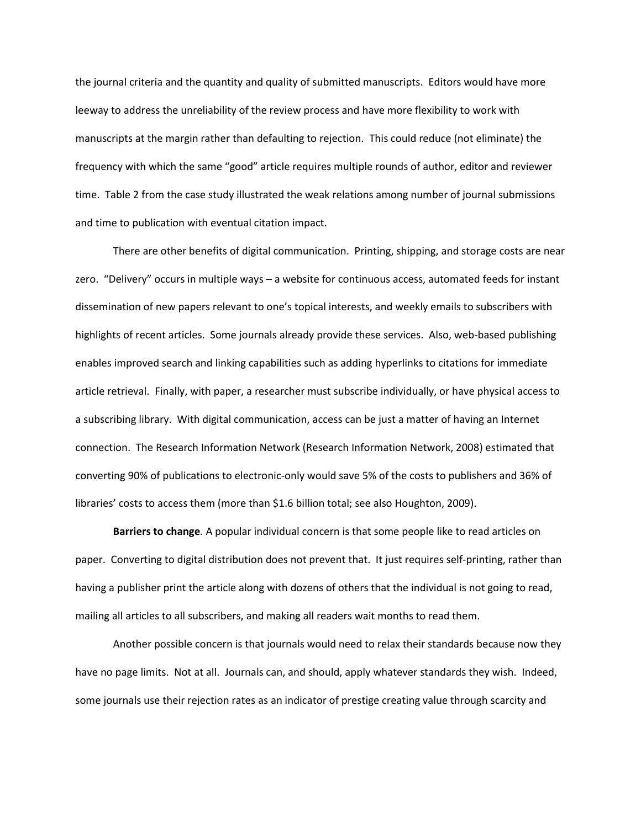the journal criteria and the quantity and quality of submitted manuscripts. Editors would have more leeway to address the unreliability of the review process and have more flexibility to work with manuscripts at the margin rather than defaulting to rejection. This could reduce (not eliminate) the frequency with which the same "good" article requires multiple rounds of author, editor and reviewer time. Table 2 from the case study illustrated the weak relations among number of journal submissions and time to publication with eventual citation impact.

There are other benefits of digital communication. Printing, shipping, and storage costs are near zero. "Delivery" occurs in multiple ways – a website for continuous access, automated feeds for instant dissemination of new papers relevant to one's topical interests, and weekly emails to subscribers with highlights of recent articles. Some journals already provide these services. Also, web-based publishing enables improved search and linking capabilities such as adding hyperlinks to citations for immediate article retrieval. Finally, with paper, a researcher must subscribe individually, or have physical access to a subscribing library. With digital communication, access can be just a matter of having an Internet connection. The Research Information Network (Research Information Network, 2008) estimated that converting 90% of publications to electronic-only would save 5% of the costs to publishers and 36% of libraries' costs to access them (more than \$1.6 billion total; see also Houghton, 2009).

**Barriers to change***.* A popular individual concern is that some people like to read articles on paper. Converting to digital distribution does not prevent that. It just requires self-printing, rather than having a publisher print the article along with dozens of others that the individual is not going to read, mailing all articles to all subscribers, and making all readers wait months to read them.

Another possible concern is that journals would need to relax their standards because now they have no page limits. Not at all. Journals can, and should, apply whatever standards they wish. Indeed, some journals use their rejection rates as an indicator of prestige creating value through scarcity and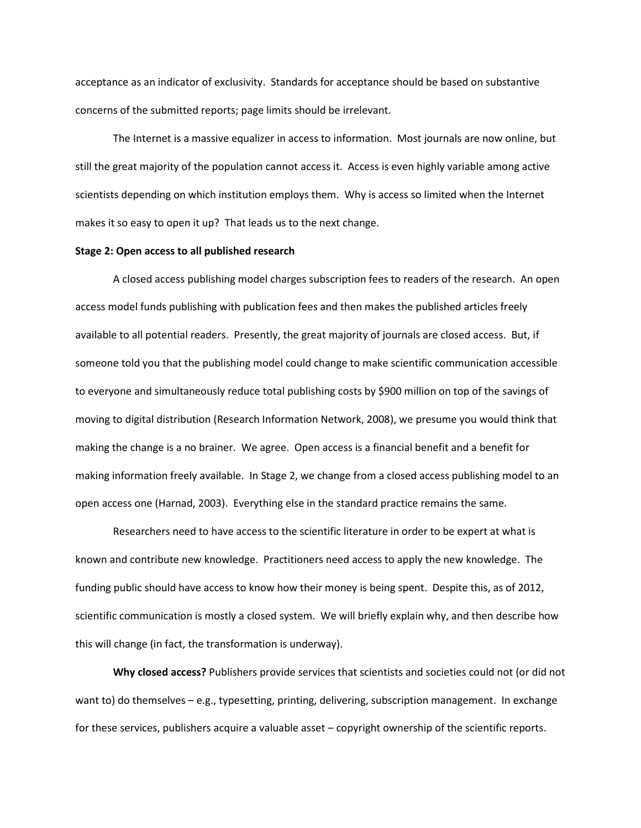acceptance as an indicator of exclusivity. Standards for acceptance should be based on substantive concerns of the submitted reports; page limits should be irrelevant.

The Internet is a massive equalizer in access to information. Most journals are now online, but still the great majority of the population cannot access it. Access is even highly variable among active scientists depending on which institution employs them. Why is access so limited when the Internet makes it so easy to open it up? That leads us to the next change.

#### **Stage 2: Open access to all published research**

A closed access publishing model charges subscription fees to readers of the research. An open access model funds publishing with publication fees and then makes the published articles freely available to all potential readers. Presently, the great majority of journals are closed access. But, if someone told you that the publishing model could change to make scientific communication accessible to everyone and simultaneously reduce total publishing costs by \$900 million on top of the savings of moving to digital distribution (Research Information Network, 2008), we presume you would think that making the change is a no brainer. We agree. Open access is a financial benefit and a benefit for making information freely available. In Stage 2, we change from a closed access publishing model to an open access one (Harnad, 2003). Everything else in the standard practice remains the same.

Researchers need to have access to the scientific literature in order to be expert at what is known and contribute new knowledge. Practitioners need access to apply the new knowledge. The funding public should have access to know how their money is being spent. Despite this, as of 2012, scientific communication is mostly a closed system. We will briefly explain why, and then describe how this will change (in fact, the transformation is underway).

**Why closed access?** Publishers provide services that scientists and societies could not (or did not want to) do themselves – e.g., typesetting, printing, delivering, subscription management. In exchange for these services, publishers acquire a valuable asset – copyright ownership of the scientific reports.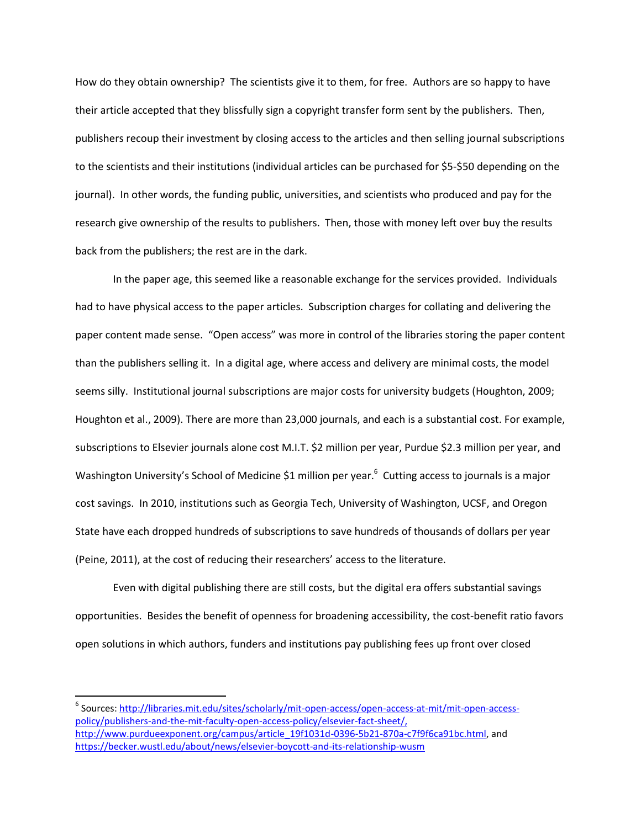How do they obtain ownership? The scientists give it to them, for free. Authors are so happy to have their article accepted that they blissfully sign a copyright transfer form sent by the publishers. Then, publishers recoup their investment by closing access to the articles and then selling journal subscriptions to the scientists and their institutions (individual articles can be purchased for \$5-\$50 depending on the journal). In other words, the funding public, universities, and scientists who produced and pay for the research give ownership of the results to publishers. Then, those with money left over buy the results back from the publishers; the rest are in the dark.

In the paper age, this seemed like a reasonable exchange for the services provided. Individuals had to have physical access to the paper articles. Subscription charges for collating and delivering the paper content made sense. "Open access" was more in control of the libraries storing the paper content than the publishers selling it. In a digital age, where access and delivery are minimal costs, the model seems silly. Institutional journal subscriptions are major costs for university budgets (Houghton, 2009; Houghton et al., 2009). There are more than 23,000 journals, and each is a substantial cost. For example, subscriptions to Elsevier journals alone cost M.I.T. \$2 million per year, Purdue \$2.3 million per year, and Washington University's School of Medicine \$1 million per year.<sup>6</sup> Cutting access to journals is a major cost savings. In 2010, institutions such as Georgia Tech, University of Washington, UCSF, and Oregon State have each dropped hundreds of subscriptions to save hundreds of thousands of dollars per year (Peine, 2011), at the cost of reducing their researchers' access to the literature.

Even with digital publishing there are still costs, but the digital era offers substantial savings opportunities. Besides the benefit of openness for broadening accessibility, the cost-benefit ratio favors open solutions in which authors, funders and institutions pay publishing fees up front over closed

 $\overline{a}$ 

<sup>&</sup>lt;sup>6</sup> Sources: <u>http://libraries.mit.edu/sites/scholarly/mit-open-access/open-access-at-mit/mit-open-access-</u> [policy/publishers-and-the-mit-faculty-open-access-policy/elsevier-fact-sheet/,](http://libraries.mit.edu/sites/scholarly/mit-open-access/open-access-at-mit/mit-open-access-policy/publishers-and-the-mit-faculty-open-access-policy/elsevier-fact-sheet/) [http://www.purdueexponent.org/campus/article\\_19f1031d-0396-5b21-870a-c7f9f6ca91bc.html,](http://www.purdueexponent.org/campus/article_19f1031d-0396-5b21-870a-c7f9f6ca91bc.html) and <https://becker.wustl.edu/about/news/elsevier-boycott-and-its-relationship-wusm>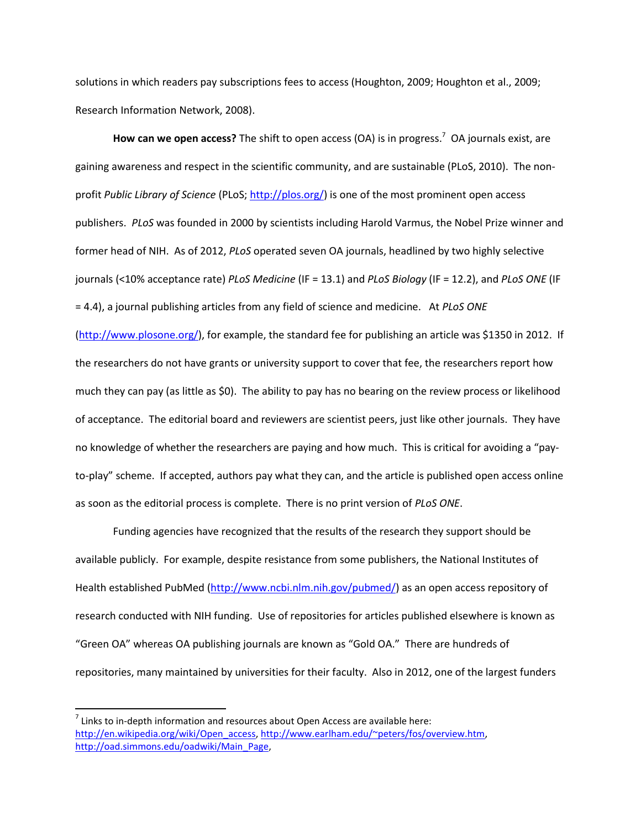solutions in which readers pay subscriptions fees to access (Houghton, 2009; Houghton et al., 2009; Research Information Network, 2008).

**How can we open access?** The shift to open access (OA) is in progress. 7 OA journals exist, are gaining awareness and respect in the scientific community, and are sustainable (PLoS, 2010). The nonprofit *Public Library of Science* (PLoS[; http://plos.org/\)](http://plos.org/) is one of the most prominent open access publishers. *PLoS* was founded in 2000 by scientists including Harold Varmus, the Nobel Prize winner and former head of NIH. As of 2012, *PLoS* operated seven OA journals, headlined by two highly selective journals (<10% acceptance rate) *PLoS Medicine* (IF = 13.1) and *PLoS Biology* (IF = 12.2), and *PLoS ONE* (IF = 4.4), a journal publishing articles from any field of science and medicine. At *PLoS ONE* [\(http://www.plosone.org/\)](http://www.plosone.org/), for example, the standard fee for publishing an article was \$1350 in 2012. If the researchers do not have grants or university support to cover that fee, the researchers report how much they can pay (as little as \$0). The ability to pay has no bearing on the review process or likelihood of acceptance. The editorial board and reviewers are scientist peers, just like other journals. They have no knowledge of whether the researchers are paying and how much. This is critical for avoiding a "payto-play" scheme. If accepted, authors pay what they can, and the article is published open access online as soon as the editorial process is complete. There is no print version of *PLoS ONE*.

Funding agencies have recognized that the results of the research they support should be available publicly. For example, despite resistance from some publishers, the National Institutes of Health established PubMed [\(http://www.ncbi.nlm.nih.gov/pubmed/\)](http://www.ncbi.nlm.nih.gov/pubmed/) as an open access repository of research conducted with NIH funding. Use of repositories for articles published elsewhere is known as "Green OA" whereas OA publishing journals are known as "Gold OA." There are hundreds of repositories, many maintained by universities for their faculty. Also in 2012, one of the largest funders

 $\overline{\phantom{a}}$ 

 $^7$  Links to in-depth information and resources about Open Access are available here: [http://en.wikipedia.org/wiki/Open\\_access,](http://en.wikipedia.org/wiki/Open_access) [http://www.earlham.edu/~peters/fos/overview.htm,](http://www.earlham.edu/~peters/fos/overview.htm)  [http://oad.simmons.edu/oadwiki/Main\\_Page,](http://oad.simmons.edu/oadwiki/Main_Page)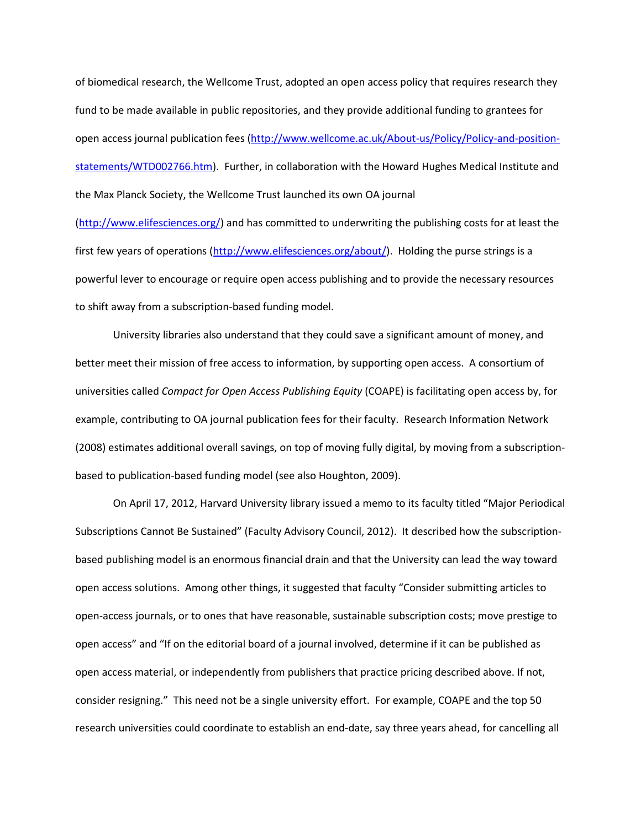of biomedical research, the Wellcome Trust, adopted an open access policy that requires research they fund to be made available in public repositories, and they provide additional funding to grantees for open access journal publication fees [\(http://www.wellcome.ac.uk/About-us/Policy/Policy-and-position](http://www.wellcome.ac.uk/About-us/Policy/Policy-and-position-statements/WTD002766.htm)[statements/WTD002766.htm\)](http://www.wellcome.ac.uk/About-us/Policy/Policy-and-position-statements/WTD002766.htm). Further, in collaboration with the Howard Hughes Medical Institute and the Max Planck Society, the Wellcome Trust launched its own OA journal

[\(http://www.elifesciences.org/\)](http://www.elifesciences.org/) and has committed to underwriting the publishing costs for at least the first few years of operations [\(http://www.elifesciences.org/about/\)](http://www.elifesciences.org/about/). Holding the purse strings is a powerful lever to encourage or require open access publishing and to provide the necessary resources to shift away from a subscription-based funding model.

University libraries also understand that they could save a significant amount of money, and better meet their mission of free access to information, by supporting open access. A consortium of universities called *Compact for Open Access Publishing Equity* (COAPE) is facilitating open access by, for example, contributing to OA journal publication fees for their faculty. Research Information Network (2008) estimates additional overall savings, on top of moving fully digital, by moving from a subscriptionbased to publication-based funding model (see also Houghton, 2009).

On April 17, 2012, Harvard University library issued a memo to its faculty titled "Major Periodical Subscriptions Cannot Be Sustained" (Faculty Advisory Council, 2012). It described how the subscriptionbased publishing model is an enormous financial drain and that the University can lead the way toward open access solutions. Among other things, it suggested that faculty "Consider submitting articles to open-access journals, or to ones that have reasonable, sustainable subscription costs; move prestige to open access" and "If on the editorial board of a journal involved, determine if it can be published as open access material, or independently from publishers that practice pricing described above. If not, consider resigning." This need not be a single university effort. For example, COAPE and the top 50 research universities could coordinate to establish an end-date, say three years ahead, for cancelling all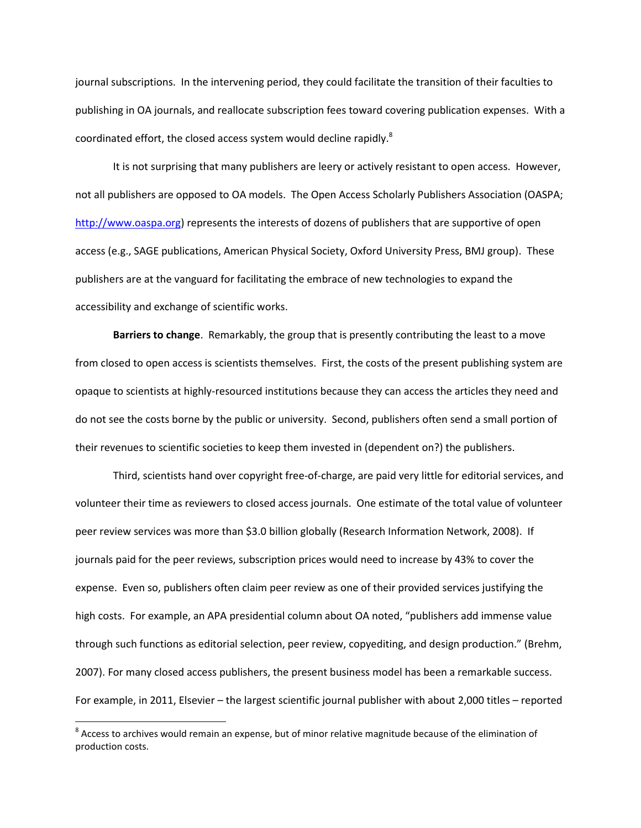journal subscriptions. In the intervening period, they could facilitate the transition of their faculties to publishing in OA journals, and reallocate subscription fees toward covering publication expenses. With a coordinated effort, the closed access system would decline rapidly. $^8$ 

It is not surprising that many publishers are leery or actively resistant to open access. However, not all publishers are opposed to OA models. The Open Access Scholarly Publishers Association (OASPA; [http://www.oaspa.org\)](http://www.oaspa.org/) represents the interests of dozens of publishers that are supportive of open access (e.g., SAGE publications, American Physical Society, Oxford University Press, BMJ group). These publishers are at the vanguard for facilitating the embrace of new technologies to expand the accessibility and exchange of scientific works.

**Barriers to change**. Remarkably, the group that is presently contributing the least to a move from closed to open access is scientists themselves. First, the costs of the present publishing system are opaque to scientists at highly-resourced institutions because they can access the articles they need and do not see the costs borne by the public or university. Second, publishers often send a small portion of their revenues to scientific societies to keep them invested in (dependent on?) the publishers.

Third, scientists hand over copyright free-of-charge, are paid very little for editorial services, and volunteer their time as reviewers to closed access journals. One estimate of the total value of volunteer peer review services was more than \$3.0 billion globally (Research Information Network, 2008). If journals paid for the peer reviews, subscription prices would need to increase by 43% to cover the expense. Even so, publishers often claim peer review as one of their provided services justifying the high costs. For example, an APA presidential column about OA noted, "publishers add immense value through such functions as editorial selection, peer review, copyediting, and design production." (Brehm, 2007). For many closed access publishers, the present business model has been a remarkable success. For example, in 2011, Elsevier – the largest scientific journal publisher with about 2,000 titles – reported

l

 $^8$  Access to archives would remain an expense, but of minor relative magnitude because of the elimination of production costs.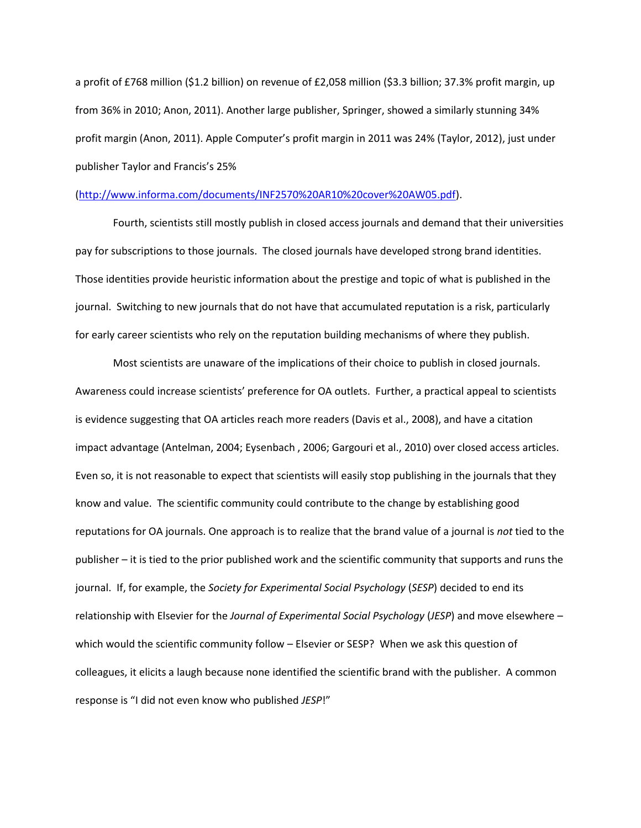a profit of £768 million (\$1.2 billion) on revenue of £2,058 million (\$3.3 billion; 37.3% profit margin, up from 36% in 2010; Anon, 2011). Another large publisher, Springer, showed a similarly stunning 34% profit margin (Anon, 2011). Apple Computer's profit margin in 2011 was 24% (Taylor, 2012), just under publisher Taylor and Francis's 25%

#### [\(http://www.informa.com/documents/INF2570%20AR10%20cover%20AW05.pdf\)](http://www.informa.com/documents/INF2570%20AR10%20cover%20AW05.pdf).

Fourth, scientists still mostly publish in closed access journals and demand that their universities pay for subscriptions to those journals. The closed journals have developed strong brand identities. Those identities provide heuristic information about the prestige and topic of what is published in the journal. Switching to new journals that do not have that accumulated reputation is a risk, particularly for early career scientists who rely on the reputation building mechanisms of where they publish.

Most scientists are unaware of the implications of their choice to publish in closed journals. Awareness could increase scientists' preference for OA outlets. Further, a practical appeal to scientists is evidence suggesting that OA articles reach more readers (Davis et al., 2008), and have a citation impact advantage (Antelman, 2004; Eysenbach , 2006; Gargouri et al., 2010) over closed access articles. Even so, it is not reasonable to expect that scientists will easily stop publishing in the journals that they know and value. The scientific community could contribute to the change by establishing good reputations for OA journals. One approach is to realize that the brand value of a journal is *not* tied to the publisher – it is tied to the prior published work and the scientific community that supports and runs the journal. If, for example, the *Society for Experimental Social Psychology* (*SESP*) decided to end its relationship with Elsevier for the *Journal of Experimental Social Psychology* (*JESP*) and move elsewhere – which would the scientific community follow – Elsevier or SESP? When we ask this question of colleagues, it elicits a laugh because none identified the scientific brand with the publisher. A common response is "I did not even know who published *JESP*!"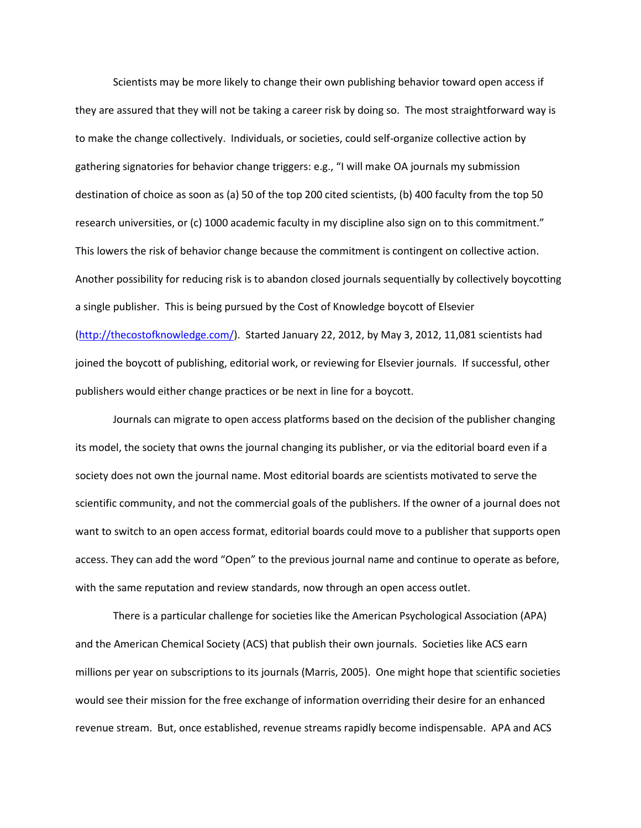Scientists may be more likely to change their own publishing behavior toward open access if they are assured that they will not be taking a career risk by doing so. The most straightforward way is to make the change collectively. Individuals, or societies, could self-organize collective action by gathering signatories for behavior change triggers: e.g., "I will make OA journals my submission destination of choice as soon as (a) 50 of the top 200 cited scientists, (b) 400 faculty from the top 50 research universities, or (c) 1000 academic faculty in my discipline also sign on to this commitment." This lowers the risk of behavior change because the commitment is contingent on collective action. Another possibility for reducing risk is to abandon closed journals sequentially by collectively boycotting a single publisher. This is being pursued by the Cost of Knowledge boycott of Elsevier [\(http://thecostofknowledge.com/\)](http://thecostofknowledge.com/). Started January 22, 2012, by May 3, 2012, 11,081 scientists had joined the boycott of publishing, editorial work, or reviewing for Elsevier journals. If successful, other publishers would either change practices or be next in line for a boycott.

Journals can migrate to open access platforms based on the decision of the publisher changing its model, the society that owns the journal changing its publisher, or via the editorial board even if a society does not own the journal name. Most editorial boards are scientists motivated to serve the scientific community, and not the commercial goals of the publishers. If the owner of a journal does not want to switch to an open access format, editorial boards could move to a publisher that supports open access. They can add the word "Open" to the previous journal name and continue to operate as before, with the same reputation and review standards, now through an open access outlet.

There is a particular challenge for societies like the American Psychological Association (APA) and the American Chemical Society (ACS) that publish their own journals. Societies like ACS earn millions per year on subscriptions to its journals (Marris, 2005). One might hope that scientific societies would see their mission for the free exchange of information overriding their desire for an enhanced revenue stream. But, once established, revenue streams rapidly become indispensable. APA and ACS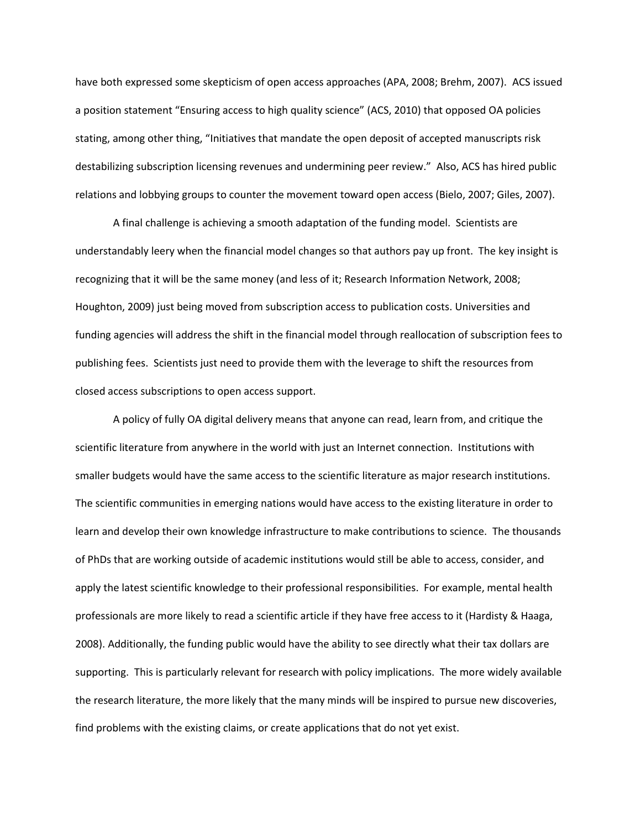have both expressed some skepticism of open access approaches (APA, 2008; Brehm, 2007). ACS issued a position statement "Ensuring access to high quality science" (ACS, 2010) that opposed OA policies stating, among other thing, "Initiatives that mandate the open deposit of accepted manuscripts risk destabilizing subscription licensing revenues and undermining peer review." Also, ACS has hired public relations and lobbying groups to counter the movement toward open access (Bielo, 2007; Giles, 2007).

A final challenge is achieving a smooth adaptation of the funding model. Scientists are understandably leery when the financial model changes so that authors pay up front. The key insight is recognizing that it will be the same money (and less of it; Research Information Network, 2008; Houghton, 2009) just being moved from subscription access to publication costs. Universities and funding agencies will address the shift in the financial model through reallocation of subscription fees to publishing fees. Scientists just need to provide them with the leverage to shift the resources from closed access subscriptions to open access support.

A policy of fully OA digital delivery means that anyone can read, learn from, and critique the scientific literature from anywhere in the world with just an Internet connection. Institutions with smaller budgets would have the same access to the scientific literature as major research institutions. The scientific communities in emerging nations would have access to the existing literature in order to learn and develop their own knowledge infrastructure to make contributions to science. The thousands of PhDs that are working outside of academic institutions would still be able to access, consider, and apply the latest scientific knowledge to their professional responsibilities. For example, mental health professionals are more likely to read a scientific article if they have free access to it (Hardisty & Haaga, 2008). Additionally, the funding public would have the ability to see directly what their tax dollars are supporting. This is particularly relevant for research with policy implications. The more widely available the research literature, the more likely that the many minds will be inspired to pursue new discoveries, find problems with the existing claims, or create applications that do not yet exist.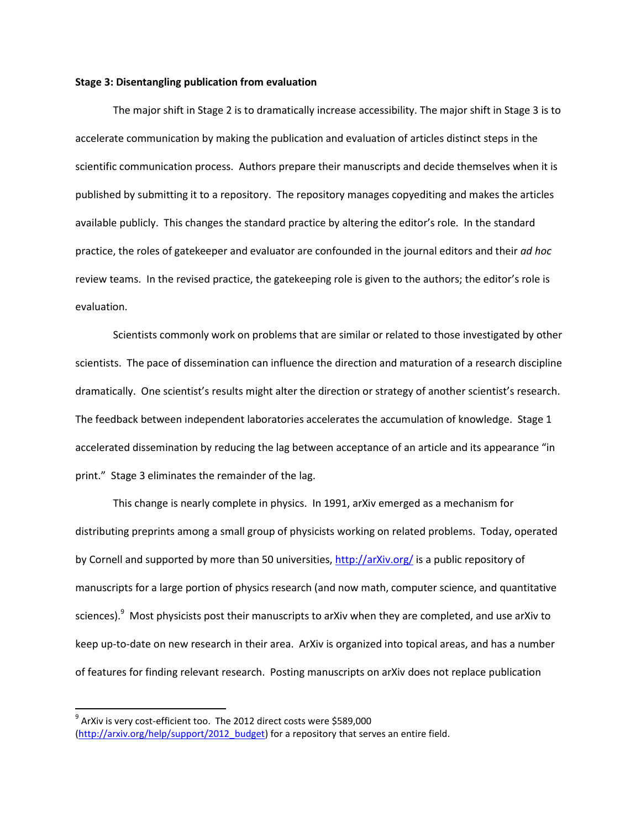# **Stage 3: Disentangling publication from evaluation**

The major shift in Stage 2 is to dramatically increase accessibility. The major shift in Stage 3 is to accelerate communication by making the publication and evaluation of articles distinct steps in the scientific communication process. Authors prepare their manuscripts and decide themselves when it is published by submitting it to a repository. The repository manages copyediting and makes the articles available publicly. This changes the standard practice by altering the editor's role. In the standard practice, the roles of gatekeeper and evaluator are confounded in the journal editors and their *ad hoc* review teams. In the revised practice, the gatekeeping role is given to the authors; the editor's role is evaluation.

Scientists commonly work on problems that are similar or related to those investigated by other scientists. The pace of dissemination can influence the direction and maturation of a research discipline dramatically. One scientist's results might alter the direction or strategy of another scientist's research. The feedback between independent laboratories accelerates the accumulation of knowledge. Stage 1 accelerated dissemination by reducing the lag between acceptance of an article and its appearance "in print." Stage 3 eliminates the remainder of the lag.

This change is nearly complete in physics. In 1991, arXiv emerged as a mechanism for distributing preprints among a small group of physicists working on related problems. Today, operated by Cornell and supported by more than 50 universities, [http://arXiv.org/](http://arxiv.org/) is a public repository of manuscripts for a large portion of physics research (and now math, computer science, and quantitative sciences).<sup>9</sup> Most physicists post their manuscripts to arXiv when they are completed, and use arXiv to keep up-to-date on new research in their area. ArXiv is organized into topical areas, and has a number of features for finding relevant research. Posting manuscripts on arXiv does not replace publication

 $\overline{\phantom{a}}$ 

 $^9$  ArXiv is very cost-efficient too. The 2012 direct costs were \$589,000 [\(http://arxiv.org/help/support/2012\\_budget\)](http://arxiv.org/help/support/2012_budget) for a repository that serves an entire field.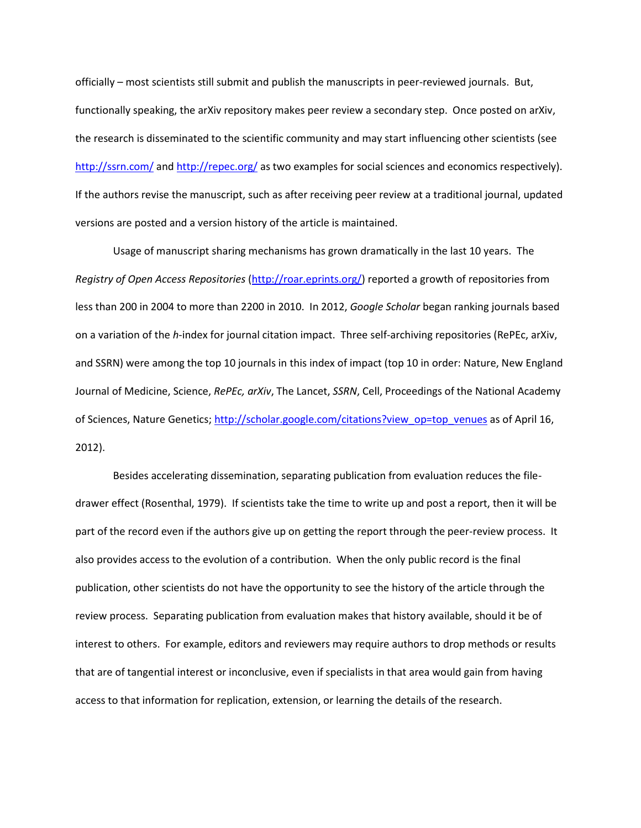officially – most scientists still submit and publish the manuscripts in peer-reviewed journals. But, functionally speaking, the arXiv repository makes peer review a secondary step. Once posted on arXiv, the research is disseminated to the scientific community and may start influencing other scientists (see <http://ssrn.com/> an[d http://repec.org/](http://repec.org/) as two examples for social sciences and economics respectively). If the authors revise the manuscript, such as after receiving peer review at a traditional journal, updated versions are posted and a version history of the article is maintained.

Usage of manuscript sharing mechanisms has grown dramatically in the last 10 years. The *Registry of Open Access Repositories* [\(http://roar.eprints.org/\)](http://roar.eprints.org/) reported a growth of repositories from less than 200 in 2004 to more than 2200 in 2010. In 2012, *Google Scholar* began ranking journals based on a variation of the *h*-index for journal citation impact. Three self-archiving repositories (RePEc, arXiv, and SSRN) were among the top 10 journals in this index of impact (top 10 in order: Nature, New England Journal of Medicine, Science, *RePEc, arXiv*, The Lancet, *SSRN*, Cell, Proceedings of the National Academy of Sciences, Nature Genetics[; http://scholar.google.com/citations?view\\_op=top\\_venues](http://scholar.google.com/citations?view_op=top_venues) as of April 16, 2012).

Besides accelerating dissemination, separating publication from evaluation reduces the filedrawer effect (Rosenthal, 1979). If scientists take the time to write up and post a report, then it will be part of the record even if the authors give up on getting the report through the peer-review process. It also provides access to the evolution of a contribution. When the only public record is the final publication, other scientists do not have the opportunity to see the history of the article through the review process. Separating publication from evaluation makes that history available, should it be of interest to others. For example, editors and reviewers may require authors to drop methods or results that are of tangential interest or inconclusive, even if specialists in that area would gain from having access to that information for replication, extension, or learning the details of the research.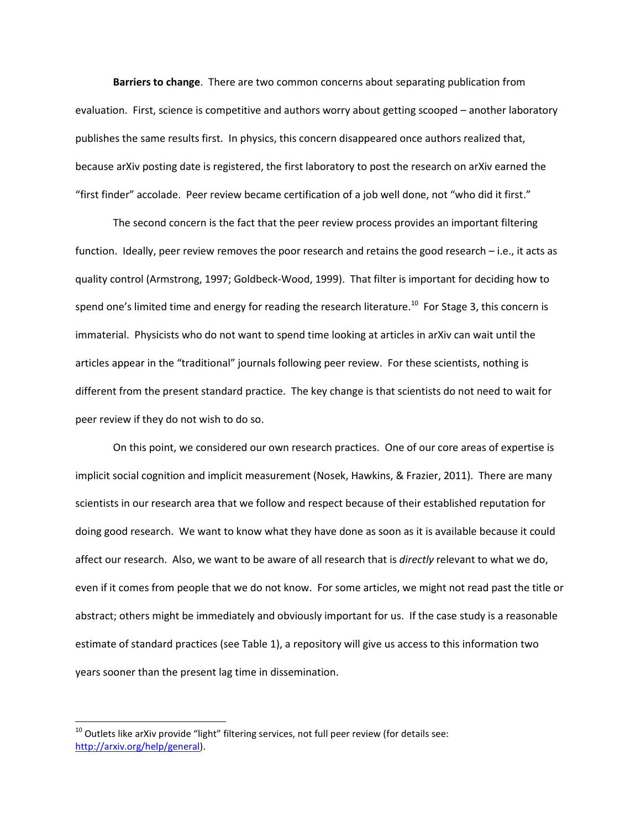**Barriers to change**. There are two common concerns about separating publication from evaluation. First, science is competitive and authors worry about getting scooped – another laboratory publishes the same results first. In physics, this concern disappeared once authors realized that, because arXiv posting date is registered, the first laboratory to post the research on arXiv earned the "first finder" accolade. Peer review became certification of a job well done, not "who did it first."

The second concern is the fact that the peer review process provides an important filtering function. Ideally, peer review removes the poor research and retains the good research – i.e., it acts as quality control (Armstrong, 1997; Goldbeck-Wood, 1999). That filter is important for deciding how to spend one's limited time and energy for reading the research literature.<sup>10</sup> For Stage 3, this concern is immaterial. Physicists who do not want to spend time looking at articles in arXiv can wait until the articles appear in the "traditional" journals following peer review. For these scientists, nothing is different from the present standard practice. The key change is that scientists do not need to wait for peer review if they do not wish to do so.

On this point, we considered our own research practices. One of our core areas of expertise is implicit social cognition and implicit measurement (Nosek, Hawkins, & Frazier, 2011). There are many scientists in our research area that we follow and respect because of their established reputation for doing good research. We want to know what they have done as soon as it is available because it could affect our research. Also, we want to be aware of all research that is *directly* relevant to what we do, even if it comes from people that we do not know. For some articles, we might not read past the title or abstract; others might be immediately and obviously important for us. If the case study is a reasonable estimate of standard practices (see Table 1), a repository will give us access to this information two years sooner than the present lag time in dissemination.

l

 $10$  Outlets like arXiv provide "light" filtering services, not full peer review (for details see: [http://arxiv.org/help/general\)](http://arxiv.org/help/general).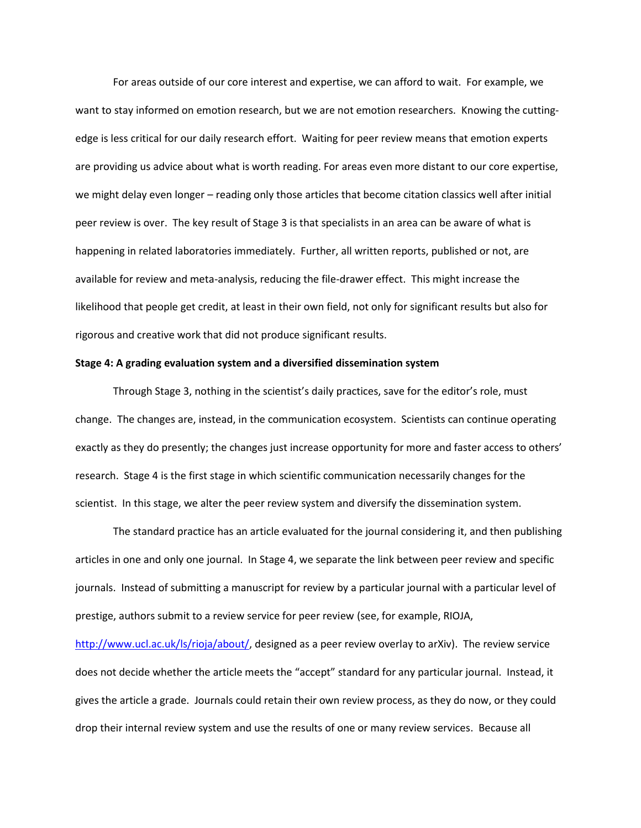For areas outside of our core interest and expertise, we can afford to wait. For example, we want to stay informed on emotion research, but we are not emotion researchers. Knowing the cuttingedge is less critical for our daily research effort. Waiting for peer review means that emotion experts are providing us advice about what is worth reading. For areas even more distant to our core expertise, we might delay even longer – reading only those articles that become citation classics well after initial peer review is over. The key result of Stage 3 is that specialists in an area can be aware of what is happening in related laboratories immediately. Further, all written reports, published or not, are available for review and meta-analysis, reducing the file-drawer effect. This might increase the likelihood that people get credit, at least in their own field, not only for significant results but also for rigorous and creative work that did not produce significant results.

# **Stage 4: A grading evaluation system and a diversified dissemination system**

Through Stage 3, nothing in the scientist's daily practices, save for the editor's role, must change. The changes are, instead, in the communication ecosystem. Scientists can continue operating exactly as they do presently; the changes just increase opportunity for more and faster access to others' research. Stage 4 is the first stage in which scientific communication necessarily changes for the scientist. In this stage, we alter the peer review system and diversify the dissemination system.

The standard practice has an article evaluated for the journal considering it, and then publishing articles in one and only one journal. In Stage 4, we separate the link between peer review and specific journals. Instead of submitting a manuscript for review by a particular journal with a particular level of prestige, authors submit to a review service for peer review (see, for example, RIOJA, [http://www.ucl.ac.uk/ls/rioja/about/,](http://www.ucl.ac.uk/ls/rioja/about/) designed as a peer review overlay to arXiv). The review service does not decide whether the article meets the "accept" standard for any particular journal. Instead, it gives the article a grade. Journals could retain their own review process, as they do now, or they could drop their internal review system and use the results of one or many review services. Because all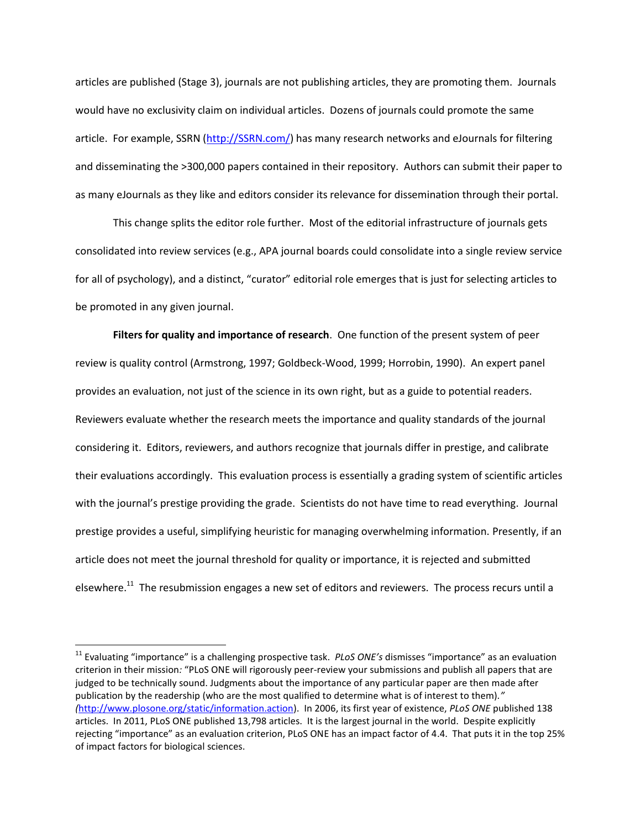articles are published (Stage 3), journals are not publishing articles, they are promoting them. Journals would have no exclusivity claim on individual articles. Dozens of journals could promote the same article. For example, SSRN [\(http://SSRN.com/\)](http://ssrn.com/) has many research networks and eJournals for filtering and disseminating the >300,000 papers contained in their repository. Authors can submit their paper to as many eJournals as they like and editors consider its relevance for dissemination through their portal.

This change splits the editor role further. Most of the editorial infrastructure of journals gets consolidated into review services (e.g., APA journal boards could consolidate into a single review service for all of psychology), and a distinct, "curator" editorial role emerges that is just for selecting articles to be promoted in any given journal.

**Filters for quality and importance of research**. One function of the present system of peer review is quality control (Armstrong, 1997; Goldbeck-Wood, 1999; Horrobin, 1990). An expert panel provides an evaluation, not just of the science in its own right, but as a guide to potential readers. Reviewers evaluate whether the research meets the importance and quality standards of the journal considering it. Editors, reviewers, and authors recognize that journals differ in prestige, and calibrate their evaluations accordingly. This evaluation process is essentially a grading system of scientific articles with the journal's prestige providing the grade. Scientists do not have time to read everything. Journal prestige provides a useful, simplifying heuristic for managing overwhelming information. Presently, if an article does not meet the journal threshold for quality or importance, it is rejected and submitted elsewhere.<sup>11</sup> The resubmission engages a new set of editors and reviewers. The process recurs until a

 $\overline{\phantom{a}}$ 

<sup>11</sup> Evaluating "importance" is a challenging prospective task. *PLoS ONE's* dismisses "importance" as an evaluation criterion in their mission*:* "PLoS ONE will rigorously peer-review your submissions and publish all papers that are judged to be technically sound. Judgments about the importance of any particular paper are then made after publication by the readership (who are the most qualified to determine what is of interest to them).*" (*[http://www.plosone.org/static/information.action\)](http://www.plosone.org/static/information.action). In 2006, its first year of existence, *PLoS ONE* published 138 articles. In 2011, PLoS ONE published 13,798 articles. It is the largest journal in the world. Despite explicitly rejecting "importance" as an evaluation criterion, PLoS ONE has an impact factor of 4.4. That puts it in the top 25% of impact factors for biological sciences.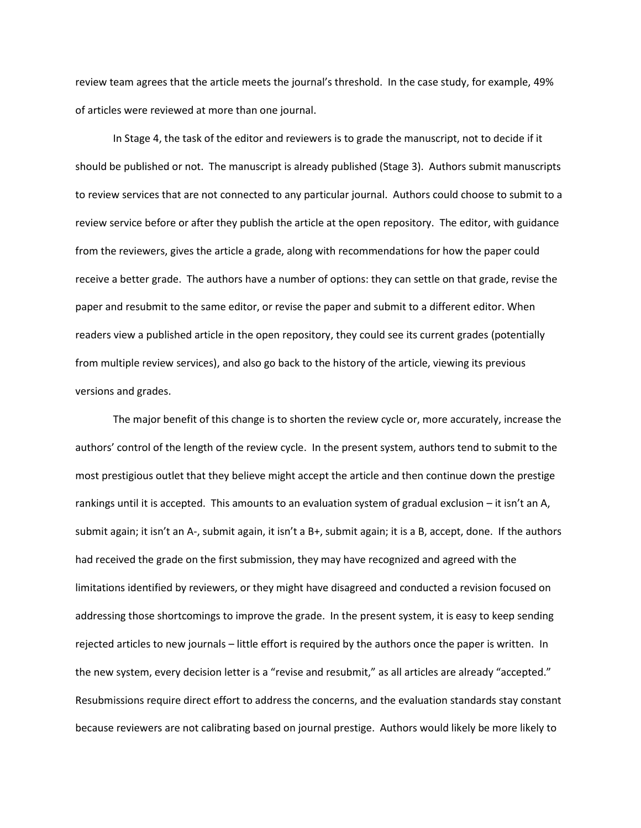review team agrees that the article meets the journal's threshold. In the case study, for example, 49% of articles were reviewed at more than one journal.

In Stage 4, the task of the editor and reviewers is to grade the manuscript, not to decide if it should be published or not. The manuscript is already published (Stage 3). Authors submit manuscripts to review services that are not connected to any particular journal. Authors could choose to submit to a review service before or after they publish the article at the open repository. The editor, with guidance from the reviewers, gives the article a grade, along with recommendations for how the paper could receive a better grade. The authors have a number of options: they can settle on that grade, revise the paper and resubmit to the same editor, or revise the paper and submit to a different editor. When readers view a published article in the open repository, they could see its current grades (potentially from multiple review services), and also go back to the history of the article, viewing its previous versions and grades.

The major benefit of this change is to shorten the review cycle or, more accurately, increase the authors' control of the length of the review cycle. In the present system, authors tend to submit to the most prestigious outlet that they believe might accept the article and then continue down the prestige rankings until it is accepted. This amounts to an evaluation system of gradual exclusion – it isn't an A, submit again; it isn't an A-, submit again, it isn't a B+, submit again; it is a B, accept, done. If the authors had received the grade on the first submission, they may have recognized and agreed with the limitations identified by reviewers, or they might have disagreed and conducted a revision focused on addressing those shortcomings to improve the grade. In the present system, it is easy to keep sending rejected articles to new journals – little effort is required by the authors once the paper is written. In the new system, every decision letter is a "revise and resubmit," as all articles are already "accepted." Resubmissions require direct effort to address the concerns, and the evaluation standards stay constant because reviewers are not calibrating based on journal prestige. Authors would likely be more likely to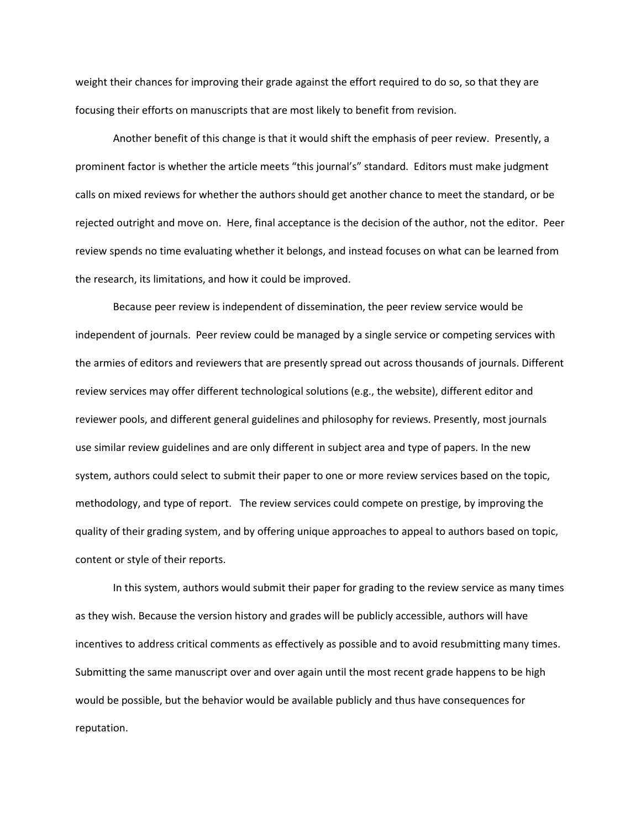weight their chances for improving their grade against the effort required to do so, so that they are focusing their efforts on manuscripts that are most likely to benefit from revision.

Another benefit of this change is that it would shift the emphasis of peer review. Presently, a prominent factor is whether the article meets "this journal's" standard. Editors must make judgment calls on mixed reviews for whether the authors should get another chance to meet the standard, or be rejected outright and move on. Here, final acceptance is the decision of the author, not the editor. Peer review spends no time evaluating whether it belongs, and instead focuses on what can be learned from the research, its limitations, and how it could be improved.

Because peer review is independent of dissemination, the peer review service would be independent of journals. Peer review could be managed by a single service or competing services with the armies of editors and reviewers that are presently spread out across thousands of journals. Different review services may offer different technological solutions (e.g., the website), different editor and reviewer pools, and different general guidelines and philosophy for reviews. Presently, most journals use similar review guidelines and are only different in subject area and type of papers. In the new system, authors could select to submit their paper to one or more review services based on the topic, methodology, and type of report. The review services could compete on prestige, by improving the quality of their grading system, and by offering unique approaches to appeal to authors based on topic, content or style of their reports.

In this system, authors would submit their paper for grading to the review service as many times as they wish. Because the version history and grades will be publicly accessible, authors will have incentives to address critical comments as effectively as possible and to avoid resubmitting many times. Submitting the same manuscript over and over again until the most recent grade happens to be high would be possible, but the behavior would be available publicly and thus have consequences for reputation.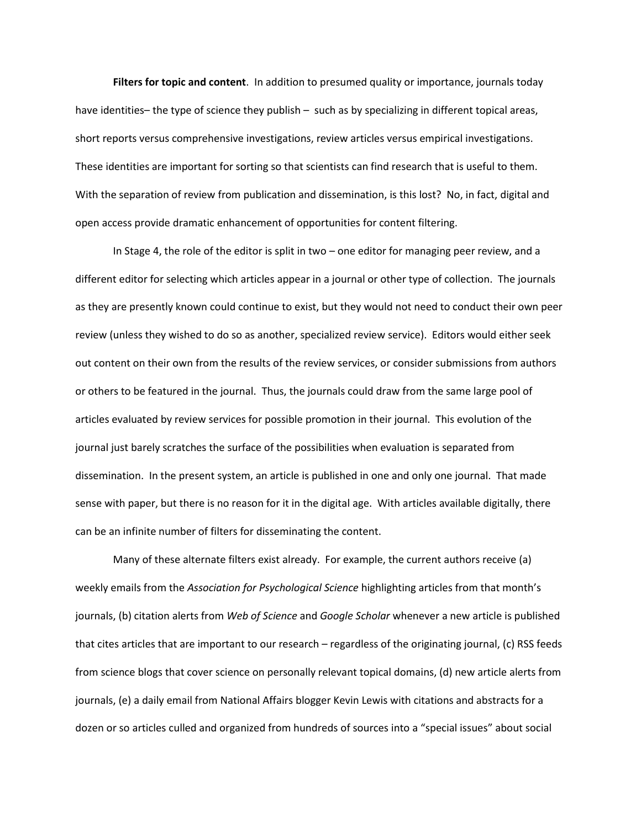**Filters for topic and content**. In addition to presumed quality or importance, journals today have identities– the type of science they publish – such as by specializing in different topical areas, short reports versus comprehensive investigations, review articles versus empirical investigations. These identities are important for sorting so that scientists can find research that is useful to them. With the separation of review from publication and dissemination, is this lost? No, in fact, digital and open access provide dramatic enhancement of opportunities for content filtering.

In Stage 4, the role of the editor is split in two – one editor for managing peer review, and a different editor for selecting which articles appear in a journal or other type of collection. The journals as they are presently known could continue to exist, but they would not need to conduct their own peer review (unless they wished to do so as another, specialized review service). Editors would either seek out content on their own from the results of the review services, or consider submissions from authors or others to be featured in the journal. Thus, the journals could draw from the same large pool of articles evaluated by review services for possible promotion in their journal. This evolution of the journal just barely scratches the surface of the possibilities when evaluation is separated from dissemination. In the present system, an article is published in one and only one journal. That made sense with paper, but there is no reason for it in the digital age. With articles available digitally, there can be an infinite number of filters for disseminating the content.

Many of these alternate filters exist already. For example, the current authors receive (a) weekly emails from the *Association for Psychological Science* highlighting articles from that month's journals, (b) citation alerts from *Web of Science* and *Google Scholar* whenever a new article is published that cites articles that are important to our research – regardless of the originating journal, (c) RSS feeds from science blogs that cover science on personally relevant topical domains, (d) new article alerts from journals, (e) a daily email from National Affairs blogger Kevin Lewis with citations and abstracts for a dozen or so articles culled and organized from hundreds of sources into a "special issues" about social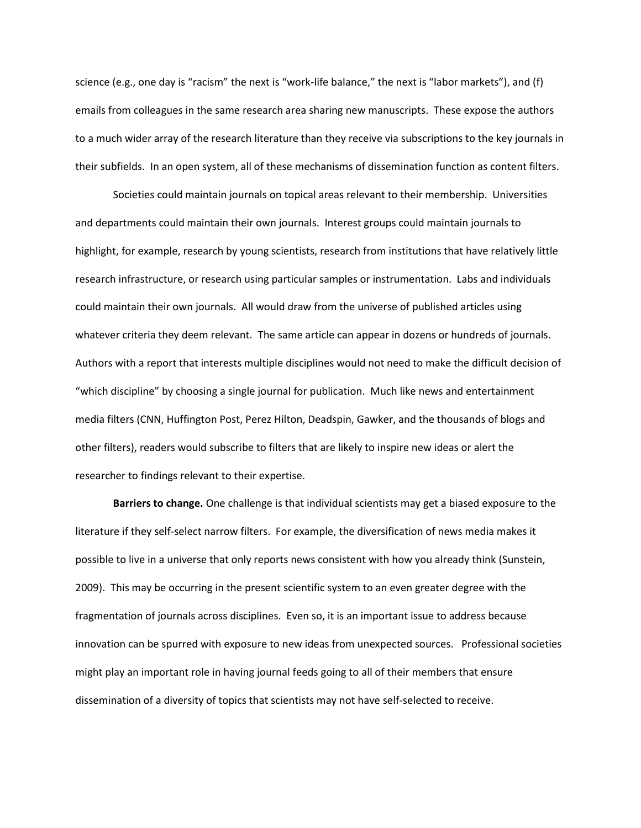science (e.g., one day is "racism" the next is "work-life balance," the next is "labor markets"), and (f) emails from colleagues in the same research area sharing new manuscripts. These expose the authors to a much wider array of the research literature than they receive via subscriptions to the key journals in their subfields. In an open system, all of these mechanisms of dissemination function as content filters.

Societies could maintain journals on topical areas relevant to their membership. Universities and departments could maintain their own journals. Interest groups could maintain journals to highlight, for example, research by young scientists, research from institutions that have relatively little research infrastructure, or research using particular samples or instrumentation. Labs and individuals could maintain their own journals. All would draw from the universe of published articles using whatever criteria they deem relevant. The same article can appear in dozens or hundreds of journals. Authors with a report that interests multiple disciplines would not need to make the difficult decision of "which discipline" by choosing a single journal for publication. Much like news and entertainment media filters (CNN, Huffington Post, Perez Hilton, Deadspin, Gawker, and the thousands of blogs and other filters), readers would subscribe to filters that are likely to inspire new ideas or alert the researcher to findings relevant to their expertise.

**Barriers to change.** One challenge is that individual scientists may get a biased exposure to the literature if they self-select narrow filters. For example, the diversification of news media makes it possible to live in a universe that only reports news consistent with how you already think (Sunstein, 2009). This may be occurring in the present scientific system to an even greater degree with the fragmentation of journals across disciplines. Even so, it is an important issue to address because innovation can be spurred with exposure to new ideas from unexpected sources. Professional societies might play an important role in having journal feeds going to all of their members that ensure dissemination of a diversity of topics that scientists may not have self-selected to receive.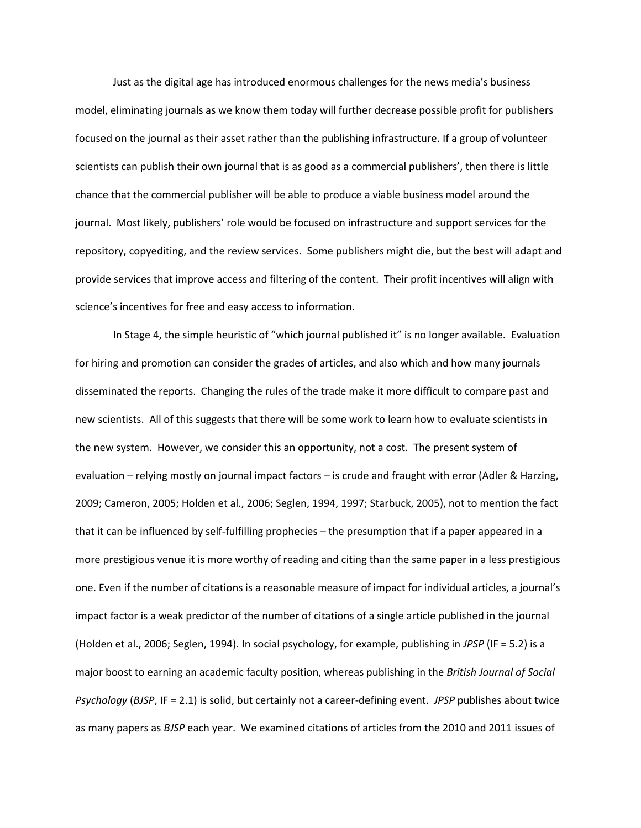Just as the digital age has introduced enormous challenges for the news media's business model, eliminating journals as we know them today will further decrease possible profit for publishers focused on the journal as their asset rather than the publishing infrastructure. If a group of volunteer scientists can publish their own journal that is as good as a commercial publishers', then there is little chance that the commercial publisher will be able to produce a viable business model around the journal. Most likely, publishers' role would be focused on infrastructure and support services for the repository, copyediting, and the review services. Some publishers might die, but the best will adapt and provide services that improve access and filtering of the content. Their profit incentives will align with science's incentives for free and easy access to information.

In Stage 4, the simple heuristic of "which journal published it" is no longer available. Evaluation for hiring and promotion can consider the grades of articles, and also which and how many journals disseminated the reports. Changing the rules of the trade make it more difficult to compare past and new scientists. All of this suggests that there will be some work to learn how to evaluate scientists in the new system. However, we consider this an opportunity, not a cost. The present system of evaluation – relying mostly on journal impact factors – is crude and fraught with error (Adler & Harzing, 2009; Cameron, 2005; Holden et al., 2006; Seglen, 1994, 1997; Starbuck, 2005), not to mention the fact that it can be influenced by self-fulfilling prophecies – the presumption that if a paper appeared in a more prestigious venue it is more worthy of reading and citing than the same paper in a less prestigious one. Even if the number of citations is a reasonable measure of impact for individual articles, a journal's impact factor is a weak predictor of the number of citations of a single article published in the journal (Holden et al., 2006; Seglen, 1994). In social psychology, for example, publishing in *JPSP* (IF = 5.2) is a major boost to earning an academic faculty position, whereas publishing in the *British Journal of Social Psychology* (*BJSP*, IF = 2.1) is solid, but certainly not a career-defining event. *JPSP* publishes about twice as many papers as *BJSP* each year. We examined citations of articles from the 2010 and 2011 issues of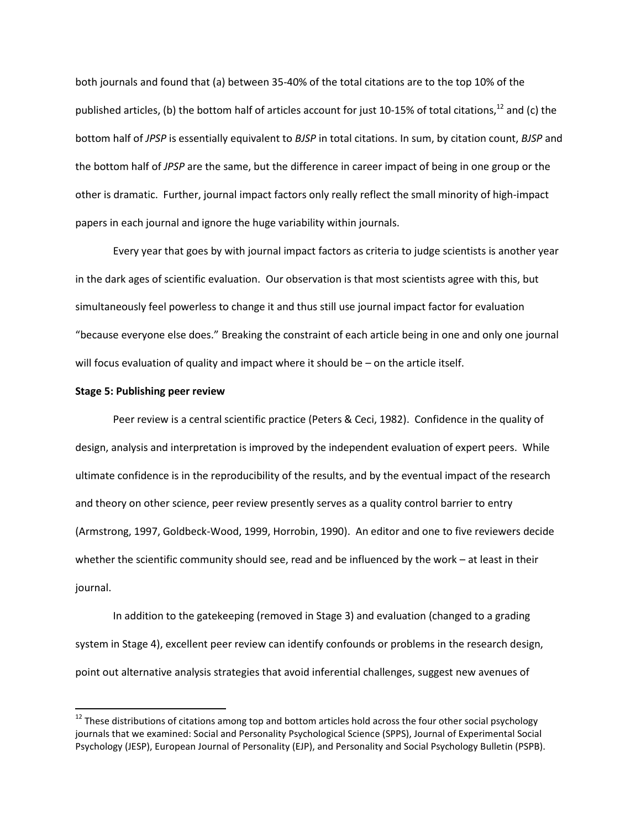both journals and found that (a) between 35-40% of the total citations are to the top 10% of the published articles, (b) the bottom half of articles account for just 10-15% of total citations,<sup>12</sup> and (c) the bottom half of *JPSP* is essentially equivalent to *BJSP* in total citations. In sum, by citation count, *BJSP* and the bottom half of *JPSP* are the same, but the difference in career impact of being in one group or the other is dramatic. Further, journal impact factors only really reflect the small minority of high-impact papers in each journal and ignore the huge variability within journals.

Every year that goes by with journal impact factors as criteria to judge scientists is another year in the dark ages of scientific evaluation. Our observation is that most scientists agree with this, but simultaneously feel powerless to change it and thus still use journal impact factor for evaluation "because everyone else does." Breaking the constraint of each article being in one and only one journal will focus evaluation of quality and impact where it should be – on the article itself.

# **Stage 5: Publishing peer review**

 $\overline{\phantom{a}}$ 

Peer review is a central scientific practice (Peters & Ceci, 1982). Confidence in the quality of design, analysis and interpretation is improved by the independent evaluation of expert peers. While ultimate confidence is in the reproducibility of the results, and by the eventual impact of the research and theory on other science, peer review presently serves as a quality control barrier to entry (Armstrong, 1997, Goldbeck-Wood, 1999, Horrobin, 1990). An editor and one to five reviewers decide whether the scientific community should see, read and be influenced by the work – at least in their journal.

In addition to the gatekeeping (removed in Stage 3) and evaluation (changed to a grading system in Stage 4), excellent peer review can identify confounds or problems in the research design, point out alternative analysis strategies that avoid inferential challenges, suggest new avenues of

 $^{12}$  These distributions of citations among top and bottom articles hold across the four other social psychology journals that we examined: Social and Personality Psychological Science (SPPS), Journal of Experimental Social Psychology (JESP), European Journal of Personality (EJP), and Personality and Social Psychology Bulletin (PSPB).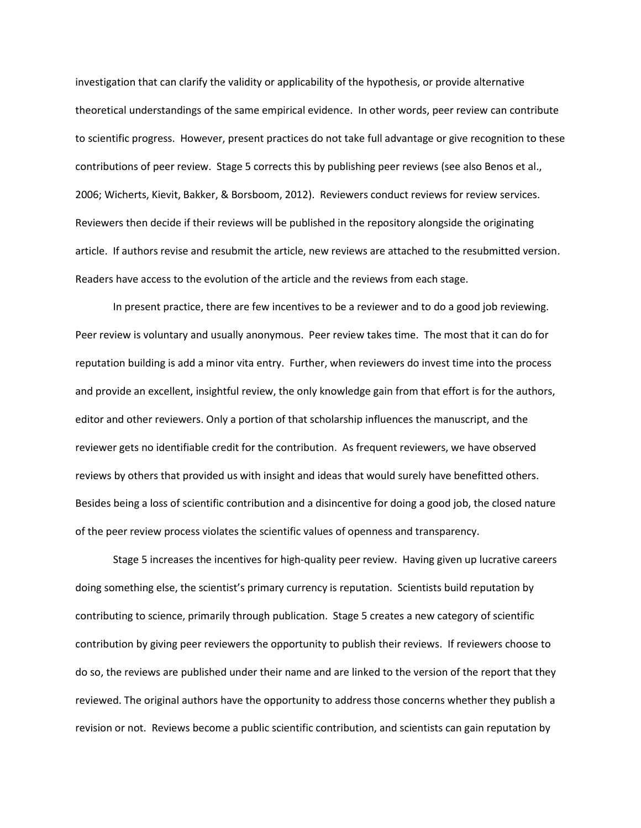investigation that can clarify the validity or applicability of the hypothesis, or provide alternative theoretical understandings of the same empirical evidence. In other words, peer review can contribute to scientific progress. However, present practices do not take full advantage or give recognition to these contributions of peer review. Stage 5 corrects this by publishing peer reviews (see also Benos et al., 2006; Wicherts, Kievit, Bakker, & Borsboom, 2012). Reviewers conduct reviews for review services. Reviewers then decide if their reviews will be published in the repository alongside the originating article. If authors revise and resubmit the article, new reviews are attached to the resubmitted version. Readers have access to the evolution of the article and the reviews from each stage.

In present practice, there are few incentives to be a reviewer and to do a good job reviewing. Peer review is voluntary and usually anonymous. Peer review takes time. The most that it can do for reputation building is add a minor vita entry. Further, when reviewers do invest time into the process and provide an excellent, insightful review, the only knowledge gain from that effort is for the authors, editor and other reviewers. Only a portion of that scholarship influences the manuscript, and the reviewer gets no identifiable credit for the contribution. As frequent reviewers, we have observed reviews by others that provided us with insight and ideas that would surely have benefitted others. Besides being a loss of scientific contribution and a disincentive for doing a good job, the closed nature of the peer review process violates the scientific values of openness and transparency.

Stage 5 increases the incentives for high-quality peer review. Having given up lucrative careers doing something else, the scientist's primary currency is reputation. Scientists build reputation by contributing to science, primarily through publication. Stage 5 creates a new category of scientific contribution by giving peer reviewers the opportunity to publish their reviews. If reviewers choose to do so, the reviews are published under their name and are linked to the version of the report that they reviewed. The original authors have the opportunity to address those concerns whether they publish a revision or not. Reviews become a public scientific contribution, and scientists can gain reputation by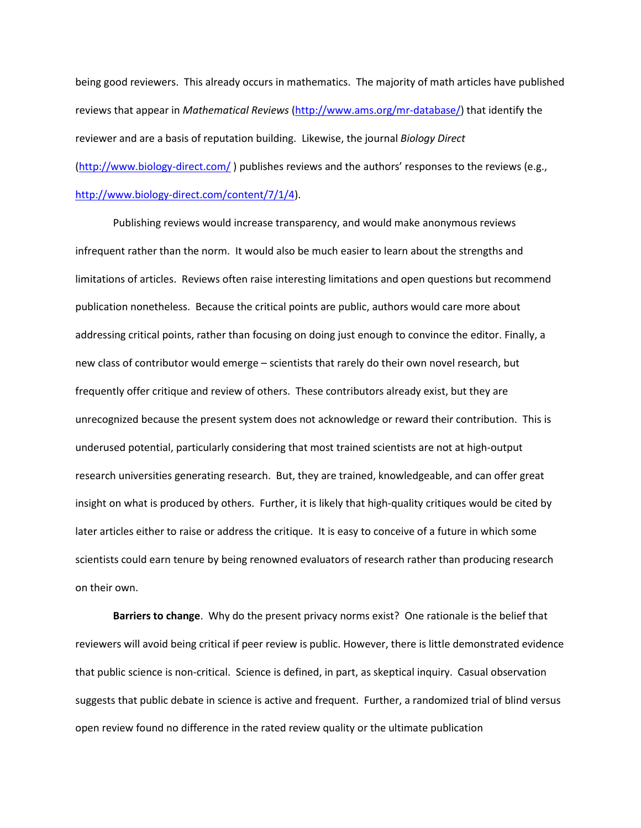being good reviewers. This already occurs in mathematics. The majority of math articles have published reviews that appear in *Mathematical Reviews* [\(http://www.ams.org/mr-database/\)](http://www.ams.org/mr-database/) that identify the reviewer and are a basis of reputation building. Likewise, the journal *Biology Direct* [\(http://www.biology-direct.com/](http://www.biology-direct.com/content/7/1/4) ) publishes reviews and the authors' responses to the reviews (e.g., [http://www.biology-direct.com/content/7/1/4\)](http://www.biology-direct.com/content/7/1/4).

Publishing reviews would increase transparency, and would make anonymous reviews infrequent rather than the norm. It would also be much easier to learn about the strengths and limitations of articles. Reviews often raise interesting limitations and open questions but recommend publication nonetheless. Because the critical points are public, authors would care more about addressing critical points, rather than focusing on doing just enough to convince the editor. Finally, a new class of contributor would emerge – scientists that rarely do their own novel research, but frequently offer critique and review of others. These contributors already exist, but they are unrecognized because the present system does not acknowledge or reward their contribution. This is underused potential, particularly considering that most trained scientists are not at high-output research universities generating research. But, they are trained, knowledgeable, and can offer great insight on what is produced by others. Further, it is likely that high-quality critiques would be cited by later articles either to raise or address the critique. It is easy to conceive of a future in which some scientists could earn tenure by being renowned evaluators of research rather than producing research on their own.

**Barriers to change**. Why do the present privacy norms exist? One rationale is the belief that reviewers will avoid being critical if peer review is public. However, there is little demonstrated evidence that public science is non-critical. Science is defined, in part, as skeptical inquiry. Casual observation suggests that public debate in science is active and frequent. Further, a randomized trial of blind versus open review found no difference in the rated review quality or the ultimate publication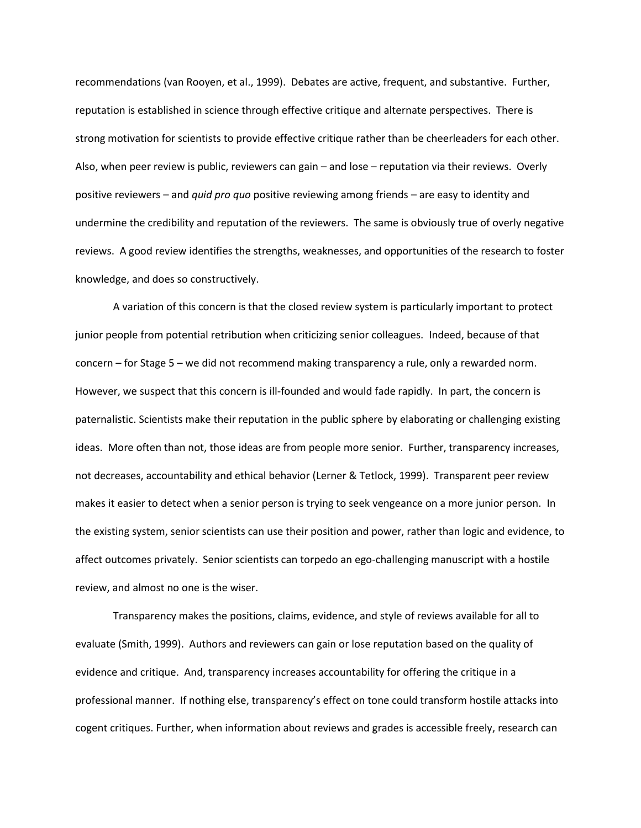recommendations (van Rooyen, et al., 1999). Debates are active, frequent, and substantive. Further, reputation is established in science through effective critique and alternate perspectives. There is strong motivation for scientists to provide effective critique rather than be cheerleaders for each other. Also, when peer review is public, reviewers can gain – and lose – reputation via their reviews. Overly positive reviewers – and *quid pro quo* positive reviewing among friends – are easy to identity and undermine the credibility and reputation of the reviewers. The same is obviously true of overly negative reviews. A good review identifies the strengths, weaknesses, and opportunities of the research to foster knowledge, and does so constructively.

A variation of this concern is that the closed review system is particularly important to protect junior people from potential retribution when criticizing senior colleagues. Indeed, because of that concern – for Stage 5 – we did not recommend making transparency a rule, only a rewarded norm. However, we suspect that this concern is ill-founded and would fade rapidly. In part, the concern is paternalistic. Scientists make their reputation in the public sphere by elaborating or challenging existing ideas. More often than not, those ideas are from people more senior. Further, transparency increases, not decreases, accountability and ethical behavior (Lerner & Tetlock, 1999). Transparent peer review makes it easier to detect when a senior person is trying to seek vengeance on a more junior person. In the existing system, senior scientists can use their position and power, rather than logic and evidence, to affect outcomes privately. Senior scientists can torpedo an ego-challenging manuscript with a hostile review, and almost no one is the wiser.

Transparency makes the positions, claims, evidence, and style of reviews available for all to evaluate (Smith, 1999). Authors and reviewers can gain or lose reputation based on the quality of evidence and critique. And, transparency increases accountability for offering the critique in a professional manner. If nothing else, transparency's effect on tone could transform hostile attacks into cogent critiques. Further, when information about reviews and grades is accessible freely, research can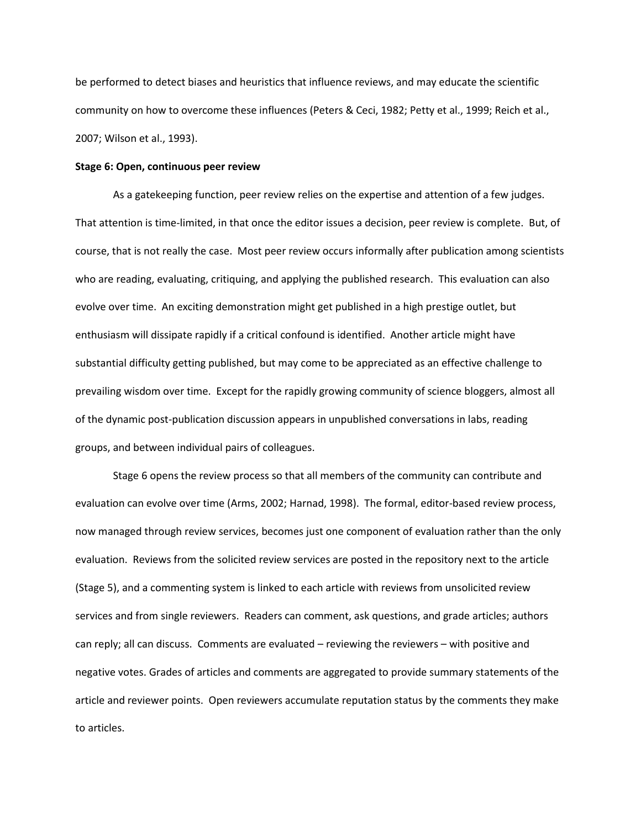be performed to detect biases and heuristics that influence reviews, and may educate the scientific community on how to overcome these influences (Peters & Ceci, 1982; Petty et al., 1999; Reich et al., 2007; Wilson et al., 1993).

# **Stage 6: Open, continuous peer review**

As a gatekeeping function, peer review relies on the expertise and attention of a few judges. That attention is time-limited, in that once the editor issues a decision, peer review is complete. But, of course, that is not really the case. Most peer review occurs informally after publication among scientists who are reading, evaluating, critiquing, and applying the published research. This evaluation can also evolve over time. An exciting demonstration might get published in a high prestige outlet, but enthusiasm will dissipate rapidly if a critical confound is identified. Another article might have substantial difficulty getting published, but may come to be appreciated as an effective challenge to prevailing wisdom over time. Except for the rapidly growing community of science bloggers, almost all of the dynamic post-publication discussion appears in unpublished conversations in labs, reading groups, and between individual pairs of colleagues.

Stage 6 opens the review process so that all members of the community can contribute and evaluation can evolve over time (Arms, 2002; Harnad, 1998). The formal, editor-based review process, now managed through review services, becomes just one component of evaluation rather than the only evaluation. Reviews from the solicited review services are posted in the repository next to the article (Stage 5), and a commenting system is linked to each article with reviews from unsolicited review services and from single reviewers. Readers can comment, ask questions, and grade articles; authors can reply; all can discuss. Comments are evaluated – reviewing the reviewers – with positive and negative votes. Grades of articles and comments are aggregated to provide summary statements of the article and reviewer points. Open reviewers accumulate reputation status by the comments they make to articles.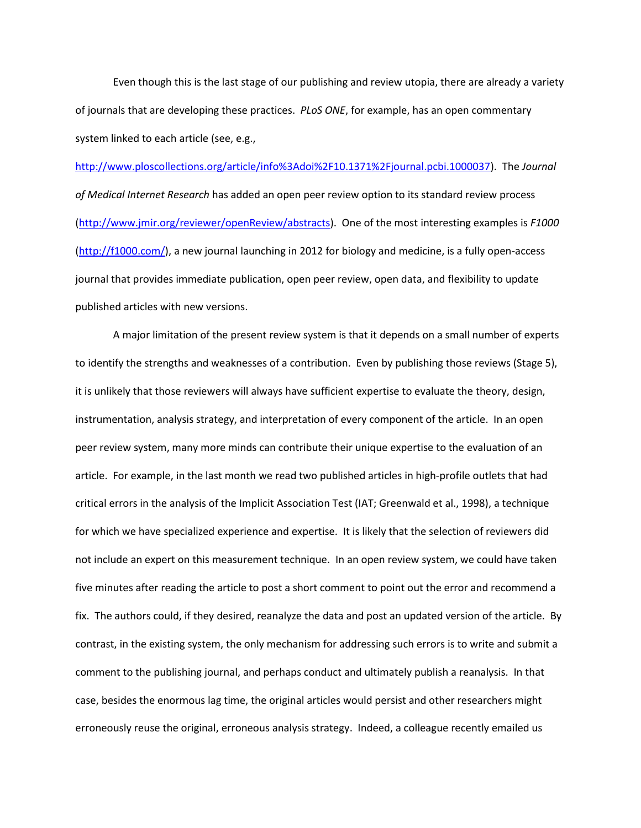Even though this is the last stage of our publishing and review utopia, there are already a variety of journals that are developing these practices. *PLoS ONE*, for example, has an open commentary system linked to each article (see, e.g.,

[http://www.ploscollections.org/article/info%3Adoi%2F10.1371%2Fjournal.pcbi.1000037\)](http://www.ploscollections.org/article/info%3Adoi%2F10.1371%2Fjournal.pcbi.1000037). The *Journal of Medical Internet Research* has added an open peer review option to its standard review process [\(http://www.jmir.org/reviewer/openReview/abstracts\)](http://www.jmir.org/reviewer/openReview/abstracts). One of the most interesting examples is *F1000* [\(http://f1000.com/\)](http://f1000.com/), a new journal launching in 2012 for biology and medicine, is a fully open-access journal that provides immediate publication, open peer review, open data, and flexibility to update published articles with new versions.

A major limitation of the present review system is that it depends on a small number of experts to identify the strengths and weaknesses of a contribution. Even by publishing those reviews (Stage 5), it is unlikely that those reviewers will always have sufficient expertise to evaluate the theory, design, instrumentation, analysis strategy, and interpretation of every component of the article. In an open peer review system, many more minds can contribute their unique expertise to the evaluation of an article. For example, in the last month we read two published articles in high-profile outlets that had critical errors in the analysis of the Implicit Association Test (IAT; Greenwald et al., 1998), a technique for which we have specialized experience and expertise. It is likely that the selection of reviewers did not include an expert on this measurement technique. In an open review system, we could have taken five minutes after reading the article to post a short comment to point out the error and recommend a fix. The authors could, if they desired, reanalyze the data and post an updated version of the article. By contrast, in the existing system, the only mechanism for addressing such errors is to write and submit a comment to the publishing journal, and perhaps conduct and ultimately publish a reanalysis. In that case, besides the enormous lag time, the original articles would persist and other researchers might erroneously reuse the original, erroneous analysis strategy. Indeed, a colleague recently emailed us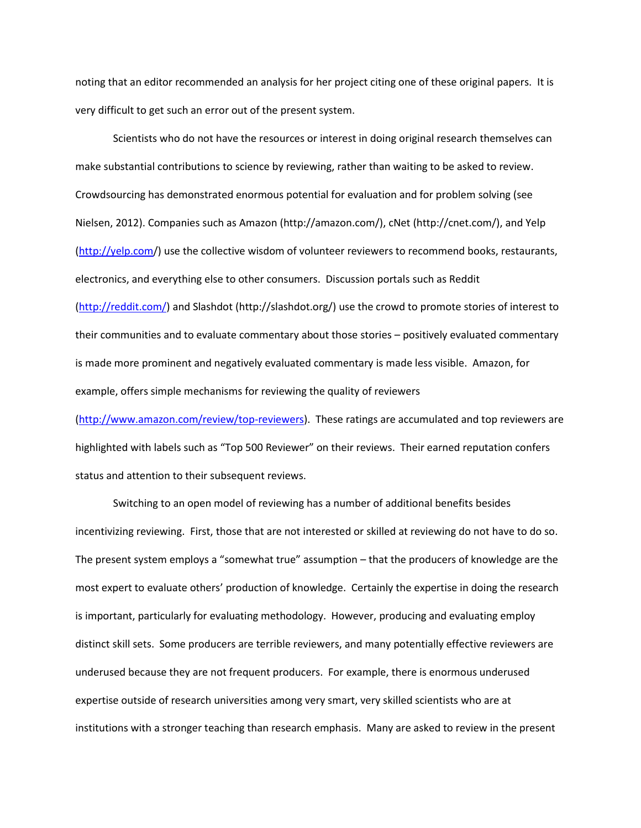noting that an editor recommended an analysis for her project citing one of these original papers. It is very difficult to get such an error out of the present system.

Scientists who do not have the resources or interest in doing original research themselves can make substantial contributions to science by reviewing, rather than waiting to be asked to review. Crowdsourcing has demonstrated enormous potential for evaluation and for problem solving (see Nielsen, 2012). Companies such as Amazon (http://amazon.com/), cNet (http://cnet.com/), and Yelp [\(http://yelp.com/](http://yelp.com/)) use the collective wisdom of volunteer reviewers to recommend books, restaurants, electronics, and everything else to other consumers. Discussion portals such as Reddit [\(http://reddit.com/\)](http://reddit.com/) and Slashdot (http://slashdot.org/) use the crowd to promote stories of interest to their communities and to evaluate commentary about those stories – positively evaluated commentary is made more prominent and negatively evaluated commentary is made less visible. Amazon, for example, offers simple mechanisms for reviewing the quality of reviewers

[\(http://www.amazon.com/review/top-reviewers\)](http://www.amazon.com/review/top-reviewers). These ratings are accumulated and top reviewers are highlighted with labels such as "Top 500 Reviewer" on their reviews. Their earned reputation confers status and attention to their subsequent reviews.

Switching to an open model of reviewing has a number of additional benefits besides incentivizing reviewing. First, those that are not interested or skilled at reviewing do not have to do so. The present system employs a "somewhat true" assumption – that the producers of knowledge are the most expert to evaluate others' production of knowledge. Certainly the expertise in doing the research is important, particularly for evaluating methodology. However, producing and evaluating employ distinct skill sets. Some producers are terrible reviewers, and many potentially effective reviewers are underused because they are not frequent producers. For example, there is enormous underused expertise outside of research universities among very smart, very skilled scientists who are at institutions with a stronger teaching than research emphasis. Many are asked to review in the present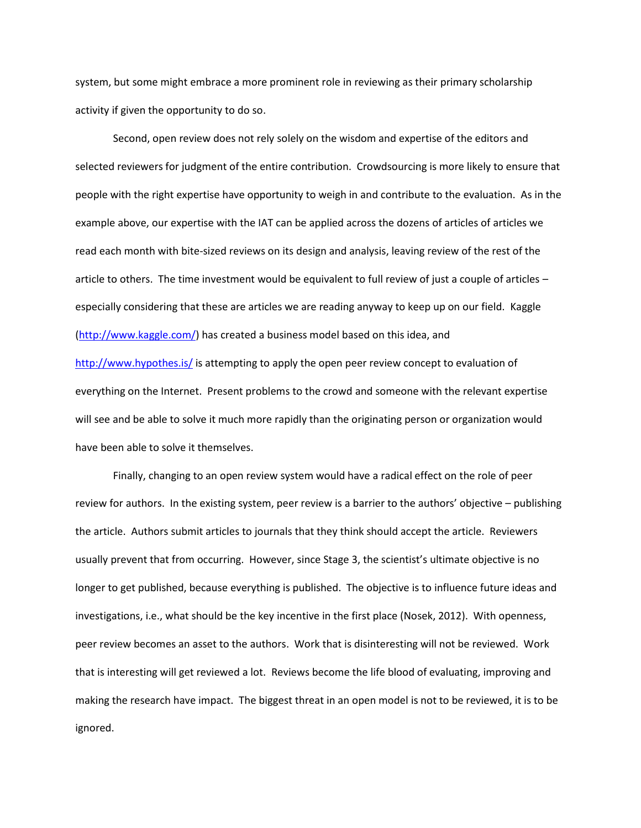system, but some might embrace a more prominent role in reviewing as their primary scholarship activity if given the opportunity to do so.

Second, open review does not rely solely on the wisdom and expertise of the editors and selected reviewers for judgment of the entire contribution. Crowdsourcing is more likely to ensure that people with the right expertise have opportunity to weigh in and contribute to the evaluation. As in the example above, our expertise with the IAT can be applied across the dozens of articles of articles we read each month with bite-sized reviews on its design and analysis, leaving review of the rest of the article to others. The time investment would be equivalent to full review of just a couple of articles – especially considering that these are articles we are reading anyway to keep up on our field. Kaggle [\(http://www.kaggle.com/\)](http://www.kaggle.com/) has created a business model based on this idea, and <http://www.hypothes.is/> is attempting to apply the open peer review concept to evaluation of everything on the Internet. Present problems to the crowd and someone with the relevant expertise will see and be able to solve it much more rapidly than the originating person or organization would have been able to solve it themselves.

Finally, changing to an open review system would have a radical effect on the role of peer review for authors. In the existing system, peer review is a barrier to the authors' objective – publishing the article. Authors submit articles to journals that they think should accept the article. Reviewers usually prevent that from occurring. However, since Stage 3, the scientist's ultimate objective is no longer to get published, because everything is published. The objective is to influence future ideas and investigations, i.e., what should be the key incentive in the first place (Nosek, 2012). With openness, peer review becomes an asset to the authors. Work that is disinteresting will not be reviewed. Work that is interesting will get reviewed a lot. Reviews become the life blood of evaluating, improving and making the research have impact. The biggest threat in an open model is not to be reviewed, it is to be ignored.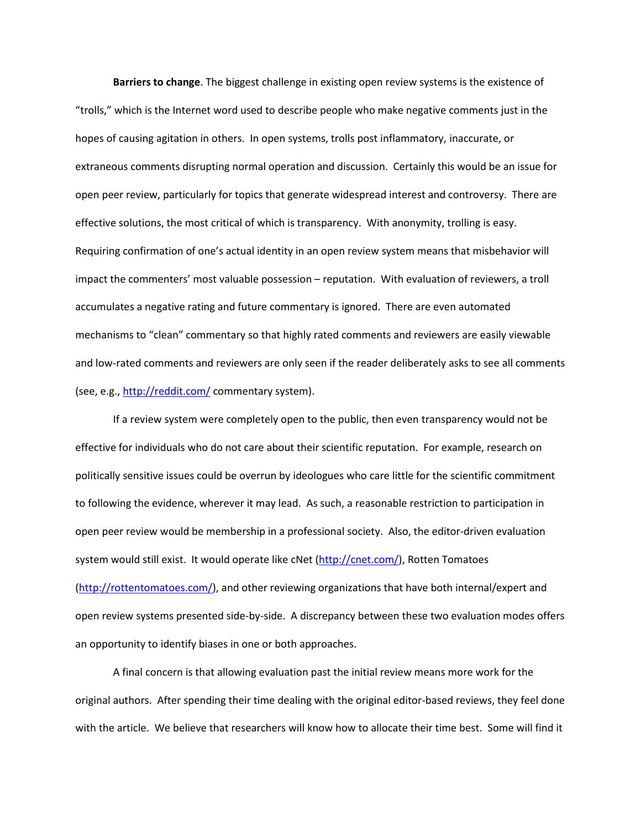**Barriers to change**. The biggest challenge in existing open review systems is the existence of "trolls," which is the Internet word used to describe people who make negative comments just in the hopes of causing agitation in others. In open systems, trolls post inflammatory, inaccurate, or extraneous comments disrupting normal operation and discussion. Certainly this would be an issue for open peer review, particularly for topics that generate widespread interest and controversy. There are effective solutions, the most critical of which is transparency. With anonymity, trolling is easy. Requiring confirmation of one's actual identity in an open review system means that misbehavior will impact the commenters' most valuable possession – reputation. With evaluation of reviewers, a troll accumulates a negative rating and future commentary is ignored. There are even automated mechanisms to "clean" commentary so that highly rated comments and reviewers are easily viewable and low-rated comments and reviewers are only seen if the reader deliberately asks to see all comments (see, e.g.,<http://reddit.com/> commentary system).

If a review system were completely open to the public, then even transparency would not be effective for individuals who do not care about their scientific reputation. For example, research on politically sensitive issues could be overrun by ideologues who care little for the scientific commitment to following the evidence, wherever it may lead. As such, a reasonable restriction to participation in open peer review would be membership in a professional society. Also, the editor-driven evaluation system would still exist. It would operate like cNet [\(http://cnet.com/\)](http://cnet.com/), Rotten Tomatoes [\(http://rottentomatoes.com/\)](http://rottentomatoes.com/), and other reviewing organizations that have both internal/expert and open review systems presented side-by-side. A discrepancy between these two evaluation modes offers an opportunity to identify biases in one or both approaches.

A final concern is that allowing evaluation past the initial review means more work for the original authors. After spending their time dealing with the original editor-based reviews, they feel done with the article. We believe that researchers will know how to allocate their time best. Some will find it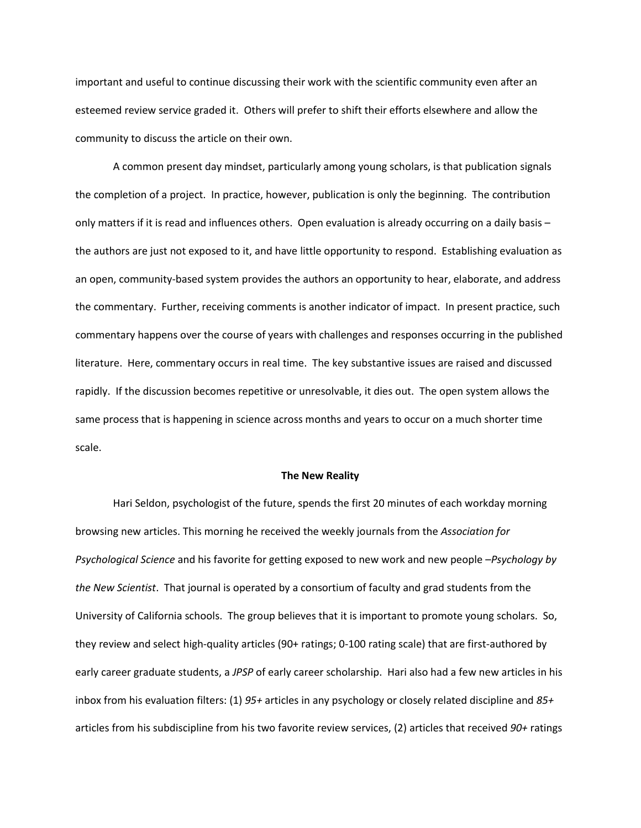important and useful to continue discussing their work with the scientific community even after an esteemed review service graded it. Others will prefer to shift their efforts elsewhere and allow the community to discuss the article on their own.

A common present day mindset, particularly among young scholars, is that publication signals the completion of a project. In practice, however, publication is only the beginning. The contribution only matters if it is read and influences others. Open evaluation is already occurring on a daily basis – the authors are just not exposed to it, and have little opportunity to respond. Establishing evaluation as an open, community-based system provides the authors an opportunity to hear, elaborate, and address the commentary. Further, receiving comments is another indicator of impact. In present practice, such commentary happens over the course of years with challenges and responses occurring in the published literature. Here, commentary occurs in real time. The key substantive issues are raised and discussed rapidly. If the discussion becomes repetitive or unresolvable, it dies out. The open system allows the same process that is happening in science across months and years to occur on a much shorter time scale.

#### **The New Reality**

Hari Seldon, psychologist of the future, spends the first 20 minutes of each workday morning browsing new articles. This morning he received the weekly journals from the *Association for Psychological Science* and his favorite for getting exposed to new work and new people –*Psychology by the New Scientist*. That journal is operated by a consortium of faculty and grad students from the University of California schools. The group believes that it is important to promote young scholars. So, they review and select high-quality articles (90+ ratings; 0-100 rating scale) that are first-authored by early career graduate students, a *JPSP* of early career scholarship. Hari also had a few new articles in his inbox from his evaluation filters: (1) *95+* articles in any psychology or closely related discipline and *85+* articles from his subdiscipline from his two favorite review services, (2) articles that received *90+* ratings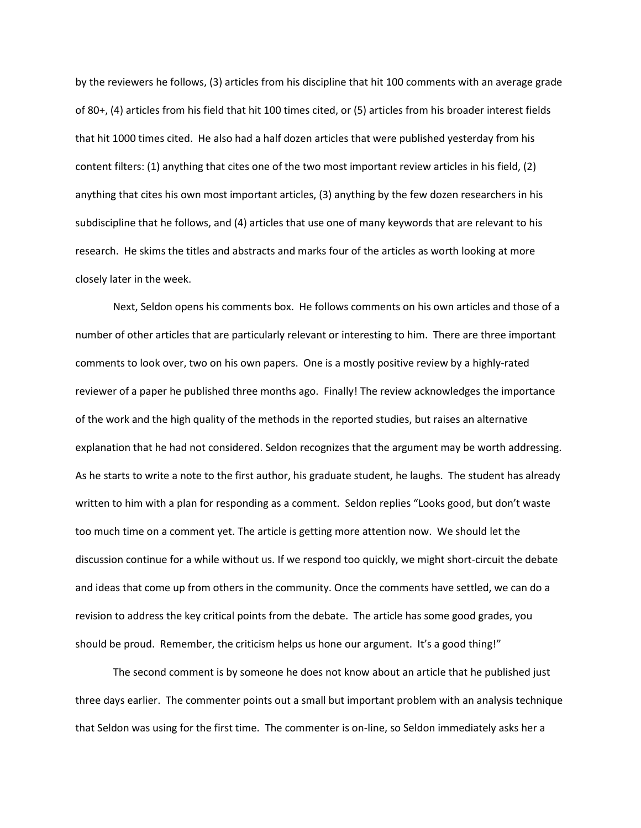by the reviewers he follows, (3) articles from his discipline that hit 100 comments with an average grade of 80+, (4) articles from his field that hit 100 times cited, or (5) articles from his broader interest fields that hit 1000 times cited. He also had a half dozen articles that were published yesterday from his content filters: (1) anything that cites one of the two most important review articles in his field, (2) anything that cites his own most important articles, (3) anything by the few dozen researchers in his subdiscipline that he follows, and (4) articles that use one of many keywords that are relevant to his research. He skims the titles and abstracts and marks four of the articles as worth looking at more closely later in the week.

Next, Seldon opens his comments box. He follows comments on his own articles and those of a number of other articles that are particularly relevant or interesting to him. There are three important comments to look over, two on his own papers. One is a mostly positive review by a highly-rated reviewer of a paper he published three months ago. Finally! The review acknowledges the importance of the work and the high quality of the methods in the reported studies, but raises an alternative explanation that he had not considered. Seldon recognizes that the argument may be worth addressing. As he starts to write a note to the first author, his graduate student, he laughs. The student has already written to him with a plan for responding as a comment. Seldon replies "Looks good, but don't waste too much time on a comment yet. The article is getting more attention now. We should let the discussion continue for a while without us. If we respond too quickly, we might short-circuit the debate and ideas that come up from others in the community. Once the comments have settled, we can do a revision to address the key critical points from the debate. The article has some good grades, you should be proud. Remember, the criticism helps us hone our argument. It's a good thing!"

The second comment is by someone he does not know about an article that he published just three days earlier. The commenter points out a small but important problem with an analysis technique that Seldon was using for the first time. The commenter is on-line, so Seldon immediately asks her a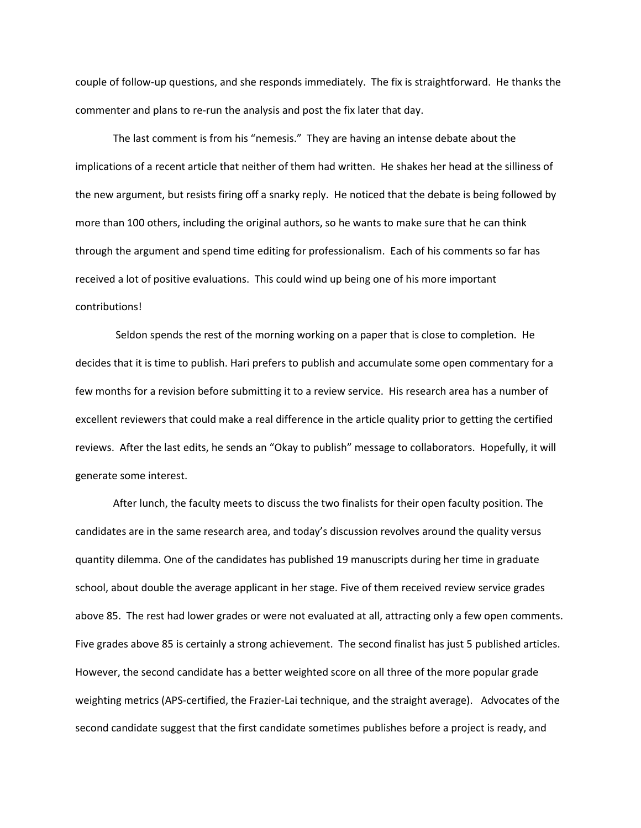couple of follow-up questions, and she responds immediately. The fix is straightforward. He thanks the commenter and plans to re-run the analysis and post the fix later that day.

The last comment is from his "nemesis." They are having an intense debate about the implications of a recent article that neither of them had written. He shakes her head at the silliness of the new argument, but resists firing off a snarky reply. He noticed that the debate is being followed by more than 100 others, including the original authors, so he wants to make sure that he can think through the argument and spend time editing for professionalism. Each of his comments so far has received a lot of positive evaluations. This could wind up being one of his more important contributions!

Seldon spends the rest of the morning working on a paper that is close to completion. He decides that it is time to publish. Hari prefers to publish and accumulate some open commentary for a few months for a revision before submitting it to a review service. His research area has a number of excellent reviewers that could make a real difference in the article quality prior to getting the certified reviews. After the last edits, he sends an "Okay to publish" message to collaborators. Hopefully, it will generate some interest.

After lunch, the faculty meets to discuss the two finalists for their open faculty position. The candidates are in the same research area, and today's discussion revolves around the quality versus quantity dilemma. One of the candidates has published 19 manuscripts during her time in graduate school, about double the average applicant in her stage. Five of them received review service grades above 85. The rest had lower grades or were not evaluated at all, attracting only a few open comments. Five grades above 85 is certainly a strong achievement. The second finalist has just 5 published articles. However, the second candidate has a better weighted score on all three of the more popular grade weighting metrics (APS-certified, the Frazier-Lai technique, and the straight average). Advocates of the second candidate suggest that the first candidate sometimes publishes before a project is ready, and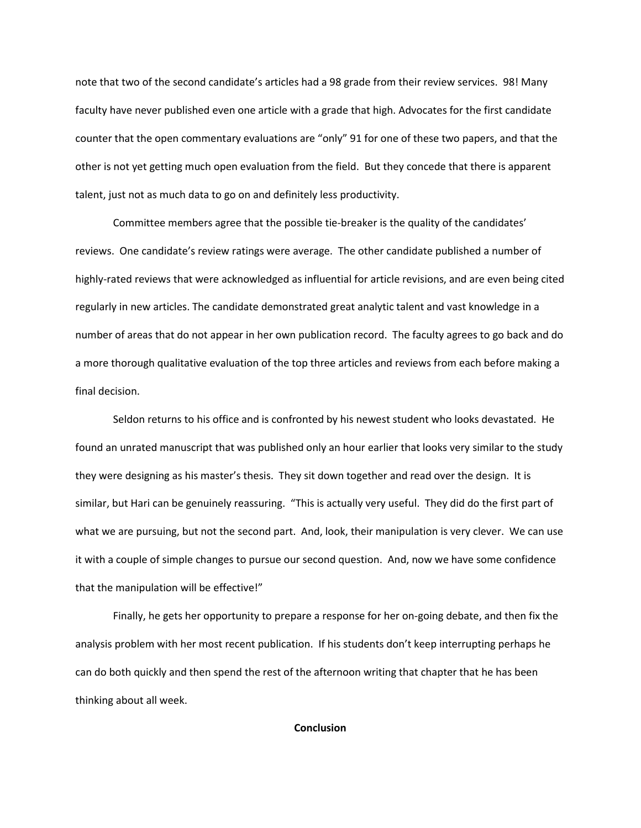note that two of the second candidate's articles had a 98 grade from their review services. 98! Many faculty have never published even one article with a grade that high. Advocates for the first candidate counter that the open commentary evaluations are "only" 91 for one of these two papers, and that the other is not yet getting much open evaluation from the field. But they concede that there is apparent talent, just not as much data to go on and definitely less productivity.

Committee members agree that the possible tie-breaker is the quality of the candidates' reviews. One candidate's review ratings were average. The other candidate published a number of highly-rated reviews that were acknowledged as influential for article revisions, and are even being cited regularly in new articles. The candidate demonstrated great analytic talent and vast knowledge in a number of areas that do not appear in her own publication record. The faculty agrees to go back and do a more thorough qualitative evaluation of the top three articles and reviews from each before making a final decision.

Seldon returns to his office and is confronted by his newest student who looks devastated. He found an unrated manuscript that was published only an hour earlier that looks very similar to the study they were designing as his master's thesis. They sit down together and read over the design. It is similar, but Hari can be genuinely reassuring. "This is actually very useful. They did do the first part of what we are pursuing, but not the second part. And, look, their manipulation is very clever. We can use it with a couple of simple changes to pursue our second question. And, now we have some confidence that the manipulation will be effective!"

Finally, he gets her opportunity to prepare a response for her on-going debate, and then fix the analysis problem with her most recent publication. If his students don't keep interrupting perhaps he can do both quickly and then spend the rest of the afternoon writing that chapter that he has been thinking about all week.

**Conclusion**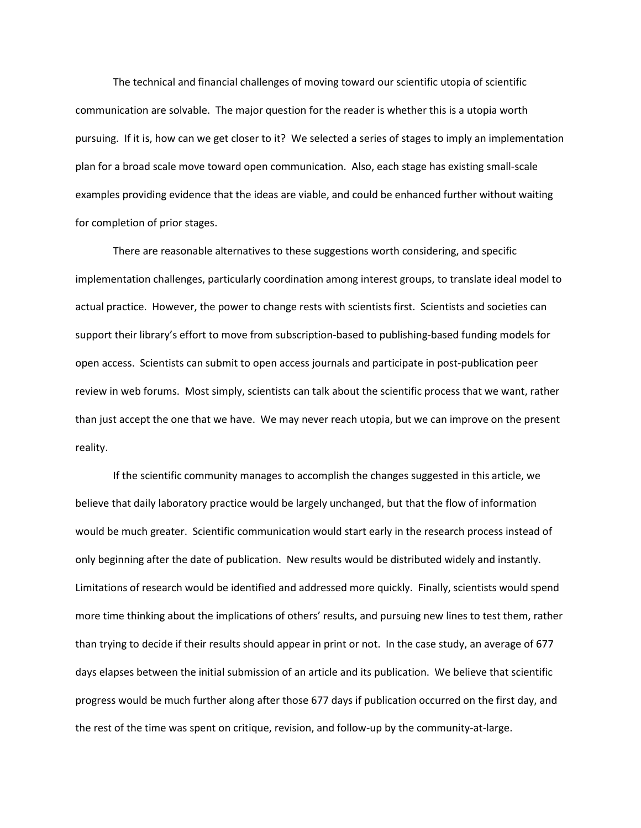The technical and financial challenges of moving toward our scientific utopia of scientific communication are solvable. The major question for the reader is whether this is a utopia worth pursuing. If it is, how can we get closer to it? We selected a series of stages to imply an implementation plan for a broad scale move toward open communication. Also, each stage has existing small-scale examples providing evidence that the ideas are viable, and could be enhanced further without waiting for completion of prior stages.

There are reasonable alternatives to these suggestions worth considering, and specific implementation challenges, particularly coordination among interest groups, to translate ideal model to actual practice. However, the power to change rests with scientists first. Scientists and societies can support their library's effort to move from subscription-based to publishing-based funding models for open access. Scientists can submit to open access journals and participate in post-publication peer review in web forums. Most simply, scientists can talk about the scientific process that we want, rather than just accept the one that we have. We may never reach utopia, but we can improve on the present reality.

If the scientific community manages to accomplish the changes suggested in this article, we believe that daily laboratory practice would be largely unchanged, but that the flow of information would be much greater. Scientific communication would start early in the research process instead of only beginning after the date of publication. New results would be distributed widely and instantly. Limitations of research would be identified and addressed more quickly. Finally, scientists would spend more time thinking about the implications of others' results, and pursuing new lines to test them, rather than trying to decide if their results should appear in print or not. In the case study, an average of 677 days elapses between the initial submission of an article and its publication. We believe that scientific progress would be much further along after those 677 days if publication occurred on the first day, and the rest of the time was spent on critique, revision, and follow-up by the community-at-large.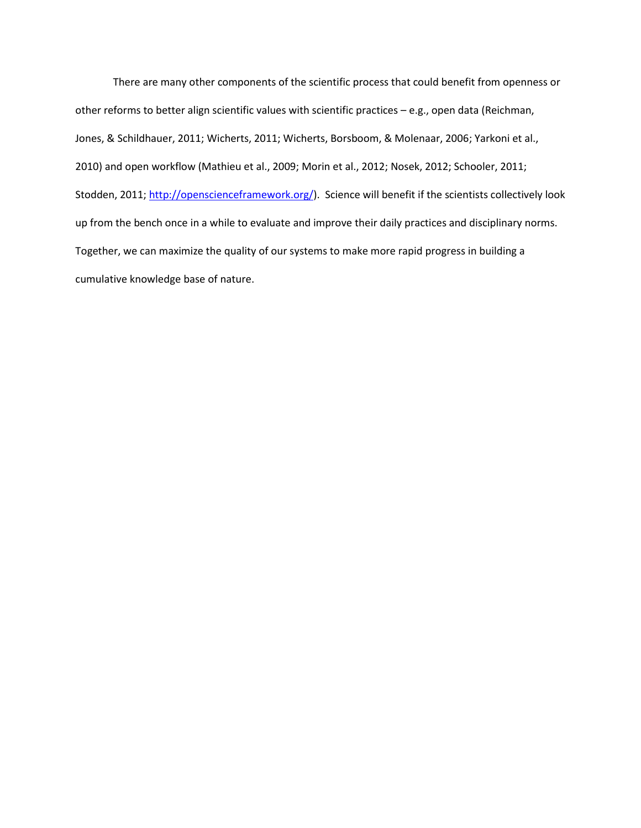There are many other components of the scientific process that could benefit from openness or other reforms to better align scientific values with scientific practices – e.g., open data (Reichman, Jones, & Schildhauer, 2011; Wicherts, 2011; Wicherts, Borsboom, & Molenaar, 2006; Yarkoni et al., 2010) and open workflow (Mathieu et al., 2009; Morin et al., 2012; Nosek, 2012; Schooler, 2011; Stodden, 2011; [http://openscienceframework.org/\)](http://openscienceframework.org/). Science will benefit if the scientists collectively look up from the bench once in a while to evaluate and improve their daily practices and disciplinary norms. Together, we can maximize the quality of our systems to make more rapid progress in building a cumulative knowledge base of nature.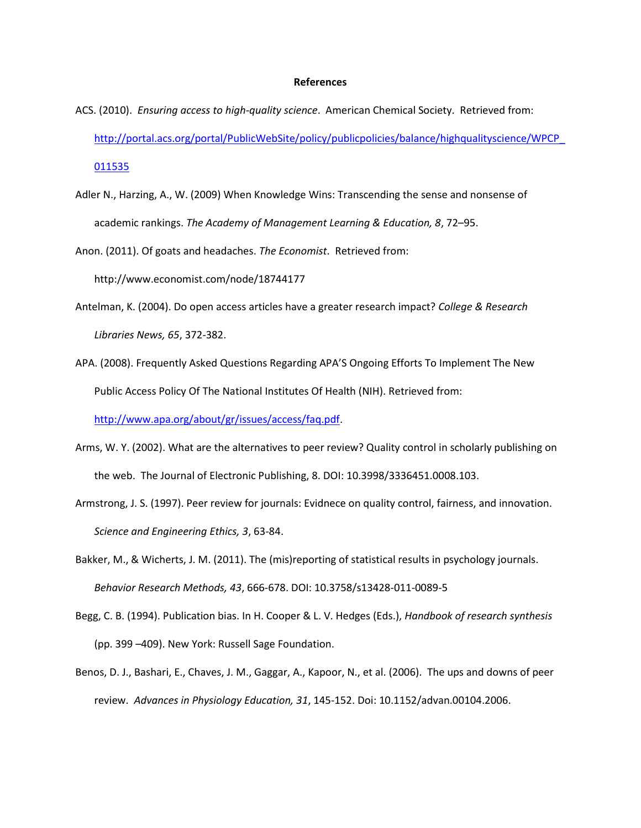#### **References**

- ACS. (2010). *Ensuring access to high-quality science*. American Chemical Society. Retrieved from: [http://portal.acs.org/portal/PublicWebSite/policy/publicpolicies/balance/highqualityscience/WPCP\\_](http://portal.acs.org/portal/PublicWebSite/policy/publicpolicies/balance/highqualityscience/WPCP_011535) [011535](http://portal.acs.org/portal/PublicWebSite/policy/publicpolicies/balance/highqualityscience/WPCP_011535)
- Adler N., Harzing, A., W. (2009) When Knowledge Wins: Transcending the sense and nonsense of academic rankings. *The Academy of Management Learning & Education, 8*, 72–95.

Anon. (2011). Of goats and headaches. *The Economist*. Retrieved from:

http://www.economist.com/node/18744177

- Antelman, K. (2004). Do open access articles have a greater research impact? *College & Research Libraries News, 65*, 372-382.
- APA. (2008). Frequently Asked Questions Regarding APA'S Ongoing Efforts To Implement The New Public Access Policy Of The National Institutes Of Health (NIH). Retrieved from:

[http://www.apa.org/about/gr/issues/access/faq.pdf.](http://www.apa.org/about/gr/issues/access/faq.pdf)

- Arms, W. Y. (2002). What are the alternatives to peer review? Quality control in scholarly publishing on the web. The Journal of Electronic Publishing, 8. DOI: 10.3998/3336451.0008.103.
- Armstrong, J. S. (1997). Peer review for journals: Evidnece on quality control, fairness, and innovation. *Science and Engineering Ethics, 3*, 63-84.
- Bakker, M., & Wicherts, J. M. (2011). The (mis)reporting of statistical results in psychology journals. *Behavior Research Methods, 43*, 666-678. DOI: 10.3758/s13428-011-0089-5
- Begg, C. B. (1994). Publication bias. In H. Cooper & L. V. Hedges (Eds.), *Handbook of research synthesis*  (pp. 399 –409). New York: Russell Sage Foundation.
- Benos, D. J., Bashari, E., Chaves, J. M., Gaggar, A., Kapoor, N., et al. (2006). The ups and downs of peer review. *Advances in Physiology Education, 31*, 145-152. Doi: 10.1152/advan.00104.2006.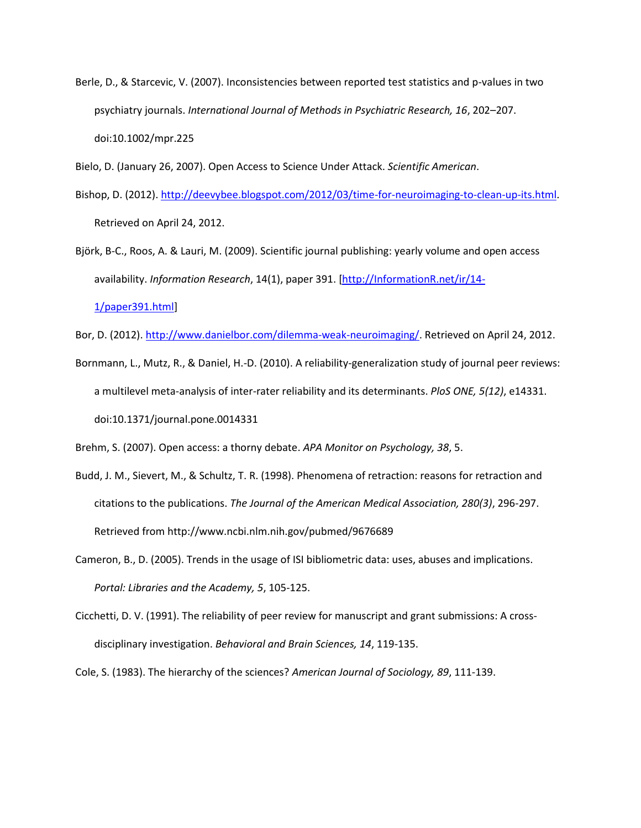- Berle, D., & Starcevic, V. (2007). Inconsistencies between reported test statistics and p-values in two psychiatry journals. *International Journal of Methods in Psychiatric Research, 16*, 202–207. doi:10.1002/mpr.225
- Bielo, D. (January 26, 2007). Open Access to Science Under Attack. *Scientific American*.
- Bishop, D. (2012)[. http://deevybee.blogspot.com/2012/03/time-for-neuroimaging-to-clean-up-its.html.](http://deevybee.blogspot.com/2012/03/time-for-neuroimaging-to-clean-up-its.html) Retrieved on April 24, 2012.
- Björk, B-C., Roos, A. & Lauri, M. (2009). Scientific journal publishing: yearly volume and open access availability. *Information Research*, 14(1), paper 391. [\[http://InformationR.net/ir/14-](http://informationr.net/ir/14-1/paper391.html)

```
1/paper391.html]
```
- Bor, D. (2012). [http://www.danielbor.com/dilemma-weak-neuroimaging/.](http://www.danielbor.com/dilemma-weak-neuroimaging/) Retrieved on April 24, 2012.
- Bornmann, L., Mutz, R., & Daniel, H.-D. (2010). A reliability-generalization study of journal peer reviews: a multilevel meta-analysis of inter-rater reliability and its determinants. *PloS ONE, 5(12)*, e14331. doi:10.1371/journal.pone.0014331

Brehm, S. (2007). Open access: a thorny debate. *APA Monitor on Psychology, 38*, 5.

- Budd, J. M., Sievert, M., & Schultz, T. R. (1998). Phenomena of retraction: reasons for retraction and citations to the publications. *The Journal of the American Medical Association, 280(3)*, 296-297. Retrieved from http://www.ncbi.nlm.nih.gov/pubmed/9676689
- Cameron, B., D. (2005). Trends in the usage of ISI bibliometric data: uses, abuses and implications. *Portal: Libraries and the Academy, 5*, 105-125.
- Cicchetti, D. V. (1991). The reliability of peer review for manuscript and grant submissions: A crossdisciplinary investigation. *Behavioral and Brain Sciences, 14*, 119-135.

Cole, S. (1983). The hierarchy of the sciences? *American Journal of Sociology, 89*, 111-139.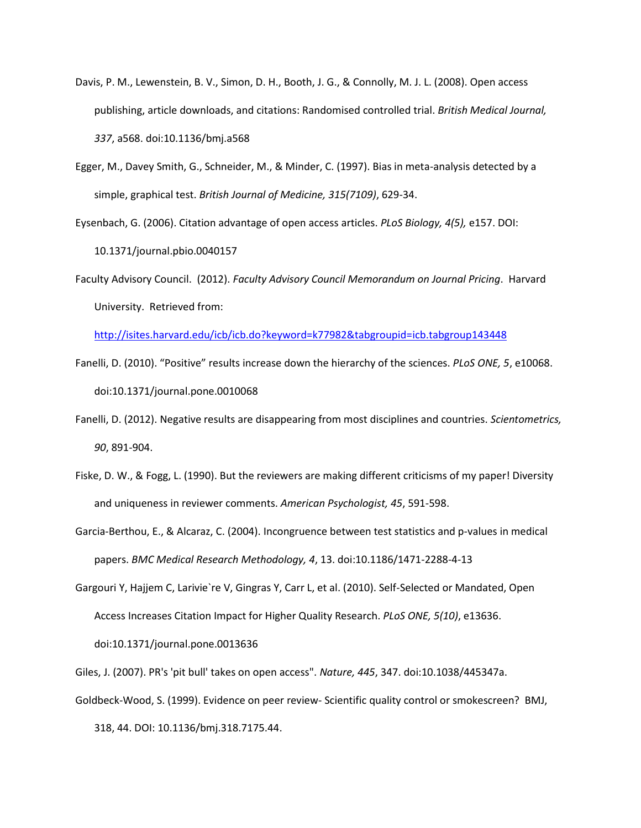- Davis, P. M., Lewenstein, B. V., Simon, D. H., Booth, J. G., & Connolly, M. J. L. (2008). Open access publishing, article downloads, and citations: Randomised controlled trial. *British Medical Journal, 337*, a568. doi:10.1136/bmj.a568
- Egger, M., Davey Smith, G., Schneider, M., & Minder, C. (1997). Bias in meta-analysis detected by a simple, graphical test. *British Journal of Medicine, 315(7109)*, 629-34.
- Eysenbach, G. (2006). Citation advantage of open access articles. *PLoS Biology, 4(5),* e157. DOI: 10.1371/journal.pbio.0040157
- Faculty Advisory Council. (2012). *Faculty Advisory Council Memorandum on Journal Pricing*. Harvard University. Retrieved from:

<http://isites.harvard.edu/icb/icb.do?keyword=k77982&tabgroupid=icb.tabgroup143448>

- Fanelli, D. (2010). "Positive" results increase down the hierarchy of the sciences. *PLoS ONE, 5*, e10068. doi:10.1371/journal.pone.0010068
- Fanelli, D. (2012). Negative results are disappearing from most disciplines and countries. *Scientometrics, 90*, 891-904.
- Fiske, D. W., & Fogg, L. (1990). But the reviewers are making different criticisms of my paper! Diversity and uniqueness in reviewer comments. *American Psychologist, 45*, 591-598.
- Garcia-Berthou, E., & Alcaraz, C. (2004). Incongruence between test statistics and p-values in medical papers. *BMC Medical Research Methodology, 4*, 13. doi:10.1186/1471-2288-4-13
- Gargouri Y, Hajjem C, Larivie`re V, Gingras Y, Carr L, et al. (2010). Self-Selected or Mandated, Open Access Increases Citation Impact for Higher Quality Research. *PLoS ONE, 5(10)*, e13636. doi:10.1371/journal.pone.0013636

- Giles, J. (2007). PR's 'pit bull' takes on open access". *Nature, 445*, 347. doi:10.1038/445347a.
- Goldbeck-Wood, S. (1999). Evidence on peer review- Scientific quality control or smokescreen? BMJ, 318, 44. DOI: 10.1136/bmj.318.7175.44.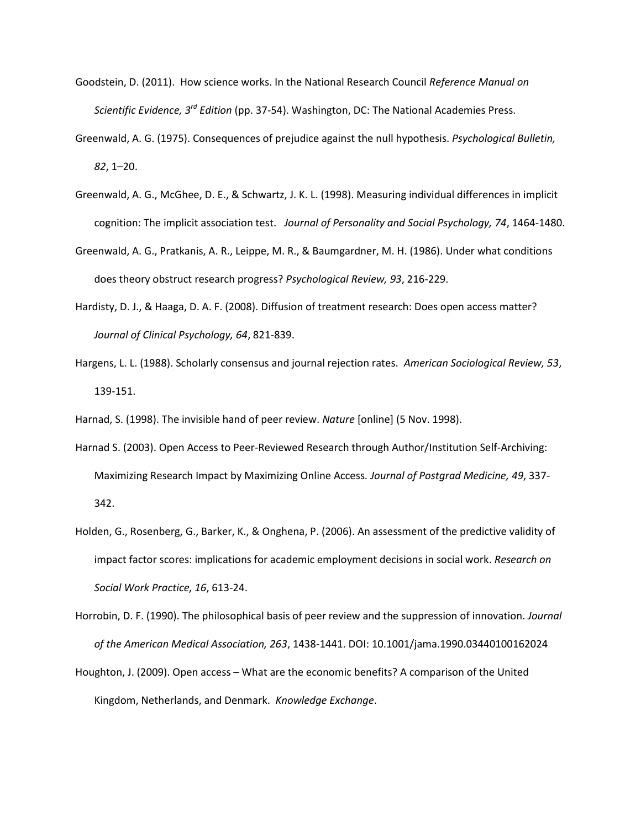- Goodstein, D. (2011). How science works. In the National Research Council *Reference Manual on Scientific Evidence, 3rd Edition* (pp. 37-54). Washington, DC: The National Academies Press.
- Greenwald, A. G. (1975). Consequences of prejudice against the null hypothesis. *Psychological Bulletin, 82*, 1–20.
- Greenwald, A. G., McGhee, D. E., & Schwartz, J. K. L. (1998). Measuring individual differences in implicit cognition: The implicit association test. *Journal of Personality and Social Psychology, 74*, 1464-1480.
- Greenwald, A. G., Pratkanis, A. R., Leippe, M. R., & Baumgardner, M. H. (1986). Under what conditions does theory obstruct research progress? *Psychological Review, 93*, 216-229.
- Hardisty, D. J., & Haaga, D. A. F. (2008). Diffusion of treatment research: Does open access matter? *Journal of Clinical Psychology, 64*, 821-839.
- Hargens, L. L. (1988). Scholarly consensus and journal rejection rates. *American Sociological Review, 53*, 139-151.

Harnad, S. (1998). The invisible hand of peer review. *Nature* [online] (5 Nov. 1998).

- Harnad S. (2003). Open Access to Peer-Reviewed Research through Author/Institution Self-Archiving: Maximizing Research Impact by Maximizing Online Access*. Journal of Postgrad Medicine, 49*, 337- 342.
- Holden, G., Rosenberg, G., Barker, K., & Onghena, P. (2006). An assessment of the predictive validity of impact factor scores: implications for academic employment decisions in social work. *Research on Social Work Practice, 16*, 613-24.
- Horrobin, D. F. (1990). The philosophical basis of peer review and the suppression of innovation. *Journal of the American Medical Association, 263*, 1438-1441. DOI: 10.1001/jama.1990.03440100162024
- Houghton, J. (2009). Open access What are the economic benefits? A comparison of the United Kingdom, Netherlands, and Denmark. *Knowledge Exchange*.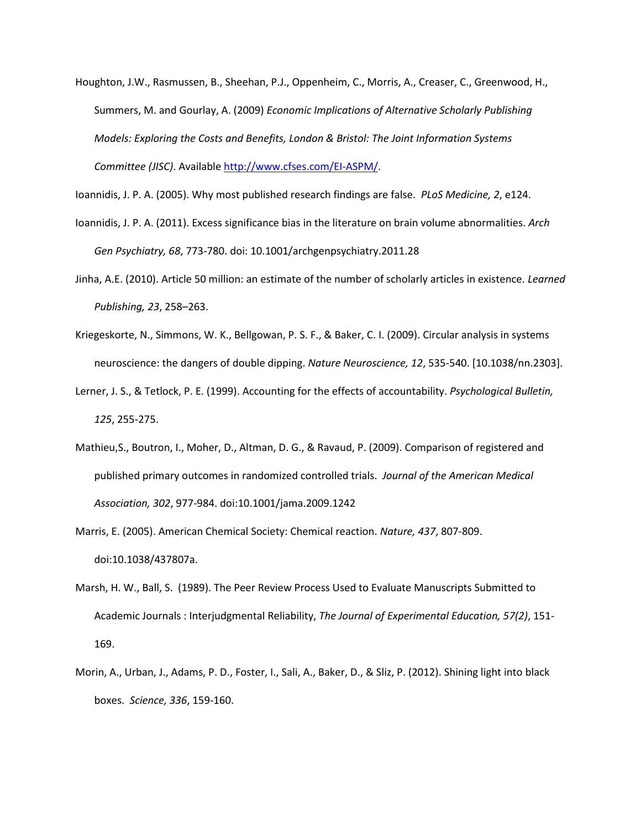Houghton, J.W., Rasmussen, B., Sheehan, P.J., Oppenheim, C., Morris, A., Creaser, C., Greenwood, H., Summers, M. and Gourlay, A. (2009) *Economic Implications of Alternative Scholarly Publishing Models: Exploring the Costs and Benefits, London & Bristol: The Joint Information Systems Committee (JISC)*. Available [http://www.cfses.com/EI-ASPM/.](http://www.cfses.com/EI-ASPM/)

Ioannidis, J. P. A. (2005). Why most published research findings are false. *PLoS Medicine, 2*, e124.

- Ioannidis, J. P. A. (2011). Excess significance bias in the literature on brain volume abnormalities. *Arch Gen Psychiatry, 68*, 773-780. doi: 10.1001/archgenpsychiatry.2011.28
- Jinha, A.E. (2010). Article 50 million: an estimate of the number of scholarly articles in existence. *Learned Publishing, 23*, 258–263.
- Kriegeskorte, N., Simmons, W. K., Bellgowan, P. S. F., & Baker, C. I. (2009). Circular analysis in systems neuroscience: the dangers of double dipping. *Nature Neuroscience, 12*, 535-540. [10.1038/nn.2303].
- Lerner, J. S., & Tetlock, P. E. (1999). Accounting for the effects of accountability. *Psychological Bulletin, 125*, 255-275.
- Mathieu,S., Boutron, I., Moher, D., Altman, D. G., & Ravaud, P. (2009). Comparison of registered and published primary outcomes in randomized controlled trials. *Journal of the American Medical Association, 302*, 977-984. doi:10.1001/jama.2009.1242
- Marris, E. (2005). American Chemical Society: Chemical reaction. *Nature, 437*, 807-809. doi:10.1038/437807a.
- Marsh, H. W., Ball, S. (1989). The Peer Review Process Used to Evaluate Manuscripts Submitted to Academic Journals : Interjudgmental Reliability, *The Journal of Experimental Education, 57(2)*, 151- 169.
- Morin, A., Urban, J., Adams, P. D., Foster, I., Sali, A., Baker, D., & Sliz, P. (2012). Shining light into black boxes. *Science, 336*, 159-160.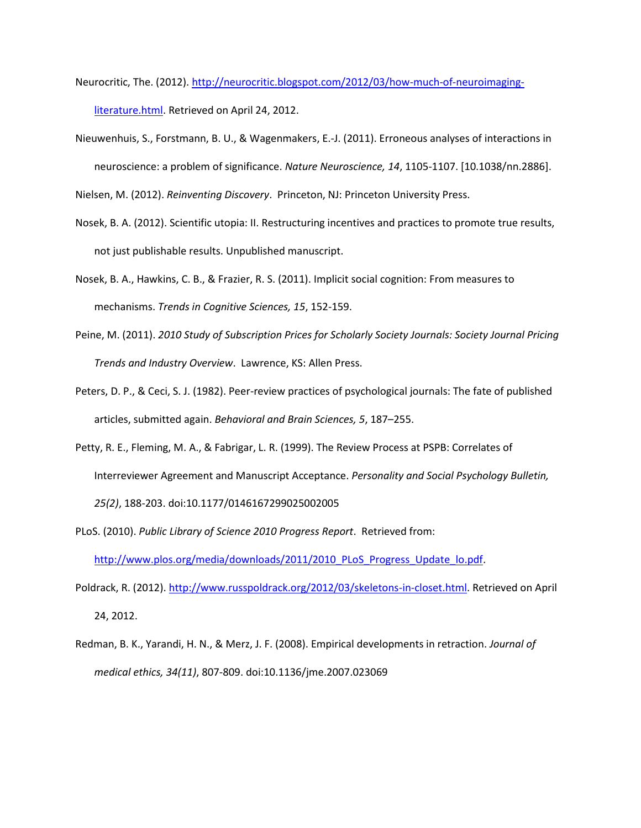- Neurocritic, The. (2012). [http://neurocritic.blogspot.com/2012/03/how-much-of-neuroimaging](http://neurocritic.blogspot.com/2012/03/how-much-of-neuroimaging-literature.html)[literature.html.](http://neurocritic.blogspot.com/2012/03/how-much-of-neuroimaging-literature.html) Retrieved on April 24, 2012.
- Nieuwenhuis, S., Forstmann, B. U., & Wagenmakers, E.-J. (2011). Erroneous analyses of interactions in neuroscience: a problem of significance. *Nature Neuroscience, 14*, 1105-1107. [10.1038/nn.2886].

Nielsen, M. (2012). *Reinventing Discovery*. Princeton, NJ: Princeton University Press.

- Nosek, B. A. (2012). Scientific utopia: II. Restructuring incentives and practices to promote true results, not just publishable results. Unpublished manuscript.
- Nosek, B. A., Hawkins, C. B., & Frazier, R. S. (2011). Implicit social cognition: From measures to mechanisms. *Trends in Cognitive Sciences, 15*, 152-159.
- Peine, M. (2011). *2010 Study of Subscription Prices for Scholarly Society Journals: Society Journal Pricing Trends and Industry Overview*. Lawrence, KS: Allen Press.
- Peters, D. P., & Ceci, S. J. (1982). Peer-review practices of psychological journals: The fate of published articles, submitted again. *Behavioral and Brain Sciences, 5*, 187–255.
- Petty, R. E., Fleming, M. A., & Fabrigar, L. R. (1999). The Review Process at PSPB: Correlates of Interreviewer Agreement and Manuscript Acceptance. *Personality and Social Psychology Bulletin, 25(2)*, 188-203. doi:10.1177/0146167299025002005
- PLoS. (2010). *Public Library of Science 2010 Progress Report*. Retrieved from: [http://www.plos.org/media/downloads/2011/2010\\_PLoS\\_Progress\\_Update\\_lo.pdf.](http://www.plos.org/media/downloads/2011/2010_PLoS_Progress_Update_lo.pdf)
- Poldrack, R. (2012). [http://www.russpoldrack.org/2012/03/skeletons-in-closet.html.](http://www.russpoldrack.org/2012/03/skeletons-in-closet.html) Retrieved on April 24, 2012.
- Redman, B. K., Yarandi, H. N., & Merz, J. F. (2008). Empirical developments in retraction. *Journal of medical ethics, 34(11)*, 807-809. doi:10.1136/jme.2007.023069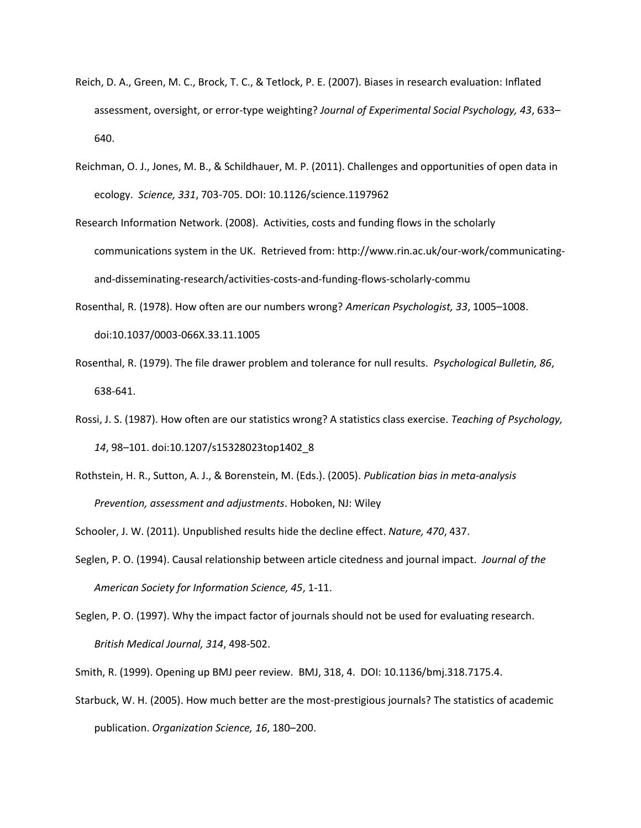- Reich, D. A., Green, M. C., Brock, T. C., & Tetlock, P. E. (2007). Biases in research evaluation: Inflated assessment, oversight, or error-type weighting? *Journal of Experimental Social Psychology, 43*, 633– 640.
- Reichman, O. J., Jones, M. B., & Schildhauer, M. P. (2011). Challenges and opportunities of open data in ecology. *Science, 331*, 703-705. DOI: 10.1126/science.1197962
- Research Information Network. (2008). Activities, costs and funding flows in the scholarly communications system in the UK. Retrieved from: http://www.rin.ac.uk/our-work/communicatingand-disseminating-research/activities-costs-and-funding-flows-scholarly-commu
- Rosenthal, R. (1978). How often are our numbers wrong? *American Psychologist, 33*, 1005–1008. doi:10.1037/0003-066X.33.11.1005
- Rosenthal, R. (1979). The file drawer problem and tolerance for null results. *Psychological Bulletin, 86*, 638-641.
- Rossi, J. S. (1987). How often are our statistics wrong? A statistics class exercise. *Teaching of Psychology, 14*, 98–101. doi:10.1207/s15328023top1402\_8
- Rothstein, H. R., Sutton, A. J., & Borenstein, M. (Eds.). (2005). *Publication bias in meta-analysis Prevention, assessment and adjustments*. Hoboken, NJ: Wiley

Schooler, J. W. (2011). Unpublished results hide the decline effect. *Nature, 470*, 437.

- Seglen, P. O. (1994). Causal relationship between article citedness and journal impact. *Journal of the American Society for Information Science, 45*, 1-11.
- Seglen, P. O. (1997). Why the impact factor of journals should not be used for evaluating research. *British Medical Journal, 314*, 498-502.

Smith, R. (1999). Opening up BMJ peer review. BMJ, 318, 4. DOI: 10.1136/bmj.318.7175.4.

Starbuck, W. H. (2005). How much better are the most-prestigious journals? The statistics of academic publication. *Organization Science, 16*, 180–200.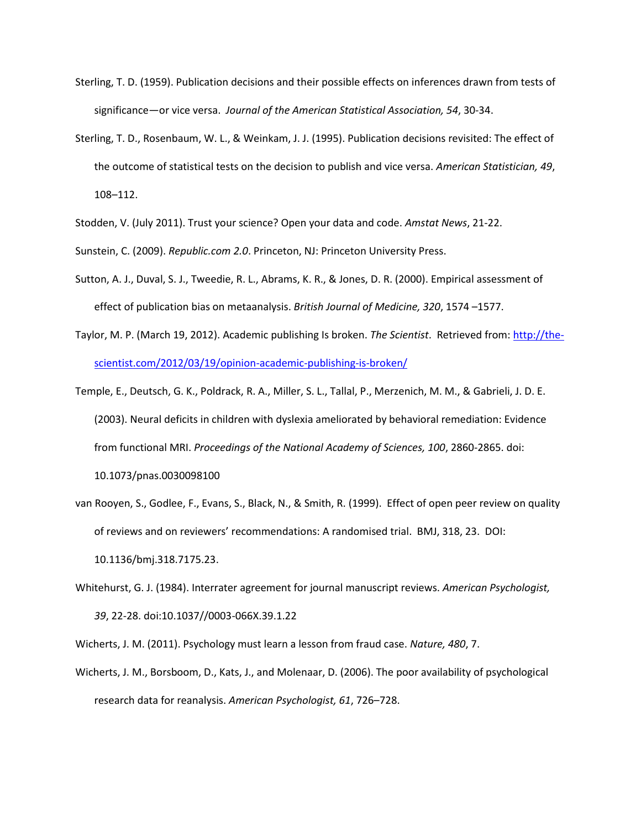- Sterling, T. D. (1959). Publication decisions and their possible effects on inferences drawn from tests of significance—or vice versa. *Journal of the American Statistical Association, 54*, 30-34.
- Sterling, T. D., Rosenbaum, W. L., & Weinkam, J. J. (1995). Publication decisions revisited: The effect of the outcome of statistical tests on the decision to publish and vice versa. *American Statistician, 49*, 108–112.
- Stodden, V. (July 2011). Trust your science? Open your data and code. *Amstat News*, 21-22.

Sunstein, C. (2009). *Republic.com 2.0*. Princeton, NJ: Princeton University Press.

- Sutton, A. J., Duval, S. J., Tweedie, R. L., Abrams, K. R., & Jones, D. R. (2000). Empirical assessment of effect of publication bias on metaanalysis. *British Journal of Medicine, 320*, 1574 –1577.
- Taylor, M. P. (March 19, 2012). Academic publishing Is broken. *The Scientist*. Retrieved from: [http://the](http://the-scientist.com/2012/03/19/opinion-academic-publishing-is-broken/)[scientist.com/2012/03/19/opinion-academic-publishing-is-broken/](http://the-scientist.com/2012/03/19/opinion-academic-publishing-is-broken/)
- Temple, E., Deutsch, G. K., Poldrack, R. A., Miller, S. L., Tallal, P., Merzenich, M. M., & Gabrieli, J. D. E. (2003). Neural deficits in children with dyslexia ameliorated by behavioral remediation: Evidence from functional MRI. *Proceedings of the National Academy of Sciences, 100*, 2860-2865. doi: 10.1073/pnas.0030098100
- van Rooyen, S., Godlee, F., Evans, S., Black, N., & Smith, R. (1999). Effect of open peer review on quality of reviews and on reviewers' recommendations: A randomised trial. BMJ, 318, 23. DOI: 10.1136/bmj.318.7175.23.
- Whitehurst, G. J. (1984). Interrater agreement for journal manuscript reviews. *American Psychologist, 39*, 22-28. doi:10.1037//0003-066X.39.1.22

Wicherts, J. M. (2011). Psychology must learn a lesson from fraud case. *Nature, 480*, 7.

Wicherts, J. M., Borsboom, D., Kats, J., and Molenaar, D. (2006). The poor availability of psychological research data for reanalysis. *American Psychologist, 61*, 726–728.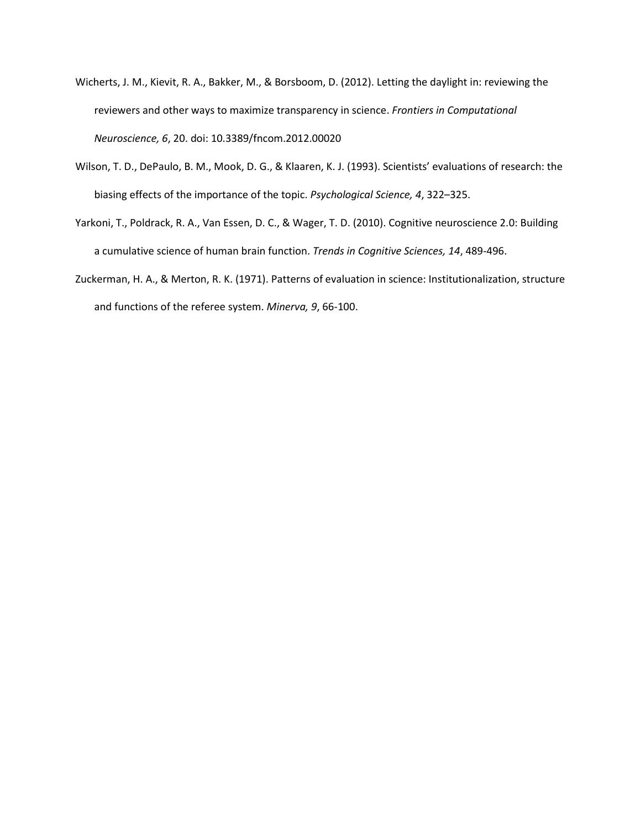- Wicherts, J. M., Kievit, R. A., Bakker, M., & Borsboom, D. (2012). Letting the daylight in: reviewing the reviewers and other ways to maximize transparency in science. *Frontiers in Computational Neuroscience, 6*, 20. doi: 10.3389/fncom.2012.00020
- Wilson, T. D., DePaulo, B. M., Mook, D. G., & Klaaren, K. J. (1993). Scientists' evaluations of research: the biasing effects of the importance of the topic. *Psychological Science, 4*, 322–325.
- Yarkoni, T., Poldrack, R. A., Van Essen, D. C., & Wager, T. D. (2010). Cognitive neuroscience 2.0: Building a cumulative science of human brain function. *Trends in Cognitive Sciences, 14*, 489-496.
- Zuckerman, H. A., & Merton, R. K. (1971). Patterns of evaluation in science: Institutionalization, structure and functions of the referee system. *Minerva, 9*, 66-100.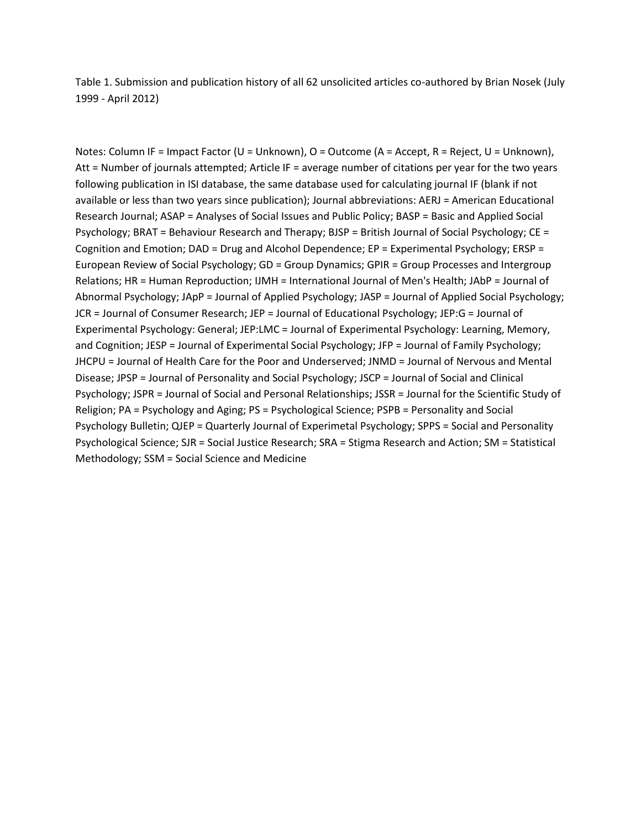Table 1. Submission and publication history of all 62 unsolicited articles co-authored by Brian Nosek (July 1999 - April 2012)

Notes: Column IF = Impact Factor (U = Unknown), O = Outcome (A = Accept, R = Reject, U = Unknown), Att = Number of journals attempted; Article IF = average number of citations per year for the two years following publication in ISI database, the same database used for calculating journal IF (blank if not available or less than two years since publication); Journal abbreviations: AERJ = American Educational Research Journal; ASAP = Analyses of Social Issues and Public Policy; BASP = Basic and Applied Social Psychology; BRAT = Behaviour Research and Therapy; BJSP = British Journal of Social Psychology; CE = Cognition and Emotion; DAD = Drug and Alcohol Dependence; EP = Experimental Psychology; ERSP = European Review of Social Psychology; GD = Group Dynamics; GPIR = Group Processes and Intergroup Relations; HR = Human Reproduction; IJMH = International Journal of Men's Health; JAbP = Journal of Abnormal Psychology; JApP = Journal of Applied Psychology; JASP = Journal of Applied Social Psychology; JCR = Journal of Consumer Research; JEP = Journal of Educational Psychology; JEP:G = Journal of Experimental Psychology: General; JEP:LMC = Journal of Experimental Psychology: Learning, Memory, and Cognition; JESP = Journal of Experimental Social Psychology; JFP = Journal of Family Psychology; JHCPU = Journal of Health Care for the Poor and Underserved; JNMD = Journal of Nervous and Mental Disease; JPSP = Journal of Personality and Social Psychology; JSCP = Journal of Social and Clinical Psychology; JSPR = Journal of Social and Personal Relationships; JSSR = Journal for the Scientific Study of Religion; PA = Psychology and Aging; PS = Psychological Science; PSPB = Personality and Social Psychology Bulletin; QJEP = Quarterly Journal of Experimetal Psychology; SPPS = Social and Personality Psychological Science; SJR = Social Justice Research; SRA = Stigma Research and Action; SM = Statistical Methodology; SSM = Social Science and Medicine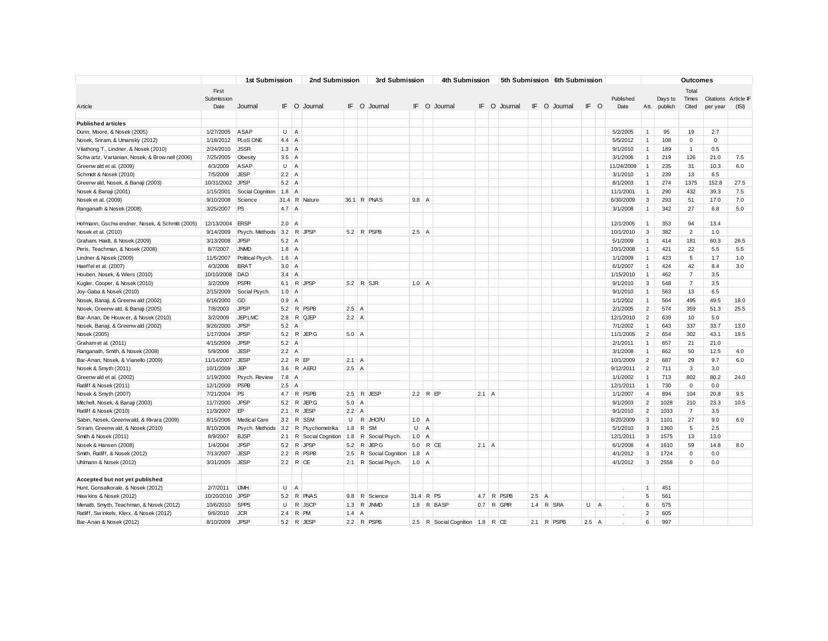|                                                 |            | 1st Submission   |                  |              | 2nd Submission             |              |  | 3rd Submission                     |              |          | 4th Submission                  |         |  |              |           |  | 5th Submission 6th Submission |         |       |            | Outcomes       |         |                |              |                      |
|-------------------------------------------------|------------|------------------|------------------|--------------|----------------------------|--------------|--|------------------------------------|--------------|----------|---------------------------------|---------|--|--------------|-----------|--|-------------------------------|---------|-------|------------|----------------|---------|----------------|--------------|----------------------|
|                                                 | First      |                  |                  |              |                            |              |  |                                    |              |          |                                 |         |  |              |           |  |                               |         |       |            |                |         | Total          |              |                      |
|                                                 | Submission |                  |                  |              |                            |              |  |                                    |              |          |                                 |         |  |              |           |  |                               |         |       | Published  |                | Days to | Times          |              | Citations Article II |
| Article                                         | Date       | Journal          |                  |              | IF O Journal               |              |  | IF O Journal                       |              |          | IF O Journal                    |         |  | IF O Journal |           |  | IF O Journal                  |         | IF O  | Date       | Att.           | publish | Cited          | per year     | (ISI)                |
|                                                 |            |                  |                  |              |                            |              |  |                                    |              |          |                                 |         |  |              |           |  |                               |         |       |            |                |         |                |              |                      |
| <b>Published articles</b>                       |            |                  |                  |              |                            |              |  |                                    |              |          |                                 |         |  |              |           |  |                               |         |       |            |                |         |                |              |                      |
| Dunn, Moore, & Nosek (2005)                     | 1/27/2005  | ASAP             |                  | $U$   A      |                            |              |  |                                    |              |          |                                 |         |  |              |           |  |                               |         |       | 5/2/2005   | $\overline{1}$ | 95      | 19             | 2.7          |                      |
| Nosek, Sriram, & Umansky (2012)                 | 1/18/2012  | PLoS ONE         | $4.4 \mid A$     |              |                            |              |  |                                    |              |          |                                 |         |  |              |           |  |                               |         |       | 5/5/2012   | $\overline{1}$ | 108     | $\mathbf{0}$   | $\mathbf{0}$ |                      |
| Vilathong T., Lindner, & Nosek (2010)           | 2/24/2010  | <b>JSSR</b>      | $1.3$ A          |              |                            |              |  |                                    |              |          |                                 |         |  |              |           |  |                               |         |       | 9/1/2010   | $\overline{1}$ | 189     | $\mathbf{1}$   | 0.5          |                      |
| Schw artz, Vartanian, Nosek, & Brow nell (2006) | 7/25/2005  | Obesity          | $3.5\quad$ A     |              |                            |              |  |                                    |              |          |                                 |         |  |              |           |  |                               |         |       | 3/1/2006   | $\mathbf{1}$   | 219     | 126            | 21.0         | 7.5                  |
| Greenwald et al. (2009)                         | 4/3/2009   | ASAP             |                  | $U \mid A$   |                            |              |  |                                    |              |          |                                 |         |  |              |           |  |                               |         |       | 11/24/2009 | $\overline{1}$ | 235     | 31             | 10.3         | 6.0                  |
| Schmidt & Nosek (2010)                          | 7/5/2009   | <b>JESP</b>      | 2.2 A            |              |                            |              |  |                                    |              |          |                                 |         |  |              |           |  |                               |         |       | 3/1/2010   | $\mathbf{1}$   | 239     | 13             | 6.5          |                      |
| Greenw ald, Nosek, & Banaji (2003)              | 10/31/2002 | <b>JPSP</b>      | 5.2 A            |              |                            |              |  |                                    |              |          |                                 |         |  |              |           |  |                               |         |       | 8/1/2003   | $\overline{1}$ | 274     | 1375           | 152.8        | 27.5                 |
| Nosek & Banaji (2001)                           | 1/15/2001  | Social Cognition | $1.8$ A          |              |                            |              |  |                                    |              |          |                                 |         |  |              |           |  |                               |         |       | 11/1/2001  | $\overline{1}$ | 290     | 432            | 39.3         | 7.5                  |
| Nosek et al. (2009)                             | 9/10/2008  | Science          |                  |              | 31.4 R Nature              |              |  | 36.1 R PNAS                        | $9.8$ A      |          |                                 |         |  |              |           |  |                               |         |       | 6/30/2009  | 3              | 293     | 51             | 17.0         | 7.0                  |
| Ranganath & Nosek (2008)                        | 3/25/2007  | PS               | 4.7 <sup>h</sup> |              |                            |              |  |                                    |              |          |                                 |         |  |              |           |  |                               |         |       | 3/1/2008   | $\mathbf{1}$   | 342     | 27             | 6.8          | 5.0                  |
|                                                 |            |                  |                  |              |                            |              |  |                                    |              |          |                                 |         |  |              |           |  |                               |         |       |            |                |         |                |              |                      |
| Hofmann, Gschw endner, Nosek, & Schmitt (2005)  | 12/13/2004 | <b>ERSP</b>      | $2.0$ A          |              |                            |              |  |                                    |              |          |                                 |         |  |              |           |  |                               |         |       | 12/1/2005  | $\overline{1}$ | 353     | 94             | 13.4         |                      |
| Nosek et al. (2010)                             | 9/14/2009  | Psych. Methods   |                  |              | 3.2 R JPSP                 |              |  | 5.2 R PSPB                         | $2.5\quad$ A |          |                                 |         |  |              |           |  |                               |         |       | 10/1/2010  | 3              | 382     | $\overline{2}$ | 1.0          |                      |
| Graham, Haidt, & Nosek (2009)                   | 3/13/2008  | <b>JPSP</b>      | $5.2$ A          |              |                            |              |  |                                    |              |          |                                 |         |  |              |           |  |                               |         |       | 5/1/2009   | $\overline{1}$ | 414     | 181            | 60.3         | 26.5                 |
| Peris, Teachman, & Nosek (2008)                 | 8/7/2007   | <b>JNMD</b>      | $1.8$ A          |              |                            |              |  |                                    |              |          |                                 |         |  |              |           |  |                               |         |       | 10/1/2008  | $\overline{1}$ | 421     | 22             | 5.5          | 5.5                  |
| Lindner & Nosek (2009)                          | 11/5/2007  | Political Psych. | $1.6$ A          |              |                            |              |  |                                    |              |          |                                 |         |  |              |           |  |                               |         |       | 1/1/2009   | $\mathbf{1}$   | 423     | 5              | 1.7          | 1.0                  |
| Haeffel et al. (2007)                           | 4/3/2006   | <b>BRAT</b>      | $3.0\,$ A        |              |                            |              |  |                                    |              |          |                                 |         |  |              |           |  |                               |         |       | 6/1/2007   | $\mathbf{1}$   | 424     | 42             | 8.4          | 3.0                  |
| Houben, Nosek, & Wiers (2010)                   | 10/10/2008 | DAD              | $3.4 \, A$       |              |                            |              |  |                                    |              |          |                                 |         |  |              |           |  |                               |         |       | 1/15/2010  | $\overline{1}$ | 462     | $\overline{7}$ | 3.5          |                      |
| Kugler, Cooper, & Nosek (2010)                  | 3/2/2009   | <b>PSPR</b>      |                  |              | 6.1 R JPSP                 |              |  | $5.2$ R SJR                        | $1.0\,$ A    |          |                                 |         |  |              |           |  |                               |         |       | 9/1/2010   | 3              | 548     | $\overline{7}$ | 3.5          |                      |
| Joy-Gaba & Nosek (2010)                         | 2/15/2009  | Social Psych.    | $1.0$ A          |              |                            |              |  |                                    |              |          |                                 |         |  |              |           |  |                               |         |       | 9/1/2010   | $\overline{1}$ | 563     | 13             | 6.5          |                      |
| Nosek, Banaji, & Greenw ald (2002)              | 6/16/2000  | GD               | $0.9$ A          |              |                            |              |  |                                    |              |          |                                 |         |  |              |           |  |                               |         |       | 1/1/2002   | $\overline{1}$ | 564     | 495            | 49.5         | 18.0                 |
| Nosek, Greenw ald, & Banaji (2005)              | 7/8/2003   | <b>JPSP</b>      |                  |              | 5.2 R PSPB                 | $2.5$ A      |  |                                    |              |          |                                 |         |  |              |           |  |                               |         |       | 2/1/2005   | $\overline{2}$ | 574     | 359            | 51.3         | 25.5                 |
| Bar-Anan, De Houw er, & Nosek (2010)            | 3/2/2009   | JEP:LMC          |                  | $2.8$ R      | QJEP                       | $2.2$ A      |  |                                    |              |          |                                 |         |  |              |           |  |                               |         |       | 12/1/2010  | $\overline{2}$ | 639     | 10             | 5.0          |                      |
| Nosek, Banaji, & Greenw ald (2002)              | 9/26/2000  | <b>JPSP</b>      | $5.2$ A          |              |                            |              |  |                                    |              |          |                                 |         |  |              |           |  |                               |         |       | 7/1/2002   | $\mathbf{1}$   | 643     | 337            | 33.7         | 13.0                 |
| Nosek (2005)                                    | 1/17/2004  | <b>JPSP</b>      |                  |              | 5.2 R JEP.G                | $5.0\;\;A$   |  |                                    |              |          |                                 |         |  |              |           |  |                               |         |       | 11/1/2005  | $\overline{2}$ | 654     | 302            | 43.1         | 19.5                 |
| Graham et al. (2011)                            | 4/15/2009  | <b>JPSP</b>      | 5.2 A            |              |                            |              |  |                                    |              |          |                                 |         |  |              |           |  |                               |         |       | 2/1/2011   | $\overline{1}$ | 657     | 21             | 21.0         |                      |
| Ranganath, Smith, & Nosek (2008)                | 5/9/2006   | <b>JESP</b>      | $2.2$ A          |              |                            |              |  |                                    |              |          |                                 |         |  |              |           |  |                               |         |       | 3/1/2008   | $\mathbf{1}$   | 662     | 50             | 12.5         | 4.0                  |
| Bar-Anan, Nosek, & Vianello (2009)              | 11/14/2007 | <b>JESP</b>      |                  | $2.2 \mid R$ | EP                         | $2.1$ A      |  |                                    |              |          |                                 |         |  |              |           |  |                               |         |       | 10/1/2009  | $\overline{2}$ | 687     | 29             | 9.7          | 6.0                  |
| Nosek & Smyth (2011)                            | 10/1/2009  | JEP              |                  |              | 3.6 R AERJ                 | $2.5$ A      |  |                                    |              |          |                                 |         |  |              |           |  |                               |         |       | 9/12/2011  | $\overline{2}$ | 711     | 3              | 3.0          |                      |
| Greenwald et al. (2002)                         | 1/19/2000  | Psych. Review    | $7.8$ A          |              |                            |              |  |                                    |              |          |                                 |         |  |              |           |  |                               |         |       | 1/1/2002   | $\overline{1}$ | 713     | 802            | 80.2         | 24.0                 |
| Ratliff & Nosek (2011)                          | 12/1/2009  | PSPB             | $2.5$ A          |              |                            |              |  |                                    |              |          |                                 |         |  |              |           |  |                               |         |       | 12/1/2011  | $\overline{1}$ | 730     | $\mathbf 0$    | 0.0          |                      |
| Nosek & Smyth (2007)                            | 7/21/2004  | PS               |                  | 4.7 R        | <b>PSPB</b>                |              |  | $2.5$ R JESP                       | $2.2$ R EP   |          |                                 | $2.1$ A |  |              |           |  |                               |         |       | 1/1/2007   | $\overline{4}$ | 894     | 104            | 20.8         | 9.5                  |
| Mitchell, Nosek, & Banaji (2003)                | 11/7/2000  | <b>JPSP</b>      |                  | $5.2 \, R$   | JEP:G                      | $5.0$ A      |  |                                    |              |          |                                 |         |  |              |           |  |                               |         |       | 9/1/2003   | $\overline{2}$ | 1028    | 210            | 23.3         | 10.5                 |
| Ratliff & Nosek (2010)                          | 11/3/2007  | EP               | 2.1              | R            | <b>JESP</b>                | $2.2$ A      |  |                                    |              |          |                                 |         |  |              |           |  |                               |         |       | 9/1/2010   | $\overline{2}$ | 1033    | $\overline{7}$ | 3.5          |                      |
| Sabin, Nosek, Greenwald, & Rivara (2009)        | 8/15/2006  | Medical Care     | $3.2 \mid R$     |              | <b>SSM</b>                 |              |  | U R JHCPU                          | $1.0$ A      |          |                                 |         |  |              |           |  |                               |         |       | 8/20/2009  | 3              | 1101    | 27             | 9.0          | 6.0                  |
| Sriram, Greenw ald, & Nosek (2010)              | 8/10/2006  | Psych. Methods   |                  |              | 3.2 R Psychometrika        | $1.8$ R      |  | <b>SM</b>                          | U            | A        |                                 |         |  |              |           |  |                               |         |       | 5/1/2010   | 3              | 1360    | 5              | 2.5          |                      |
| Smith & Nosek (2011)                            | 8/9/2007   | <b>BJSP</b>      |                  | $2.1 \mid R$ | Social Cognition   1.8   R |              |  | Social Psych.                      | $1.0$ A      |          |                                 |         |  |              |           |  |                               |         |       | 12/1/2011  | 3              | 1575    | 13             | 13.0         |                      |
| Nosek & Hansen (2008)                           | 1/4/2004   | <b>JPSP</b>      |                  | $5.2$ R      | <b>JPSP</b>                |              |  | 5.2 R JEP.G                        |              | 5.0 R CE |                                 | 2.1 A   |  |              |           |  |                               |         |       | 6/1/2008   | $\overline{4}$ | 1610    | 59             | 14.8         | 8.0                  |
| Smith, Ratliff, & Nosek (2012)                  | 7/13/2007  | <b>JESP</b>      |                  | $2.2 \mid R$ | PSPB                       |              |  | 2.5   R Social Cognition   1.8   A |              |          |                                 |         |  |              |           |  |                               |         |       | 4/1/2012   | 3              | 1724    | $\Omega$       | 0.0          |                      |
| Uhlmann & Nosek (2012)                          | 3/31/2005  | <b>JESP</b>      |                  | 2.2 R CE     |                            |              |  | 2.1 R Social Psych.                | $1.0$ A      |          |                                 |         |  |              |           |  |                               |         |       | 4/1/2012   | 3              | 2558    | 0              | 0.0          |                      |
|                                                 |            |                  |                  |              |                            |              |  |                                    |              |          |                                 |         |  |              |           |  |                               |         |       |            |                |         |                |              |                      |
| Accepted but not yet published                  |            |                  |                  |              |                            |              |  |                                    |              |          |                                 |         |  |              |           |  |                               |         |       |            |                |         |                |              |                      |
| Hunt, Gonsalkorale, & Nosek (2012)              | 2/7/2011   | <b>UMH</b>       | U                | A            |                            |              |  |                                    |              |          |                                 |         |  |              |           |  |                               |         |       |            | $\overline{1}$ | 451     |                |              |                      |
| Haw kins & Nosek (2012)                         | 10/20/2010 | <b>JPSP</b>      |                  | 5.2 R        | <b>PNAS</b>                |              |  | 9.8 R Science                      | 31.4 R PS    |          |                                 |         |  | 4.7 R PSPB   | $2.5$ A   |  |                               |         |       |            | 5              | 561     |                |              |                      |
| Menatti, Smyth, Teachman, & Nosek (2012)        | 10/6/2010  | SPPS             | U                |              | R JSCP                     |              |  | $1.3$ R JNMD                       |              |          | $1.8$ R BASP                    |         |  | $0.7$ R GPIR | 1.4 R SRA |  |                               |         | $U$ A |            | 6              | 575     |                |              |                      |
| Ratliff, Sw inkels, Klerx, & Nosek (2012)       | 9/6/2010   | <b>JCR</b>       | 2.4              | R            | PM                         | $1.4$ A      |  |                                    |              |          |                                 |         |  |              |           |  |                               |         |       |            | $\overline{2}$ | 605     |                |              |                      |
| Bar-Anan & Nosek (2012)                         | 8/10/2009  | <b>JPSP</b>      |                  |              | 5.2 R JESP                 | $2.2 \mid R$ |  | <b>PSPB</b>                        |              |          | 2.5 R Social Cognition 1.8 R CE |         |  |              | $2.1$ R   |  | PSPB                          | $2.5$ A |       |            | 6              | 997     |                |              |                      |
|                                                 |            |                  |                  |              |                            |              |  |                                    |              |          |                                 |         |  |              |           |  |                               |         |       |            |                |         |                |              |                      |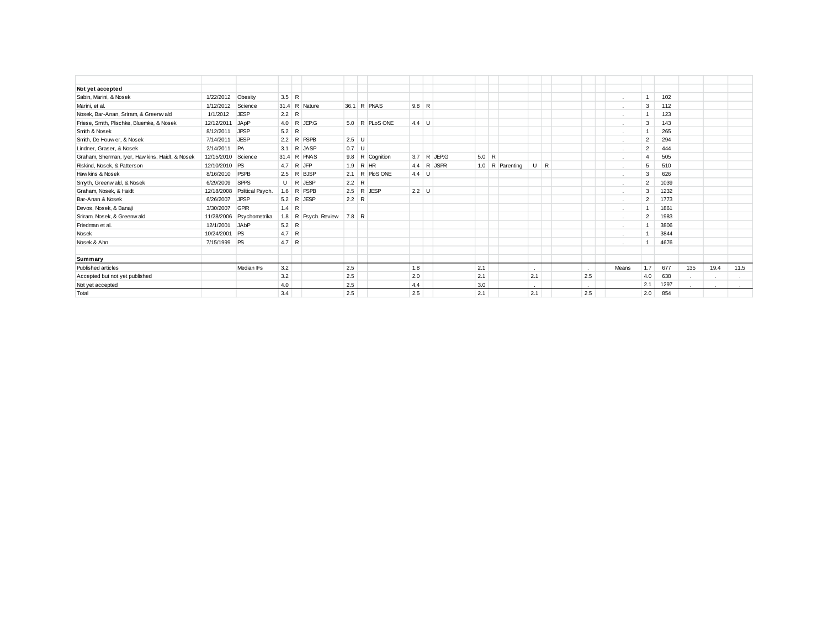| Not yet accepted                                |                    |                             |               |                     |              |                  |               |            |       |                 |            |     |                |                |      |              |      |        |
|-------------------------------------------------|--------------------|-----------------------------|---------------|---------------------|--------------|------------------|---------------|------------|-------|-----------------|------------|-----|----------------|----------------|------|--------------|------|--------|
| Sabin, Marini, & Nosek                          | 1/22/2012          | Obesity                     | $3.5$ R       |                     |              |                  |               |            |       |                 |            |     | $\cdot$        |                | 102  |              |      |        |
| Marini, et al.                                  | 1/12/2012          | Science                     |               | 31.4 R Nature       |              | 36.1 R PNAS      | $9.8$ R       |            |       |                 |            |     | $\cdot$        | 3              | 112  |              |      |        |
| Nosek, Bar-Anan, Sriram, & Greenw ald           | 1/1/2012           | <b>JESP</b>                 | 2.2 R         |                     |              |                  |               |            |       |                 |            |     | $\cdot$        |                | 123  |              |      |        |
| Friese, Smith, Plischke, Bluemke, & Nosek       | 12/12/2011         | JApP                        |               | $4.0 \, R$ JEP.G    |              | $5.0$ R PLoS ONE | $4.4 \quad U$ |            |       |                 |            |     | $\cdot$        | 3              | 143  |              |      |        |
| Smith & Nosek                                   | 8/12/2011          | <b>JPSP</b>                 | 5.2 R         |                     |              |                  |               |            |       |                 |            |     | $\sim$         |                | 265  |              |      |        |
| Smith, De Houw er, & Nosek                      | 7/14/2011          | <b>JESP</b>                 | $2.2 \quad R$ | <b>PSPB</b>         | $2.5$ U      |                  |               |            |       |                 |            |     | $\cdot$        | $\overline{2}$ | 294  |              |      |        |
| Lindner, Graser, & Nosek                        | 2/14/2011          | PA                          |               | $3.1$ R JASP        | $0.7$ U      |                  |               |            |       |                 |            |     | $\cdot$        | $\overline{2}$ | 444  |              |      |        |
| Graham, Sherman, Iyer, Haw kins, Haidt, & Nosek | 12/15/2010 Science |                             |               | 31.4 R PNAS         |              | 9.8 R Cognition  | 3.7           | R JEP.G    | 5.0 R |                 |            |     | $\cdot$        | $\overline{4}$ | 505  |              |      |        |
| Riskind, Nosek, & Patterson                     | 12/10/2010 PS      |                             |               | 4.7 R JFP           | $1.9$ R HR   |                  |               | 4.4 R JSPR |       | 1.0 R Parenting | $U \mid R$ |     | $\cdot$        | 5              | 510  |              |      |        |
| Haw kins & Nosek                                | 8/16/2010          | PSPB                        |               | $2.5$ R BJSP        |              | $2.1$ R PloS ONE | $4.4 \quad U$ |            |       |                 |            |     | $\cdot$        | 3              | 626  |              |      |        |
| Smyth, Greenwald, & Nosek                       | 6/29/2009          | <b>SPPS</b>                 |               | U R JESP            | $2.2 \mid R$ |                  |               |            |       |                 |            |     | $\blacksquare$ | $\overline{2}$ | 1039 |              |      |        |
| Graham, Nosek, & Haidt                          |                    | 12/18/2008 Political Psych. |               | 1.6 R PSPB          |              | $2.5$ R JESP     | $2.2$ U       |            |       |                 |            |     | $\cdot$        | 3              | 1232 |              |      |        |
| Bar-Anan & Nosek                                | 6/26/2007          | <b>JPSP</b>                 |               | 5.2 R JESP          | 2.2 R        |                  |               |            |       |                 |            |     | $\cdot$        | $\overline{2}$ | 1773 |              |      |        |
| Devos, Nosek, & Banaji                          | 3/30/2007          | GPIR                        | $1.4$ R       |                     |              |                  |               |            |       |                 |            |     | $\sim$         |                | 1861 |              |      |        |
| Sriram, Nosek, & Greenw ald                     |                    | 11/28/2006 Psychometrika    |               | 1.8 R Psych. Review | 7.8 R        |                  |               |            |       |                 |            |     | $\cdot$        | $\overline{2}$ | 1983 |              |      |        |
| Friedman et al.                                 | 12/1/2001          | JAbP                        | 5.2 R         |                     |              |                  |               |            |       |                 |            |     | $\mathbf{r}$   |                | 3806 |              |      |        |
| Nosek                                           | 10/24/2001         | PS                          | 4.7 R         |                     |              |                  |               |            |       |                 |            |     | $\cdot$        |                | 3844 |              |      |        |
| Nosek & Ahn                                     | 7/15/1999          | PS                          | 4.7 R         |                     |              |                  |               |            |       |                 |            |     | $\cdot$        |                | 4676 |              |      |        |
| Summary                                         |                    |                             |               |                     |              |                  |               |            |       |                 |            |     |                |                |      |              |      |        |
| Published articles                              |                    | Median IFs                  | 3.2           |                     | 2.5          |                  | 1.8           |            | 2.1   |                 |            |     | Means          | 1.7            | 677  | 135          | 19.4 | 11.5   |
| Accepted but not yet published                  |                    |                             | 3.2           |                     | 2.5          |                  | 2.0           |            | 2.1   |                 | 2.1        | 2.5 |                | 4.0            | 638  | $\mathbf{r}$ |      | $\sim$ |
| Not yet accepted                                |                    |                             | 4.0           |                     | 2.5          |                  | 4.4           |            | 3.0   |                 |            |     |                | 2.1            | 1297 |              |      |        |
| Total                                           |                    |                             | 3.4           |                     | 2.5          |                  | 2.5           |            | 2.1   |                 | 2.1        | 2.5 |                | 2.0            | 854  |              |      |        |